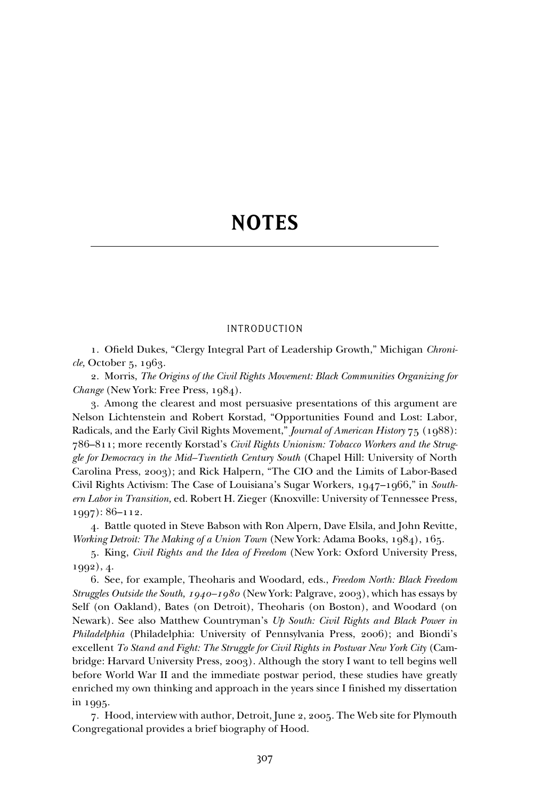# **NOTES**

# INTRODUCTION

1. Ofield Dukes, "Clergy Integral Part of Leadership Growth," Michigan *Chronicle,* October 5, 1963.

2. Morris, *The Origins of the Civil Rights Movement: Black Communities Organizing for Change* (New York: Free Press, 1984).

3. Among the clearest and most persuasive presentations of this argument are Nelson Lichtenstein and Robert Korstad, "Opportunities Found and Lost: Labor, Radicals, and the Early Civil Rights Movement," *Journal of American History* 75 (1988): 786–811; more recently Korstad's *Civil Rights Unionism: Tobacco Workers and the Struggle for Democracy in the Mid–Twentieth Century South* (Chapel Hill: University of North Carolina Press, 2003); and Rick Halpern, "The CIO and the Limits of Labor-Based Civil Rights Activism: The Case of Louisiana's Sugar Workers, 1947–1966," in *Southern Labor in Transition,* ed. Robert H. Zieger (Knoxville: University of Tennessee Press, 1997): 86–112.

4. Battle quoted in Steve Babson with Ron Alpern, Dave Elsila, and John Revitte, *Working Detroit: The Making of a Union Town* (New York: Adama Books, 1984), 165.

5. King, *Civil Rights and the Idea of Freedom* (New York: Oxford University Press, 1992), 4.

6. See, for example, Theoharis and Woodard, eds., *Freedom North: Black Freedom Struggles Outside the South, 1940–1980* (New York: Palgrave, 2003), which has essays by Self (on Oakland), Bates (on Detroit), Theoharis (on Boston), and Woodard (on Newark). See also Matthew Countryman's *Up South: Civil Rights and Black Power in Philadelphia* (Philadelphia: University of Pennsylvania Press, 2006); and Biondi's excellent *To Stand and Fight: The Struggle for Civil Rights in Postwar New York City* (Cambridge: Harvard University Press, 2003). Although the story I want to tell begins well before World War II and the immediate postwar period, these studies have greatly enriched my own thinking and approach in the years since I finished my dissertation in 1995.

7. Hood, interview with author, Detroit, June 2, 2005. The Web site for Plymouth Congregational provides a brief biography of Hood.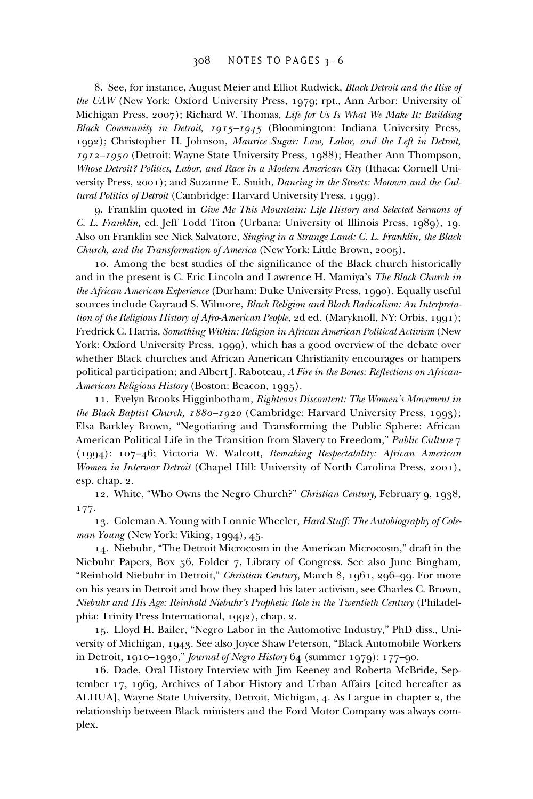8. See, for instance, August Meier and Elliot Rudwick, *Black Detroit and the Rise of the UAW* (New York: Oxford University Press, 1979; rpt., Ann Arbor: University of Michigan Press, 2007); Richard W. Thomas, *Life for Us Is What We Make It: Building Black Community in Detroit, 1915–1945* (Bloomington: Indiana University Press, 1992); Christopher H. Johnson, *Maurice Sugar: Law, Labor, and the Left in Detroit, 1912–1950* (Detroit: Wayne State University Press, 1988); Heather Ann Thompson, *Whose Detroit? Politics, Labor, and Race in a Modern American City* (Ithaca: Cornell University Press, 2001); and Suzanne E. Smith, *Dancing in the Streets: Motown and the Cultural Politics of Detroit* (Cambridge: Harvard University Press, 1999).

9. Franklin quoted in *Give Me This Mountain: Life History and Selected Sermons of C. L. Franklin,* ed. Jeff Todd Titon (Urbana: University of Illinois Press, 1989), 19. Also on Franklin see Nick Salvatore, *Singing in a Strange Land: C. L. Franklin, the Black Church, and the Transformation of America* (New York: Little Brown, 2005).

10. Among the best studies of the significance of the Black church historically and in the present is C. Eric Lincoln and Lawrence H. Mamiya's *The Black Church in the African American Experience* (Durham: Duke University Press, 1990). Equally useful sources include Gayraud S. Wilmore, *Black Religion and Black Radicalism: An Interpretation of the Religious History of Afro-American People,* 2d ed. (Maryknoll, NY: Orbis, 1991); Fredrick C. Harris, *Something Within: Religion in African American Political Activism* (New York: Oxford University Press, 1999), which has a good overview of the debate over whether Black churches and African American Christianity encourages or hampers political participation; and Albert J. Raboteau, *A Fire in the Bones: Reflections on African-American Religious History* (Boston: Beacon, 1995).

11. Evelyn Brooks Higginbotham, *Righteous Discontent: The Women's Movement in the Black Baptist Church, 1880–1920* (Cambridge: Harvard University Press, 1993); Elsa Barkley Brown, "Negotiating and Transforming the Public Sphere: African American Political Life in the Transition from Slavery to Freedom," *Public Culture* 7 (1994): 107–46; Victoria W. Walcott, *Remaking Respectability: African American Women in Interwar Detroit* (Chapel Hill: University of North Carolina Press, 2001), esp. chap. 2.

12. White, "Who Owns the Negro Church?" *Christian Century,* February 9, 1938, 177.

13. Coleman A. Young with Lonnie Wheeler, *Hard Stuff: The Autobiography of Coleman Young* (New York: Viking, 1994), 45.

14. Niebuhr, "The Detroit Microcosm in the American Microcosm," draft in the Niebuhr Papers, Box 56, Folder 7, Library of Congress. See also June Bingham, "Reinhold Niebuhr in Detroit," *Christian Century,* March 8, 1961, 296–99. For more on his years in Detroit and how they shaped his later activism, see Charles C. Brown, *Niebuhr and His Age: Reinhold Niebuhr's Prophetic Role in the Twentieth Century* (Philadelphia: Trinity Press International, 1992), chap. 2.

15. Lloyd H. Bailer, "Negro Labor in the Automotive Industry," PhD diss., University of Michigan, 1943. See also Joyce Shaw Peterson, "Black Automobile Workers in Detroit, 1910–1930," *Journal of Negro History* 64 (summer 1979): 177–90.

16. Dade, Oral History Interview with Jim Keeney and Roberta McBride, September 17, 1969, Archives of Labor History and Urban Affairs [cited hereafter as ALHUA], Wayne State University, Detroit, Michigan, 4. As I argue in chapter 2, the relationship between Black ministers and the Ford Motor Company was always complex.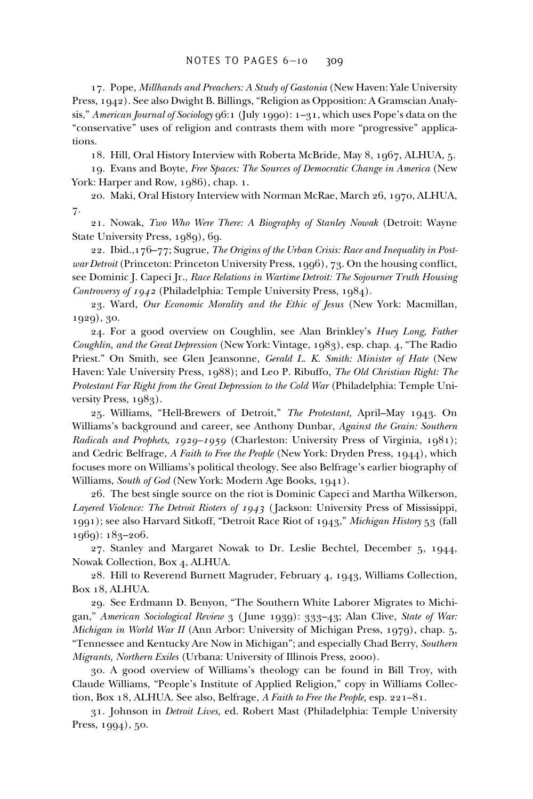17. Pope, *Millhands and Preachers: A Study of Gastonia* (New Haven: Yale University Press, 1942). See also Dwight B. Billings, "Religion as Opposition: A Gramscian Analysis," *American Journal of Sociology* 96:1 (July 1990): 1–31, which uses Pope's data on the "conservative" uses of religion and contrasts them with more "progressive" applications.

18. Hill, Oral History Interview with Roberta McBride, May 8, 1967, ALHUA, 5.

19. Evans and Boyte, *Free Spaces: The Sources of Democratic Change in America* (New York: Harper and Row, 1986), chap. 1.

20. Maki, Oral History Interview with Norman McRae, March 26, 1970, ALHUA, 7.

21. Nowak, *Two Who Were There: A Biography of Stanley Nowak* (Detroit: Wayne State University Press, 1989), 69.

22. Ibid.,176–77; Sugrue, *The Origins of the Urban Crisis: Race and Inequality in Postwar Detroit* (Princeton: Princeton University Press, 1996), 73. On the housing conflict, see Dominic J. Capeci Jr., *Race Relations in Wartime Detroit: The Sojourner Truth Housing Controversy of 1942* (Philadelphia: Temple University Press, 1984).

23. Ward, *Our Economic Morality and the Ethic of Jesus* (New York: Macmillan, 1929), 30.

24. For a good overview on Coughlin, see Alan Brinkley's *Huey Long, Father Coughlin, and the Great Depression* (New York: Vintage, 1983), esp. chap. 4, "The Radio Priest." On Smith, see Glen Jeansonne, *Gerald L. K. Smith: Minister of Hate* (New Haven: Yale University Press, 1988); and Leo P. Ribuffo, *The Old Christian Right: The Protestant Far Right from the Great Depression to the Cold War* (Philadelphia: Temple University Press, 1983).

25. Williams, "Hell-Brewers of Detroit," *The Protestant,* April–May 1943. On Williams's background and career, see Anthony Dunbar, *Against the Grain: Southern Radicals and Prophets, 1929–1959* (Charleston: University Press of Virginia, 1981); and Cedric Belfrage, *A Faith to Free the People* (New York: Dryden Press, 1944), which focuses more on Williams's political theology. See also Belfrage's earlier biography of Williams, *South of God* (New York: Modern Age Books, 1941).

26. The best single source on the riot is Dominic Capeci and Martha Wilkerson, *Layered Violence: The Detroit Rioters of 1943* ( Jackson: University Press of Mississippi, 1991); see also Harvard Sitkoff, "Detroit Race Riot of 1943," *Michigan History* 53 (fall 1969): 183–206.

27. Stanley and Margaret Nowak to Dr. Leslie Bechtel, December 5, 1944, Nowak Collection, Box 4, ALHUA.

28. Hill to Reverend Burnett Magruder, February 4, 1943, Williams Collection, Box 18, ALHUA.

29. See Erdmann D. Benyon, "The Southern White Laborer Migrates to Michigan," *American Sociological Review* 3 ( June 1939): 333–43; Alan Clive, *State of War: Michigan in World War II* (Ann Arbor: University of Michigan Press, 1979), chap. 5, "Tennessee and Kentucky Are Now in Michigan"; and especially Chad Berry, *Southern Migrants, Northern Exiles* (Urbana: University of Illinois Press, 2000).

30. A good overview of Williams's theology can be found in Bill Troy, with Claude Williams, "People's Institute of Applied Religion," copy in Williams Collection, Box 18, ALHUA. See also, Belfrage, *A Faith to Free the People,* esp. 221–81.

31. Johnson in *Detroit Lives,* ed. Robert Mast (Philadelphia: Temple University Press, 1994), 50.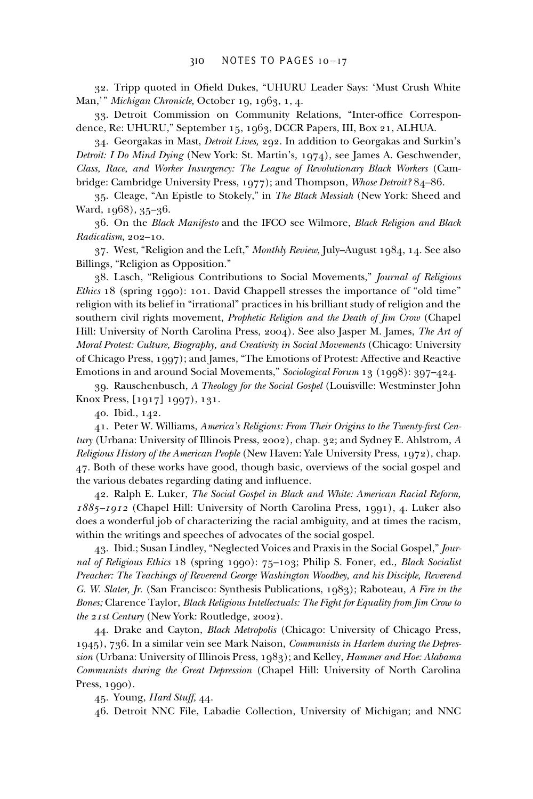32. Tripp quoted in Ofield Dukes, "UHURU Leader Says: 'Must Crush White Man,'" *Michigan Chronicle,* October 19, 1963, 1, 4.

33. Detroit Commission on Community Relations, "Inter-office Correspondence, Re: UHURU," September 15, 1963, DCCR Papers, III, Box 21, ALHUA.

34. Georgakas in Mast, *Detroit Lives,* 292. In addition to Georgakas and Surkin's *Detroit: I Do Mind Dying* (New York: St. Martin's, 1974), see James A. Geschwender, *Class, Race, and Worker Insurgency: The League of Revolutionary Black Workers* (Cambridge: Cambridge University Press, 1977); and Thompson, *Whose Detroit?* 84–86.

35. Cleage, "An Epistle to Stokely," in *The Black Messiah* (New York: Sheed and Ward, 1968), 35–36.

36. On the *Black Manifesto* and the IFCO see Wilmore, *Black Religion and Black Radicalism,* 202–10.

37. West, "Religion and the Left," *Monthly Review,* July–August 1984, 14. See also Billings, "Religion as Opposition."

38. Lasch, "Religious Contributions to Social Movements," *Journal of Religious Ethics* 18 (spring 1990): 101. David Chappell stresses the importance of "old time" religion with its belief in "irrational" practices in his brilliant study of religion and the southern civil rights movement, *Prophetic Religion and the Death of Jim Crow* (Chapel Hill: University of North Carolina Press, 2004). See also Jasper M. James, *The Art of Moral Protest: Culture, Biography, and Creativity in Social Movements* (Chicago: University of Chicago Press, 1997); and James, "The Emotions of Protest: Affective and Reactive Emotions in and around Social Movements," *Sociological Forum* 13 (1998): 397–424.

39. Rauschenbusch, *A Theology for the Social Gospel* (Louisville: Westminster John Knox Press, [1917] 1997), 131.

40. Ibid., 142.

41. Peter W. Williams, America's Religions: From Their Origins to the Twenty-first Cen*tury* (Urbana: University of Illinois Press, 2002), chap. 32; and Sydney E. Ahlstrom, *A Religious History of the American People* (New Haven: Yale University Press, 1972), chap. 47. Both of these works have good, though basic, overviews of the social gospel and the various debates regarding dating and influence.

42. Ralph E. Luker, *The Social Gospel in Black and White: American Racial Reform, 1885–1912* (Chapel Hill: University of North Carolina Press, 1991), 4. Luker also does a wonderful job of characterizing the racial ambiguity, and at times the racism, within the writings and speeches of advocates of the social gospel.

43. Ibid.; Susan Lindley, "Neglected Voices and Praxis in the Social Gospel," *Journal of Religious Ethics* 18 (spring 1990): 75–103; Philip S. Foner, ed., *Black Socialist Preacher: The Teachings of Reverend George Washington Woodbey, and his Disciple, Reverend G. W. Slater, Jr.* (San Francisco: Synthesis Publications, 1983); Raboteau, *A Fire in the Bones;* Clarence Taylor, *Black Religious Intellectuals: The Fight for Equality from Jim Crow to the 21st Century* (New York: Routledge, 2002).

44. Drake and Cayton, *Black Metropolis* (Chicago: University of Chicago Press, 1945), 736. In a similar vein see Mark Naison, *Communists in Harlem during the Depression* (Urbana: University of Illinois Press, 1983); and Kelley, *Hammer and Hoe: Alabama Communists during the Great Depression* (Chapel Hill: University of North Carolina Press, 1990).

45. Young, *Hard Stuff,* 44.

46. Detroit NNC File, Labadie Collection, University of Michigan; and NNC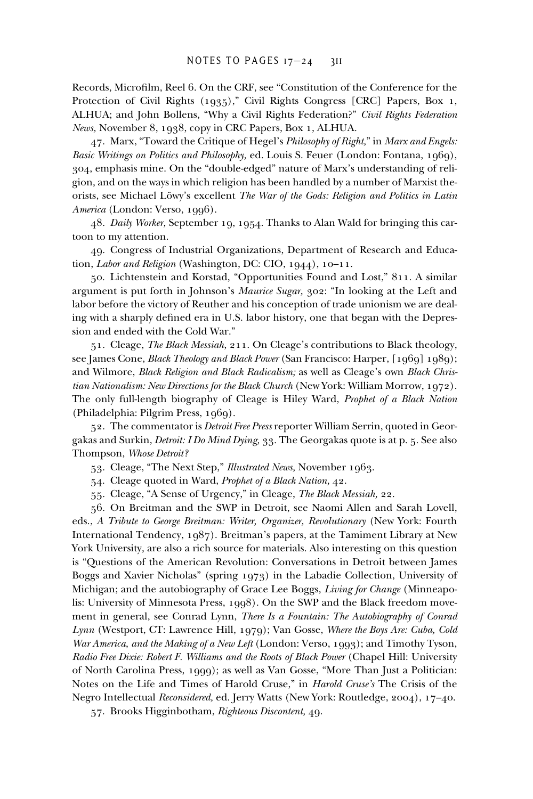Records, Microfilm, Reel 6. On the CRF, see "Constitution of the Conference for the Protection of Civil Rights (1935)," Civil Rights Congress [CRC] Papers, Box 1, ALHUA; and John Bollens, "Why a Civil Rights Federation?" *Civil Rights Federation News,* November 8, 1938, copy in CRC Papers, Box 1, ALHUA.

47. Marx, "Toward the Critique of Hegel's *Philosophy of Right,*" in *Marx and Engels: Basic Writings on Politics and Philosophy,* ed. Louis S. Feuer (London: Fontana, 1969), 304, emphasis mine. On the "double-edged" nature of Marx's understanding of religion, and on the ways in which religion has been handled by a number of Marxist theorists, see Michael Löwy's excellent *The War of the Gods: Religion and Politics in Latin America* (London: Verso, 1996).

48. *Daily Worker,* September 19, 1954. Thanks to Alan Wald for bringing this cartoon to my attention.

49. Congress of Industrial Organizations, Department of Research and Education, *Labor and Religion* (Washington, DC: CIO, 1944), 10–11.

50. Lichtenstein and Korstad, "Opportunities Found and Lost," 811. A similar argument is put forth in Johnson's *Maurice Sugar,* 302: "In looking at the Left and labor before the victory of Reuther and his conception of trade unionism we are dealing with a sharply defined era in U.S. labor history, one that began with the Depression and ended with the Cold War."

51. Cleage, *The Black Messiah,* 211. On Cleage's contributions to Black theology, see James Cone, *Black Theology and Black Power* (San Francisco: Harper, [1969] 1989); and Wilmore, *Black Religion and Black Radicalism;* as well as Cleage's own *Black Christian Nationalism: New Directions for the Black Church* (New York: William Morrow, 1972). The only full-length biography of Cleage is Hiley Ward, *Prophet of a Black Nation* (Philadelphia: Pilgrim Press, 1969).

52. The commentator is *Detroit Free Press* reporter William Serrin, quoted in Georgakas and Surkin, *Detroit: I Do Mind Dying,* 33. The Georgakas quote is at p. 5. See also Thompson, *Whose Detroit?*

53. Cleage, "The Next Step," *Illustrated News,* November 1963.

54. Cleage quoted in Ward, *Prophet of a Black Nation,* 42.

55. Cleage, "A Sense of Urgency," in Cleage, *The Black Messiah,* 22.

56. On Breitman and the SWP in Detroit, see Naomi Allen and Sarah Lovell, eds., *A Tribute to George Breitman: Writer, Organizer, Revolutionary* (New York: Fourth International Tendency, 1987). Breitman's papers, at the Tamiment Library at New York University, are also a rich source for materials. Also interesting on this question is "Questions of the American Revolution: Conversations in Detroit between James Boggs and Xavier Nicholas" (spring 1973) in the Labadie Collection, University of Michigan; and the autobiography of Grace Lee Boggs, *Living for Change* (Minneapolis: University of Minnesota Press, 1998). On the SWP and the Black freedom movement in general, see Conrad Lynn, *There Is a Fountain: The Autobiography of Conrad Lynn* (Westport, CT: Lawrence Hill, 1979); Van Gosse, *Where the Boys Are: Cuba, Cold War America, and the Making of a New Left* (London: Verso, 1993); and Timothy Tyson, *Radio Free Dixie: Robert F. Williams and the Roots of Black Power* (Chapel Hill: University of North Carolina Press, 1999); as well as Van Gosse, "More Than Just a Politician: Notes on the Life and Times of Harold Cruse," in *Harold Cruse's* The Crisis of the Negro Intellectual *Reconsidered,* ed. Jerry Watts (New York: Routledge, 2004), 17–40.

57. Brooks Higginbotham, *Righteous Discontent,* 49.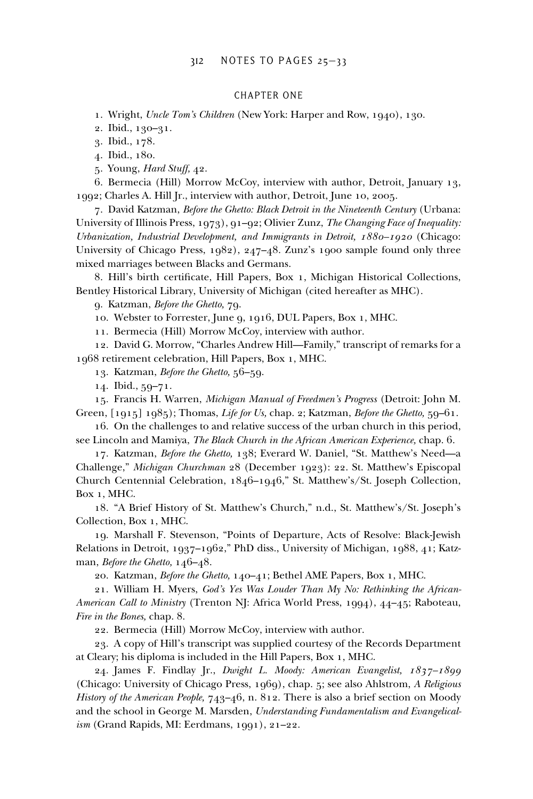#### CHAPTER ONE

1. Wright, *Uncle Tom's Children* (New York: Harper and Row, 1940), 130.

2. Ibid., 130–31.

3. Ibid., 178.

4. Ibid., 180.

5. Young, *Hard Stuff,* 42.

6. Bermecia (Hill) Morrow McCoy, interview with author, Detroit, January 13, 1992; Charles A. Hill Jr., interview with author, Detroit, June 10, 2005.

7. David Katzman, *Before the Ghetto: Black Detroit in the Nineteenth Century* (Urbana: University of Illinois Press, 1973), 91–92; Olivier Zunz, *The Changing Face of Inequality: Urbanization, Industrial Development, and Immigrants in Detroit, 1880–1920* (Chicago: University of Chicago Press, 1982), 247–48. Zunz's 1900 sample found only three mixed marriages between Blacks and Germans.

8. Hill's birth certificate, Hill Papers, Box 1, Michigan Historical Collections, Bentley Historical Library, University of Michigan (cited hereafter as MHC).

9. Katzman, *Before the Ghetto,* 79.

10. Webster to Forrester, June 9, 1916, DUL Papers, Box 1, MHC.

11. Bermecia (Hill) Morrow McCoy, interview with author.

12. David G. Morrow, "Charles Andrew Hill—Family," transcript of remarks for a 1968 retirement celebration, Hill Papers, Box 1, MHC.

13. Katzman, *Before the Ghetto,* 56–59.

14. Ibid., 59–71.

15. Francis H. Warren, *Michigan Manual of Freedmen's Progress* (Detroit: John M. Green, [1915] 1985); Thomas, *Life for Us,* chap. 2; Katzman, *Before the Ghetto,* 59–61.

16. On the challenges to and relative success of the urban church in this period, see Lincoln and Mamiya, *The Black Church in the African American Experience,* chap. 6.

17. Katzman, *Before the Ghetto,* 138; Everard W. Daniel, "St. Matthew's Need—a Challenge," *Michigan Churchman* 28 (December 1923): 22. St. Matthew's Episcopal Church Centennial Celebration, 1846–1946," St. Matthew's/St. Joseph Collection, Box 1, MHC.

18. "A Brief History of St. Matthew's Church," n.d., St. Matthew's/St. Joseph's Collection, Box 1, MHC.

19. Marshall F. Stevenson, "Points of Departure, Acts of Resolve: Black-Jewish Relations in Detroit, 1937–1962," PhD diss., University of Michigan, 1988, 41; Katzman, *Before the Ghetto,* 146–48.

20. Katzman, *Before the Ghetto,* 140–41; Bethel AME Papers, Box 1, MHC.

21. William H. Myers, *God's Yes Was Louder Than My No: Rethinking the African-American Call to Ministry* (Trenton NJ: Africa World Press, 1994), 44–45; Raboteau, *Fire in the Bones,* chap. 8.

22. Bermecia (Hill) Morrow McCoy, interview with author.

23. A copy of Hill's transcript was supplied courtesy of the Records Department at Cleary; his diploma is included in the Hill Papers, Box 1, MHC.

24. James F. Findlay Jr., *Dwight L. Moody: American Evangelist, 1837–1899* (Chicago: University of Chicago Press, 1969), chap. 5; see also Ahlstrom, *A Religious History of the American People,* 743–46, n. 812. There is also a brief section on Moody and the school in George M. Marsden, *Understanding Fundamentalism and Evangelicalism* (Grand Rapids, MI: Eerdmans, 1991), 21–22.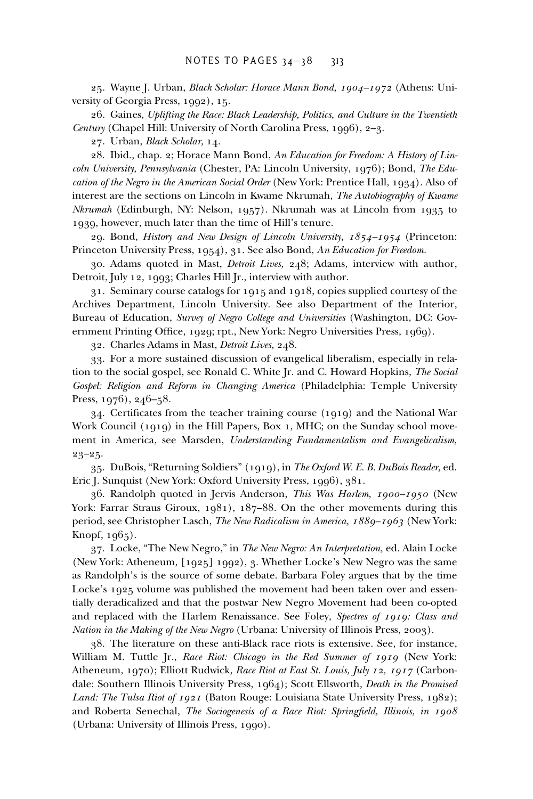25. Wayne J. Urban, *Black Scholar: Horace Mann Bond, 1904–1972* (Athens: University of Georgia Press, 1992), 15.

26. Gaines, *Uplifting the Race: Black Leadership, Politics, and Culture in the Twentieth Century* (Chapel Hill: University of North Carolina Press, 1996), 2–3.

27. Urban, *Black Scholar,* 14.

28. Ibid., chap. 2; Horace Mann Bond, *An Education for Freedom: A History of Lincoln University, Pennsylvania* (Chester, PA: Lincoln University, 1976); Bond, *The Education of the Negro in the American Social Order* (New York: Prentice Hall, 1934). Also of interest are the sections on Lincoln in Kwame Nkrumah, *The Autobiography of Kwame Nkrumah* (Edinburgh, NY: Nelson, 1957). Nkrumah was at Lincoln from 1935 to 1939, however, much later than the time of Hill's tenure.

29. Bond, *History and New Design of Lincoln University, 1854–1954* (Princeton: Princeton University Press, 1954), 31. See also Bond, *An Education for Freedom.*

30. Adams quoted in Mast, *Detroit Lives,* 248; Adams, interview with author, Detroit, July 12, 1993; Charles Hill Jr., interview with author.

31. Seminary course catalogs for 1915 and 1918, copies supplied courtesy of the Archives Department, Lincoln University. See also Department of the Interior, Bureau of Education, *Survey of Negro College and Universities* (Washington, DC: Government Printing Office, 1929; rpt., New York: Negro Universities Press, 1969).

32. Charles Adams in Mast, *Detroit Lives,* 248.

33. For a more sustained discussion of evangelical liberalism, especially in relation to the social gospel, see Ronald C. White Jr. and C. Howard Hopkins, *The Social Gospel: Religion and Reform in Changing America* (Philadelphia: Temple University Press, 1976), 246–58.

 $34.$  Certificates from the teacher training course (1919) and the National War Work Council (1919) in the Hill Papers, Box 1, MHC; on the Sunday school movement in America, see Marsden, *Understanding Fundamentalism and Evangelicalism,* 23–25.

35. DuBois, "Returning Soldiers" (1919), in *The Oxford W. E. B. DuBois Reader,* ed. Eric J. Sunquist (New York: Oxford University Press, 1996), 381.

36. Randolph quoted in Jervis Anderson, *This Was Harlem, 1900–1950* (New York: Farrar Straus Giroux, 1981), 187-88. On the other movements during this period, see Christopher Lasch, *The New Radicalism in America, 1889–1963* (New York: Knopf, 1965).

37. Locke, "The New Negro," in *The New Negro: An Interpretation,* ed. Alain Locke (New York: Atheneum, [1925] 1992), 3. Whether Locke's New Negro was the same as Randolph's is the source of some debate. Barbara Foley argues that by the time Locke's 1925 volume was published the movement had been taken over and essentially deradicalized and that the postwar New Negro Movement had been co-opted and replaced with the Harlem Renaissance. See Foley, *Spectres of 1919: Class and Nation in the Making of the New Negro* (Urbana: University of Illinois Press, 2003).

38. The literature on these anti-Black race riots is extensive. See, for instance, William M. Tuttle Jr., *Race Riot: Chicago in the Red Summer of 1919* (New York: Atheneum, 1970); Elliott Rudwick, *Race Riot at East St. Louis, July 12, 1917* (Carbondale: Southern Illinois University Press, 1964); Scott Ellsworth, *Death in the Promised Land: The Tulsa Riot of 1921* (Baton Rouge: Louisiana State University Press, 1982); and Roberta Senechal, *The Sociogenesis of a Race Riot: Springfield, Illinois, in 1908* (Urbana: University of Illinois Press, 1990).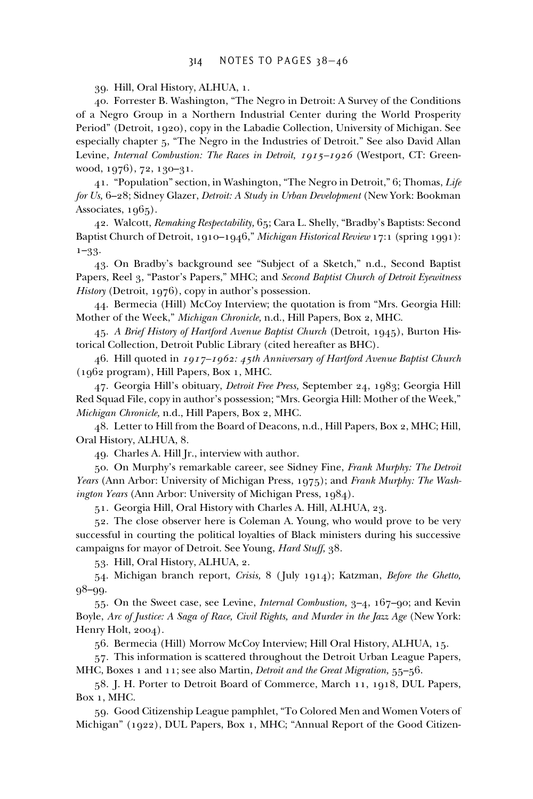39. Hill, Oral History, ALHUA, 1.

40. Forrester B. Washington, "The Negro in Detroit: A Survey of the Conditions of a Negro Group in a Northern Industrial Center during the World Prosperity Period" (Detroit, 1920), copy in the Labadie Collection, University of Michigan. See especially chapter 5, "The Negro in the Industries of Detroit." See also David Allan Levine, *Internal Combustion: The Races in Detroit, 1915–1926* (Westport, CT: Greenwood, 1976), 72, 130–31.

41. "Population" section, in Washington, "The Negro in Detroit," 6; Thomas, *Life for Us,* 6–28; Sidney Glazer, *Detroit: A Study in Urban Development* (New York: Bookman Associates, 1965).

42. Walcott, *Remaking Respectability,* 65; Cara L. Shelly, "Bradby's Baptists: Second Baptist Church of Detroit, 1910–1946," *Michigan Historical Review* 17:1 (spring 1991): 1–33.

43. On Bradby's background see "Subject of a Sketch," n.d., Second Baptist Papers, Reel 3, "Pastor's Papers," MHC; and *Second Baptist Church of Detroit Eyewitness History* (Detroit, 1976), copy in author's possession.

44. Bermecia (Hill) McCoy Interview; the quotation is from "Mrs. Georgia Hill: Mother of the Week," *Michigan Chronicle,* n.d., Hill Papers, Box 2, MHC.

45. *A Brief History of Hartford Avenue Baptist Church* (Detroit, 1945), Burton Historical Collection, Detroit Public Library (cited hereafter as BHC).

46. Hill quoted in *1917–1962: 45th Anniversary of Hartford Avenue Baptist Church* (1962 program), Hill Papers, Box 1, MHC.

47. Georgia Hill's obituary, *Detroit Free Press,* September 24, 1983; Georgia Hill Red Squad File, copy in author's possession; "Mrs. Georgia Hill: Mother of the Week," *Michigan Chronicle,* n.d., Hill Papers, Box 2, MHC.

48. Letter to Hill from the Board of Deacons, n.d., Hill Papers, Box 2, MHC; Hill, Oral History, ALHUA, 8.

49. Charles A. Hill Jr., interview with author.

50. On Murphy's remarkable career, see Sidney Fine, *Frank Murphy: The Detroit Years* (Ann Arbor: University of Michigan Press, 1975); and *Frank Murphy: The Washington Years* (Ann Arbor: University of Michigan Press, 1984).

51. Georgia Hill, Oral History with Charles A. Hill, ALHUA, 23.

52. The close observer here is Coleman A. Young, who would prove to be very successful in courting the political loyalties of Black ministers during his successive campaigns for mayor of Detroit. See Young, *Hard Stuff,* 38.

53. Hill, Oral History, ALHUA, 2.

54. Michigan branch report, *Crisis,* 8 ( July 1914); Katzman, *Before the Ghetto,* 98–99.

55. On the Sweet case, see Levine, *Internal Combustion,* 3–4, 167–90; and Kevin Boyle, *Arc of Justice: A Saga of Race, Civil Rights, and Murder in the Jazz Age* (New York: Henry Holt, 2004).

56. Bermecia (Hill) Morrow McCoy Interview; Hill Oral History, ALHUA, 15.

57. This information is scattered throughout the Detroit Urban League Papers, MHC, Boxes 1 and 11; see also Martin, *Detroit and the Great Migration,* 55–56.

58. J. H. Porter to Detroit Board of Commerce, March 11, 1918, DUL Papers, Box 1, MHC.

59. Good Citizenship League pamphlet, "To Colored Men and Women Voters of Michigan" (1922), DUL Papers, Box 1, MHC; "Annual Report of the Good Citizen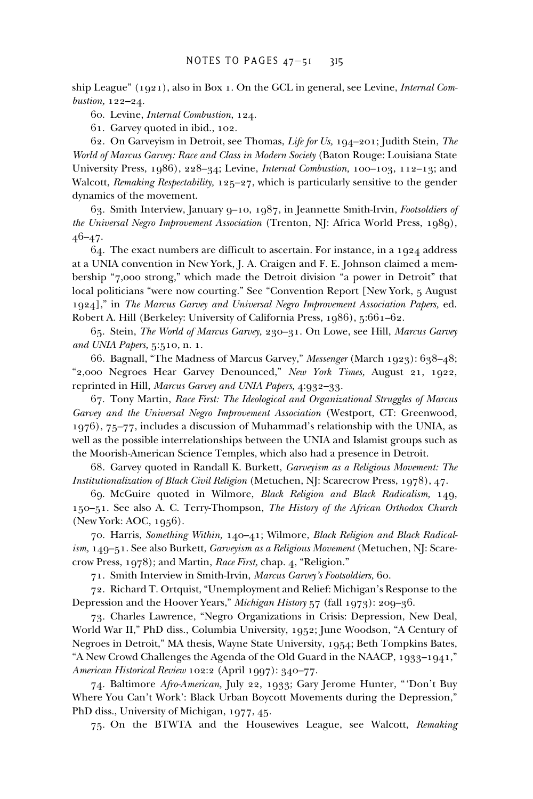ship League" (1921), also in Box 1. On the GCL in general, see Levine, *Internal Combustion,* 122–24.

60. Levine, *Internal Combustion,* 124.

61. Garvey quoted in ibid., 102.

62. On Garveyism in Detroit, see Thomas, *Life for Us,* 194–201; Judith Stein, *The World of Marcus Garvey: Race and Class in Modern Society* (Baton Rouge: Louisiana State University Press, 1986), 228–34; Levine, *Internal Combustion,* 100–103, 112–13; and Walcott, *Remaking Respectability,* 125–27, which is particularly sensitive to the gender dynamics of the movement.

63. Smith Interview, January 9–10, 1987, in Jeannette Smith-Irvin, *Footsoldiers of the Universal Negro Improvement Association* (Trenton, NJ: Africa World Press, 1989),  $46 - 47.$ 

 $64.$  The exact numbers are difficult to ascertain. For instance, in a 1924 address at a UNIA convention in New York, J. A. Craigen and F. E. Johnson claimed a membership "7,000 strong," which made the Detroit division "a power in Detroit" that local politicians "were now courting." See "Convention Report [New York, 5 August 1924]," in *The Marcus Garvey and Universal Negro Improvement Association Papers,* ed. Robert A. Hill (Berkeley: University of California Press, 1986), 5:661–62.

65. Stein, *The World of Marcus Garvey,* 230–31. On Lowe, see Hill, *Marcus Garvey and UNIA Papers,* 5:510, n. 1.

66. Bagnall, "The Madness of Marcus Garvey," *Messenger* (March 1923): 638–48; "2,000 Negroes Hear Garvey Denounced," *New York Times,* August 21, 1922, reprinted in Hill, *Marcus Garvey and UNIA Papers,* 4:932–33.

67. Tony Martin, *Race First: The Ideological and Organizational Struggles of Marcus Garvey and the Universal Negro Improvement Association* (Westport, CT: Greenwood, 1976), 75–77, includes a discussion of Muhammad's relationship with the UNIA, as well as the possible interrelationships between the UNIA and Islamist groups such as the Moorish-American Science Temples, which also had a presence in Detroit.

68. Garvey quoted in Randall K. Burkett, *Garveyism as a Religious Movement: The Institutionalization of Black Civil Religion* (Metuchen, NJ: Scarecrow Press, 1978), 47.

69. McGuire quoted in Wilmore, *Black Religion and Black Radicalism,* 149, 150–51. See also A. C. Terry-Thompson, *The History of the African Orthodox Church* (New York: AOC, 1956).

70. Harris, *Something Within,* 140–41; Wilmore, *Black Religion and Black Radicalism,* 149–51. See also Burkett, *Garveyism as a Religious Movement* (Metuchen, NJ: Scarecrow Press, 1978); and Martin, *Race First,* chap. 4, "Religion."

71. Smith Interview in Smith-Irvin, *Marcus Garvey's Footsoldiers,* 60.

72. Richard T. Ortquist, "Unemployment and Relief: Michigan's Response to the Depression and the Hoover Years," *Michigan History* 57 (fall 1973): 209–36.

73. Charles Lawrence, "Negro Organizations in Crisis: Depression, New Deal, World War II," PhD diss., Columbia University, 1952; June Woodson, "A Century of Negroes in Detroit," MA thesis, Wayne State University, 1954; Beth Tompkins Bates, "A New Crowd Challenges the Agenda of the Old Guard in the NAACP, 1933–1941," *American Historical Review* 102:2 (April 1997): 340–77.

74. Baltimore *Afro-American,* July 22, 1933; Gary Jerome Hunter, "'Don't Buy Where You Can't Work': Black Urban Boycott Movements during the Depression," PhD diss., University of Michigan, 1977, 45.

75. On the BTWTA and the Housewives League, see Walcott, *Remaking*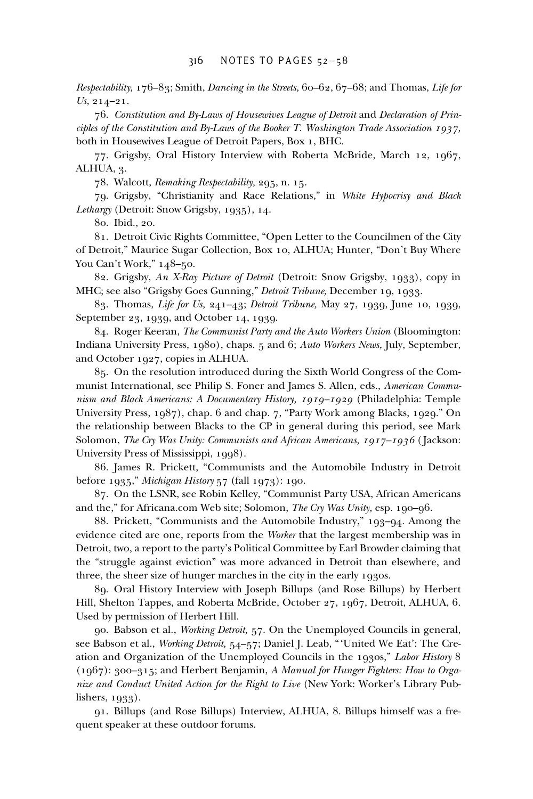*Respectability,* 176–83; Smith, *Dancing in the Streets,* 60–62, 67–68; and Thomas, *Life for Us,* 214–21.

76. *Constitution and By-Laws of Housewives League of Detroit* and *Declaration of Principles of the Constitution and By-Laws of the Booker T. Washington Trade Association 1937,* both in Housewives League of Detroit Papers, Box 1, BHC.

77. Grigsby, Oral History Interview with Roberta McBride, March 12, 1967, ALHUA, 3.

78. Walcott, *Remaking Respectability,* 295, n. 15.

79. Grigsby, "Christianity and Race Relations," in *White Hypocrisy and Black Lethargy* (Detroit: Snow Grigsby, 1935), 14.

80. Ibid., 20.

81. Detroit Civic Rights Committee, "Open Letter to the Councilmen of the City of Detroit," Maurice Sugar Collection, Box 10, ALHUA; Hunter, "Don't Buy Where You Can't Work," 148–50.

82. Grigsby, *An X-Ray Picture of Detroit* (Detroit: Snow Grigsby, 1933), copy in MHC; see also "Grigsby Goes Gunning," *Detroit Tribune,* December 19, 1933.

83. Thomas, *Life for Us,* 241–43; *Detroit Tribune,* May 27, 1939, June 10, 1939, September 23, 1939, and October 14, 1939.

84. Roger Keeran, *The Communist Party and the Auto Workers Union* (Bloomington: Indiana University Press, 1980), chaps. 5 and 6; *Auto Workers News,* July, September, and October 1927, copies in ALHUA.

85. On the resolution introduced during the Sixth World Congress of the Communist International, see Philip S. Foner and James S. Allen, eds., *American Communism and Black Americans: A Documentary History, 1919–1929* (Philadelphia: Temple University Press, 1987), chap. 6 and chap. 7, "Party Work among Blacks, 1929." On the relationship between Blacks to the CP in general during this period, see Mark Solomon, *The Cry Was Unity: Communists and African Americans, 1917–1936* ( Jackson: University Press of Mississippi, 1998).

86. James R. Prickett, "Communists and the Automobile Industry in Detroit before 1935," *Michigan History* 57 (fall 1973): 190.

87. On the LSNR, see Robin Kelley, "Communist Party USA, African Americans and the," for Africana.com Web site; Solomon, *The Cry Was Unity,* esp. 190–96.

88. Prickett, "Communists and the Automobile Industry," 193–94. Among the evidence cited are one, reports from the *Worker* that the largest membership was in Detroit, two, a report to the party's Political Committee by Earl Browder claiming that the "struggle against eviction" was more advanced in Detroit than elsewhere, and three, the sheer size of hunger marches in the city in the early 1930s.

89. Oral History Interview with Joseph Billups (and Rose Billups) by Herbert Hill, Shelton Tappes, and Roberta McBride, October 27, 1967, Detroit, ALHUA, 6. Used by permission of Herbert Hill.

90. Babson et al., *Working Detroit,* 57. On the Unemployed Councils in general, see Babson et al., *Working Detroit,* 54–57; Daniel J. Leab, "'United We Eat': The Creation and Organization of the Unemployed Councils in the 1930s," *Labor History* 8 (1967): 300–315; and Herbert Benjamin, *A Manual for Hunger Fighters: How to Organize and Conduct United Action for the Right to Live* (New York: Worker's Library Publishers, 1933).

91. Billups (and Rose Billups) Interview, ALHUA, 8. Billups himself was a frequent speaker at these outdoor forums.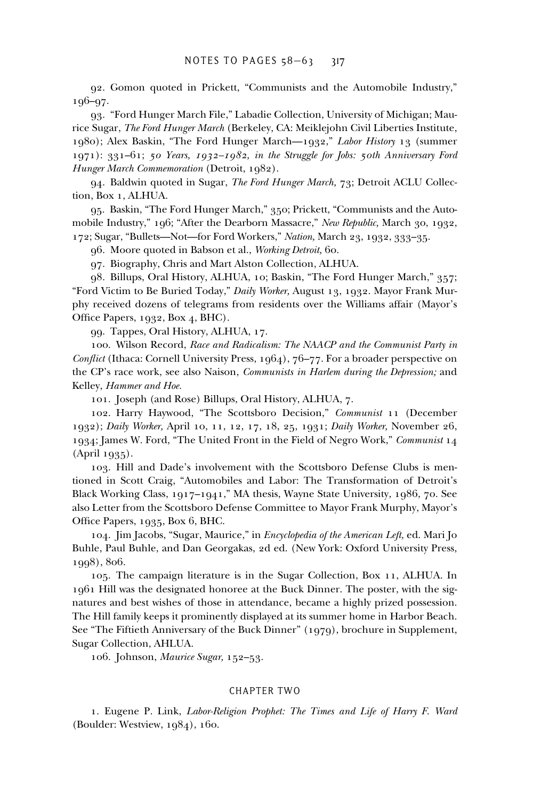92. Gomon quoted in Prickett, "Communists and the Automobile Industry," 196–97.

93. "Ford Hunger March File," Labadie Collection, University of Michigan; Maurice Sugar, *The Ford Hunger March* (Berkeley, CA: Meiklejohn Civil Liberties Institute, 1980); Alex Baskin, "The Ford Hunger March—1932," *Labor History* 13 (summer 1971): 331–61; *50 Years, 1932–1982, in the Struggle for Jobs: 50th Anniversary Ford Hunger March Commemoration* (Detroit, 1982).

94. Baldwin quoted in Sugar, *The Ford Hunger March,* 73; Detroit ACLU Collection, Box 1, ALHUA.

95. Baskin, "The Ford Hunger March," 350; Prickett, "Communists and the Automobile Industry," 196; "After the Dearborn Massacre," *New Republic,* March 30, 1932, 172; Sugar, "Bullets—Not—for Ford Workers," *Nation,* March 23, 1932, 333–35.

96. Moore quoted in Babson et al., *Working Detroit,* 60.

97. Biography, Chris and Mart Alston Collection, ALHUA.

98. Billups, Oral History, ALHUA, 10; Baskin, "The Ford Hunger March," 357; "Ford Victim to Be Buried Today," *Daily Worker,* August 13, 1932. Mayor Frank Murphy received dozens of telegrams from residents over the Williams affair (Mayor's Office Papers,  $1932$ , Box 4, BHC).

99. Tappes, Oral History, ALHUA, 17.

100. Wilson Record, *Race and Radicalism: The NAACP and the Communist Party in Conflict* (Ithaca: Cornell University Press, 1964), 76–77. For a broader perspective on the CP's race work, see also Naison, *Communists in Harlem during the Depression;* and Kelley, *Hammer and Hoe.*

101. Joseph (and Rose) Billups, Oral History, ALHUA, 7.

102. Harry Haywood, "The Scottsboro Decision," *Communist* 11 (December 1932); *Daily Worker,* April 10, 11, 12, 17, 18, 25, 1931; *Daily Worker,* November 26, 1934; James W. Ford, "The United Front in the Field of Negro Work," *Communist* 14 (April 1935).

103. Hill and Dade's involvement with the Scottsboro Defense Clubs is mentioned in Scott Craig, "Automobiles and Labor: The Transformation of Detroit's Black Working Class, 1917–1941," MA thesis, Wayne State University, 1986, 70. See also Letter from the Scottsboro Defense Committee to Mayor Frank Murphy, Mayor's Office Papers,  $1935$ , Box 6, BHC.

104. Jim Jacobs, "Sugar, Maurice," in *Encyclopedia of the American Left,* ed. Mari Jo Buhle, Paul Buhle, and Dan Georgakas, 2d ed. (New York: Oxford University Press, 1998), 806.

105. The campaign literature is in the Sugar Collection, Box 11, ALHUA. In 1961 Hill was the designated honoree at the Buck Dinner. The poster, with the signatures and best wishes of those in attendance, became a highly prized possession. The Hill family keeps it prominently displayed at its summer home in Harbor Beach. See "The Fiftieth Anniversary of the Buck Dinner" (1979), brochure in Supplement, Sugar Collection, AHLUA.

106. Johnson, *Maurice Sugar,* 152–53.

# CHAPTER TWO

1. Eugene P. Link, *Labor-Religion Prophet: The Times and Life of Harry F. Ward* (Boulder: Westview, 1984), 160.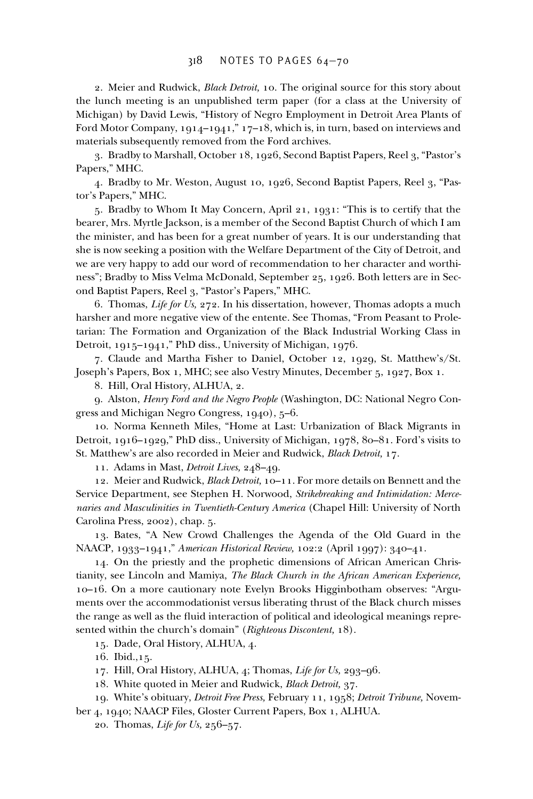2. Meier and Rudwick, *Black Detroit,* 10. The original source for this story about the lunch meeting is an unpublished term paper (for a class at the University of Michigan) by David Lewis, "History of Negro Employment in Detroit Area Plants of Ford Motor Company, 1914–1941," 17–18, which is, in turn, based on interviews and materials subsequently removed from the Ford archives.

3. Bradby to Marshall, October 18, 1926, Second Baptist Papers, Reel 3, "Pastor's Papers," MHC.

4. Bradby to Mr. Weston, August 10, 1926, Second Baptist Papers, Reel 3, "Pastor's Papers," MHC.

5. Bradby to Whom It May Concern, April 21, 1931: "This is to certify that the bearer, Mrs. Myrtle Jackson, is a member of the Second Baptist Church of which I am the minister, and has been for a great number of years. It is our understanding that she is now seeking a position with the Welfare Department of the City of Detroit, and we are very happy to add our word of recommendation to her character and worthiness"; Bradby to Miss Velma McDonald, September 25, 1926. Both letters are in Second Baptist Papers, Reel 3, "Pastor's Papers," MHC.

6. Thomas, *Life for Us,* 272. In his dissertation, however, Thomas adopts a much harsher and more negative view of the entente. See Thomas, "From Peasant to Proletarian: The Formation and Organization of the Black Industrial Working Class in Detroit, 1915–1941," PhD diss., University of Michigan, 1976.

7. Claude and Martha Fisher to Daniel, October 12, 1929, St. Matthew's/St. Joseph's Papers, Box 1, MHC; see also Vestry Minutes, December 5, 1927, Box 1.

8. Hill, Oral History, ALHUA, 2.

9. Alston, *Henry Ford and the Negro People* (Washington, DC: National Negro Congress and Michigan Negro Congress, 1940), 5–6.

10. Norma Kenneth Miles, "Home at Last: Urbanization of Black Migrants in Detroit, 1916–1929," PhD diss., University of Michigan, 1978, 80–81. Ford's visits to St. Matthew's are also recorded in Meier and Rudwick, *Black Detroit,* 17.

11. Adams in Mast, *Detroit Lives,* 248–49.

12. Meier and Rudwick, *Black Detroit,* 10–11. For more details on Bennett and the Service Department, see Stephen H. Norwood, *Strikebreaking and Intimidation: Mercenaries and Masculinities in Twentieth-Century America* (Chapel Hill: University of North Carolina Press, 2002), chap. 5.

13. Bates, "A New Crowd Challenges the Agenda of the Old Guard in the NAACP, 1933–1941," *American Historical Review,* 102:2 (April 1997): 340–41.

14. On the priestly and the prophetic dimensions of African American Christianity, see Lincoln and Mamiya, *The Black Church in the African American Experience,* 10–16. On a more cautionary note Evelyn Brooks Higginbotham observes: "Arguments over the accommodationist versus liberating thrust of the Black church misses the range as well as the fluid interaction of political and ideological meanings represented within the church's domain" (*Righteous Discontent,* 18).

15. Dade, Oral History, ALHUA, 4.

16. Ibid.,15.

- 17. Hill, Oral History, ALHUA, 4; Thomas, *Life for Us,* 293–96.
- 18. White quoted in Meier and Rudwick, *Black Detroit,* 37.
- 19. White's obituary, *Detroit Free Press,* February 11, 1958; *Detroit Tribune,* November 4, 1940; NAACP Files, Gloster Current Papers, Box 1, ALHUA.
	- - 20. Thomas, *Life for Us,* 256–57.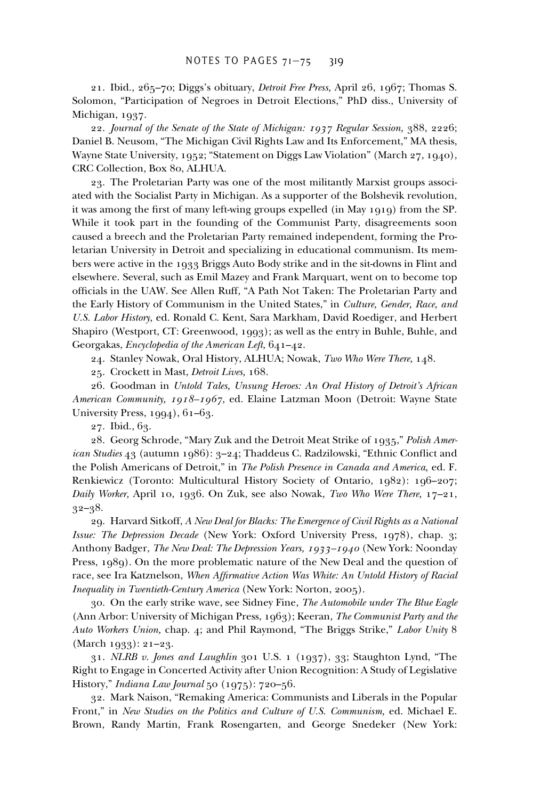21. Ibid., 265–70; Diggs's obituary, *Detroit Free Press,* April 26, 1967; Thomas S. Solomon, "Participation of Negroes in Detroit Elections," PhD diss., University of Michigan, 1937.

22. *Journal of the Senate of the State of Michigan: 1937 Regular Session,* 388, 2226; Daniel B. Neusom, "The Michigan Civil Rights Law and Its Enforcement," MA thesis, Wayne State University, 1952; "Statement on Diggs Law Violation" (March 27, 1940), CRC Collection, Box 80, ALHUA.

23. The Proletarian Party was one of the most militantly Marxist groups associated with the Socialist Party in Michigan. As a supporter of the Bolshevik revolution, it was among the first of many left-wing groups expelled (in May  $1919$ ) from the SP. While it took part in the founding of the Communist Party, disagreements soon caused a breech and the Proletarian Party remained independent, forming the Proletarian University in Detroit and specializing in educational communism. Its members were active in the 1933 Briggs Auto Body strike and in the sit-downs in Flint and elsewhere. Several, such as Emil Mazey and Frank Marquart, went on to become top officials in the UAW. See Allen Ruff, "A Path Not Taken: The Proletarian Party and the Early History of Communism in the United States," in *Culture, Gender, Race, and U.S. Labor History,* ed. Ronald C. Kent, Sara Markham, David Roediger, and Herbert Shapiro (Westport, CT: Greenwood, 1993); as well as the entry in Buhle, Buhle, and Georgakas, *Encyclopedia of the American Left,* 641–42.

24. Stanley Nowak, Oral History, ALHUA; Nowak, *Two Who Were There,* 148.

25. Crockett in Mast, *Detroit Lives,* 168.

26. Goodman in *Untold Tales, Unsung Heroes: An Oral History of Detroit's African American Community, 1918–1967,* ed. Elaine Latzman Moon (Detroit: Wayne State University Press, 1994), 61–63.

27. Ibid., 63.

28. Georg Schrode, "Mary Zuk and the Detroit Meat Strike of 1935," *Polish Amer*ican Studies 43 (autumn 1986): 3-24; Thaddeus C. Radzilowski, "Ethnic Conflict and the Polish Americans of Detroit," in *The Polish Presence in Canada and America,* ed. F. Renkiewicz (Toronto: Multicultural History Society of Ontario, 1982): 196–207; *Daily Worker,* April 10, 1936. On Zuk, see also Nowak, *Two Who Were There,* 17–21, 32–38.

29. Harvard Sitkoff, *A New Deal for Blacks: The Emergence of Civil Rights as a National Issue: The Depression Decade* (New York: Oxford University Press, 1978), chap. 3; Anthony Badger, *The New Deal: The Depression Years, 1933–1940* (New York: Noonday Press, 1989). On the more problematic nature of the New Deal and the question of race, see Ira Katznelson, *When Affirmative Action Was White: An Untold History of Racial Inequality in Twentieth-Century America* (New York: Norton, 2005).

30. On the early strike wave, see Sidney Fine, *The Automobile under The Blue Eagle* (Ann Arbor: University of Michigan Press, 1963); Keeran, *The Communist Party and the Auto Workers Union,* chap. 4; and Phil Raymond, "The Briggs Strike," *Labor Unity* 8 (March 1933): 21–23.

31. *NLRB v. Jones and Laughlin* 301 U.S. 1 (1937), 33; Staughton Lynd, "The Right to Engage in Concerted Activity after Union Recognition: A Study of Legislative History," *Indiana Law Journal* 50 (1975): 720–56.

32. Mark Naison, "Remaking America: Communists and Liberals in the Popular Front," in *New Studies on the Politics and Culture of U.S. Communism,* ed. Michael E. Brown, Randy Martin, Frank Rosengarten, and George Snedeker (New York: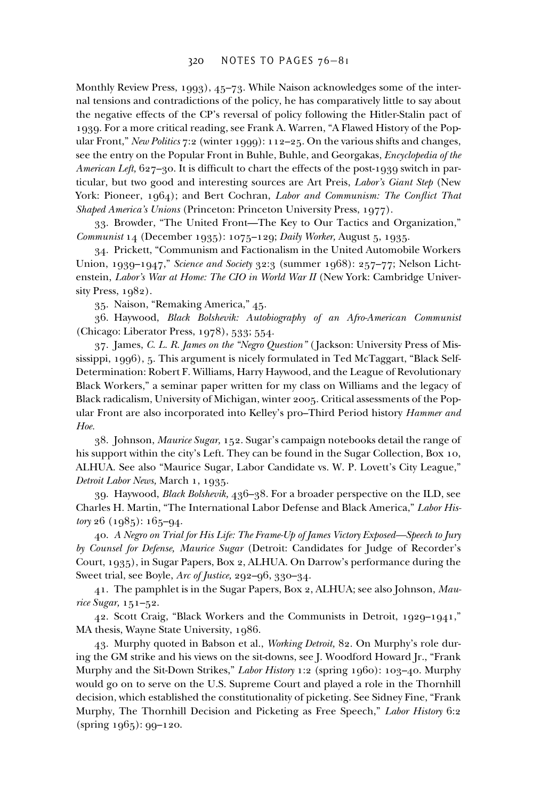Monthly Review Press, 1993), 45–73. While Naison acknowledges some of the internal tensions and contradictions of the policy, he has comparatively little to say about the negative effects of the CP's reversal of policy following the Hitler-Stalin pact of 1939. For a more critical reading, see Frank A. Warren, "A Flawed History of the Popular Front," *New Politics* 7:2 (winter 1999): 112–25. On the various shifts and changes, see the entry on the Popular Front in Buhle, Buhle, and Georgakas, *Encyclopedia of the American Left*,  $627-30$ . It is difficult to chart the effects of the post-1939 switch in particular, but two good and interesting sources are Art Preis, *Labor's Giant Step* (New York: Pioneer, 1964); and Bert Cochran, *Labor and Communism: The Conflict That Shaped America's Unions* (Princeton: Princeton University Press, 1977).

33. Browder, "The United Front—The Key to Our Tactics and Organization," *Communist* 14 (December 1935): 1075–129; *Daily Worker,* August 5, 1935.

34. Prickett, "Communism and Factionalism in the United Automobile Workers Union, 1939–1947," *Science and Society* 32:3 (summer 1968): 257–77; Nelson Lichtenstein, *Labor's War at Home: The CIO in World War II* (New York: Cambridge University Press, 1982).

35. Naison, "Remaking America," 45.

36. Haywood, *Black Bolshevik: Autobiography of an Afro-American Communist* (Chicago: Liberator Press, 1978), 533; 554.

37. James, *C. L. R. James on the "Negro Question"* ( Jackson: University Press of Mississippi, 1996), 5. This argument is nicely formulated in Ted McTaggart, "Black Self-Determination: Robert F. Williams, Harry Haywood, and the League of Revolutionary Black Workers," a seminar paper written for my class on Williams and the legacy of Black radicalism, University of Michigan, winter 2005. Critical assessments of the Popular Front are also incorporated into Kelley's pro–Third Period history *Hammer and Hoe.*

38. Johnson, *Maurice Sugar,* 152. Sugar's campaign notebooks detail the range of his support within the city's Left. They can be found in the Sugar Collection, Box 10, ALHUA. See also "Maurice Sugar, Labor Candidate vs. W. P. Lovett's City League," *Detroit Labor News,* March 1, 1935.

39. Haywood, *Black Bolshevik,* 436–38. For a broader perspective on the ILD, see Charles H. Martin, "The International Labor Defense and Black America," *Labor History* 26 (1985): 165–94.

40. *A Negro on Trial for His Life: The Frame-Up of James Victory Exposed—Speech to Jury by Counsel for Defense, Maurice Sugar* (Detroit: Candidates for Judge of Recorder's Court, 1935), in Sugar Papers, Box 2, ALHUA. On Darrow's performance during the Sweet trial, see Boyle, *Arc of Justice,* 292–96, 330–34.

41. The pamphlet is in the Sugar Papers, Box 2, ALHUA; see also Johnson, *Maurice Sugar,* 151–52.

42. Scott Craig, "Black Workers and the Communists in Detroit, 1929–1941," MA thesis, Wayne State University, 1986.

43. Murphy quoted in Babson et al., *Working Detroit,* 82. On Murphy's role during the GM strike and his views on the sit-downs, see J. Woodford Howard Jr., "Frank Murphy and the Sit-Down Strikes," *Labor History* 1:2 (spring 1960): 103–40. Murphy would go on to serve on the U.S. Supreme Court and played a role in the Thornhill decision, which established the constitutionality of picketing. See Sidney Fine, "Frank Murphy, The Thornhill Decision and Picketing as Free Speech," *Labor History* 6:2 (spring 1965): 99–120.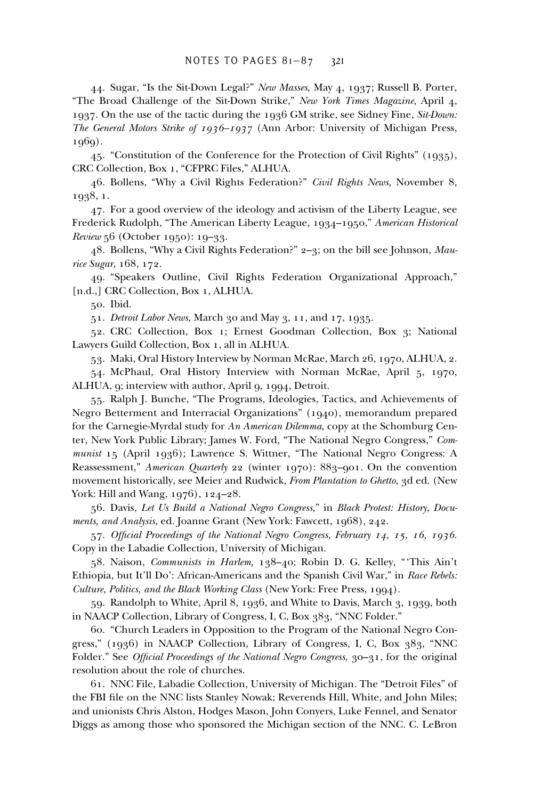44. Sugar, "Is the Sit-Down Legal?" *New Masses,* May 4, 1937; Russell B. Porter, "The Broad Challenge of the Sit-Down Strike," *New York Times Magazine,* April 4, 1937. On the use of the tactic during the 1936 GM strike, see Sidney Fine, *Sit-Down: The General Motors Strike of 1936–1937* (Ann Arbor: University of Michigan Press, 1969).

45. "Constitution of the Conference for the Protection of Civil Rights" (1935), CRC Collection, Box 1, "CFPRC Files," ALHUA.

46. Bollens, "Why a Civil Rights Federation?" *Civil Rights News,* November 8, 1938, 1.

47. For a good overview of the ideology and activism of the Liberty League, see Frederick Rudolph, "The American Liberty League, 1934–1950," *American Historical Review* 56 (October 1950): 19–33.

48. Bollens, "Why a Civil Rights Federation?" 2–3; on the bill see Johnson, *Maurice Sugar,* 168, 172.

49. "Speakers Outline, Civil Rights Federation Organizational Approach," [n.d.,] CRC Collection, Box 1, ALHUA.

50. Ibid.

51. *Detroit Labor News,* March 30 and May 3, 11, and 17, 1935.

52. CRC Collection, Box 1; Ernest Goodman Collection, Box 3; National Lawyers Guild Collection, Box 1, all in ALHUA.

53. Maki, Oral History Interview by Norman McRae, March 26, 1970, ALHUA, 2.

54. McPhaul, Oral History Interview with Norman McRae, April 5, 1970, ALHUA, 9; interview with author, April 9, 1994, Detroit.

55. Ralph J. Bunche, "The Programs, Ideologies, Tactics, and Achievements of Negro Betterment and Interracial Organizations" (1940), memorandum prepared for the Carnegie-Myrdal study for *An American Dilemma,* copy at the Schomburg Center, New York Public Library; James W. Ford, "The National Negro Congress," *Communist* 15 (April 1936); Lawrence S. Wittner, "The National Negro Congress: A Reassessment," *American Quarterly* 22 (winter 1970): 883–901. On the convention movement historically, see Meier and Rudwick, *From Plantation to Ghetto,* 3d ed. (New York: Hill and Wang, 1976), 124–28.

56. Davis, *Let Us Build a National Negro Congress,*" in *Black Protest: History, Documents, and Analysis,* ed. Joanne Grant (New York: Fawcett, 1968), 242.

57. Official Proceedings of the National Negro Congress, February 14, 15, 16, 1936. Copy in the Labadie Collection, University of Michigan.

58. Naison, *Communists in Harlem,* 138–40; Robin D. G. Kelley, "'This Ain't Ethiopia, but It'll Do': African-Americans and the Spanish Civil War," in *Race Rebels: Culture, Politics, and the Black Working Class* (New York: Free Press, 1994).

59. Randolph to White, April 8, 1936, and White to Davis, March 3, 1939, both in NAACP Collection, Library of Congress, I, C, Box 383, "NNC Folder."

60. "Church Leaders in Opposition to the Program of the National Negro Congress," (1936) in NAACP Collection, Library of Congress, I, C, Box 383, "NNC Folder." See *Official Proceedings of the National Negro Congress*, 30-31, for the original resolution about the role of churches.

61. NNC File, Labadie Collection, University of Michigan. The "Detroit Files" of the FBI file on the NNC lists Stanley Nowak; Reverends Hill, White, and John Miles; and unionists Chris Alston, Hodges Mason, John Conyers, Luke Fennel, and Senator Diggs as among those who sponsored the Michigan section of the NNC. C. LeBron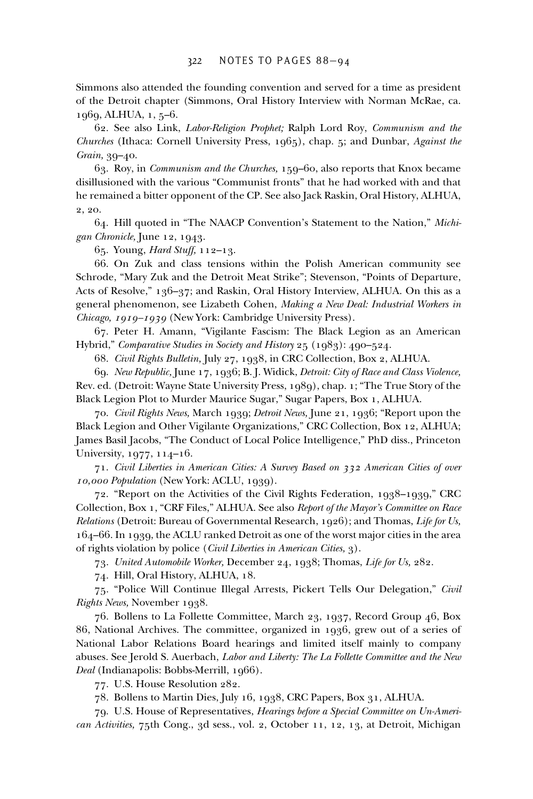Simmons also attended the founding convention and served for a time as president of the Detroit chapter (Simmons, Oral History Interview with Norman McRae, ca. 1969, ALHUA, 1, 5–6.

62. See also Link, *Labor-Religion Prophet;* Ralph Lord Roy, *Communism and the Churches* (Ithaca: Cornell University Press, 1965), chap. 5; and Dunbar, *Against the Grain,* 39–40.

63. Roy, in *Communism and the Churches,* 159–60, also reports that Knox became disillusioned with the various "Communist fronts" that he had worked with and that he remained a bitter opponent of the CP. See also Jack Raskin, Oral History, ALHUA, 2, 20.

64. Hill quoted in "The NAACP Convention's Statement to the Nation," *Michigan Chronicle,* June 12, 1943.

65. Young, *Hard Stuff,* 112–13.

66. On Zuk and class tensions within the Polish American community see Schrode, "Mary Zuk and the Detroit Meat Strike"; Stevenson, "Points of Departure, Acts of Resolve," 136–37; and Raskin, Oral History Interview, ALHUA. On this as a general phenomenon, see Lizabeth Cohen, *Making a New Deal: Industrial Workers in Chicago, 1919–1939* (New York: Cambridge University Press).

67. Peter H. Amann, "Vigilante Fascism: The Black Legion as an American Hybrid," *Comparative Studies in Society and History* 25 (1983): 490–524.

68. *Civil Rights Bulletin,* July 27, 1938, in CRC Collection, Box 2, ALHUA.

69. *New Republic,* June 17, 1936; B. J. Widick, *Detroit: City of Race and Class Violence,* Rev. ed. (Detroit: Wayne State University Press, 1989), chap. 1; "The True Story of the Black Legion Plot to Murder Maurice Sugar," Sugar Papers, Box 1, ALHUA.

70. *Civil Rights News,* March 1939; *Detroit News,* June 21, 1936; "Report upon the Black Legion and Other Vigilante Organizations," CRC Collection, Box 12, ALHUA; James Basil Jacobs, "The Conduct of Local Police Intelligence," PhD diss., Princeton University, 1977, 114–16.

71. *Civil Liberties in American Cities: A Survey Based on 332 American Cities of over 10,000 Population* (New York: ACLU, 1939).

72. "Report on the Activities of the Civil Rights Federation, 1938–1939," CRC Collection, Box 1, "CRF Files," ALHUA. See also *Report of the Mayor's Committee on Race Relations* (Detroit: Bureau of Governmental Research, 1926); and Thomas, *Life for Us,* 164–66. In 1939, the ACLU ranked Detroit as one of the worst major cities in the area of rights violation by police (*Civil Liberties in American Cities,* 3).

73. *United Automobile Worker,* December 24, 1938; Thomas, *Life for Us,* 282.

74. Hill, Oral History, ALHUA, 18.

75. "Police Will Continue Illegal Arrests, Pickert Tells Our Delegation," *Civil Rights News,* November 1938.

76. Bollens to La Follette Committee, March 23, 1937, Record Group 46, Box 86, National Archives. The committee, organized in 1936, grew out of a series of National Labor Relations Board hearings and limited itself mainly to company abuses. See Jerold S. Auerbach, *Labor and Liberty: The La Follette Committee and the New Deal* (Indianapolis: Bobbs-Merrill, 1966).

77. U.S. House Resolution 282.

78. Bollens to Martin Dies, July 16, 1938, CRC Papers, Box 31, ALHUA.

79. U.S. House of Representatives, *Hearings before a Special Committee on Un-American Activities,* 75th Cong., 3d sess., vol. 2, October 11, 12, 13, at Detroit, Michigan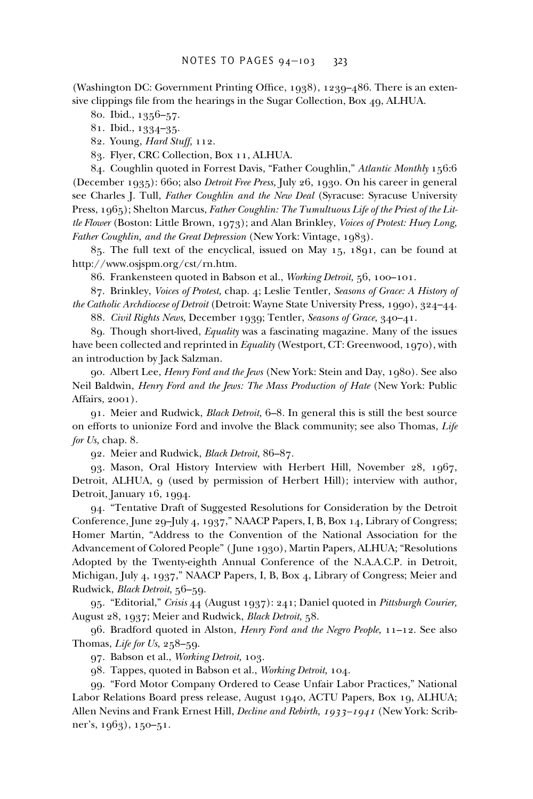(Washington DC: Government Printing Office, 1938), 1239–486. There is an extensive clippings file from the hearings in the Sugar Collection, Box 49, ALHUA.

80. Ibid., 1356–57.

81. Ibid., 1334–35.

82. Young, *Hard Stuff,* 112.

83. Flyer, CRC Collection, Box 11, ALHUA.

84. Coughlin quoted in Forrest Davis, "Father Coughlin," *Atlantic Monthly* 156:6 (December 1935): 660; also *Detroit Free Press,* July 26, 1930. On his career in general see Charles J. Tull, *Father Coughlin and the New Deal* (Syracuse: Syracuse University Press, 1965); Shelton Marcus, *Father Coughlin: The Tumultuous Life of the Priest of the Little Flower* (Boston: Little Brown, 1973); and Alan Brinkley, *Voices of Protest: Huey Long, Father Coughlin, and the Great Depression* (New York: Vintage, 1983).

85. The full text of the encyclical, issued on May 15, 1891, can be found at http://www.osjspm.org/cst/rn.htm.

86. Frankensteen quoted in Babson et al., *Working Detroit,* 56, 100–101.

87. Brinkley, *Voices of Protest,* chap. 4; Leslie Tentler, *Seasons of Grace: A History of the Catholic Archdiocese of Detroit* (Detroit: Wayne State University Press, 1990), 324–44.

88. *Civil Rights News,* December 1939; Tentler, *Seasons of Grace,* 340–41.

89. Though short-lived, *Equality* was a fascinating magazine. Many of the issues have been collected and reprinted in *Equality* (Westport, CT: Greenwood, 1970), with an introduction by Jack Salzman.

90. Albert Lee, *Henry Ford and the Jews* (New York: Stein and Day, 1980). See also Neil Baldwin, *Henry Ford and the Jews: The Mass Production of Hate* (New York: Public Affairs, 2001).

91. Meier and Rudwick, *Black Detroit,* 6–8. In general this is still the best source on efforts to unionize Ford and involve the Black community; see also Thomas, *Life for Us,* chap. 8.

92. Meier and Rudwick, *Black Detroit,* 86–87.

93. Mason, Oral History Interview with Herbert Hill, November 28, 1967, Detroit, ALHUA, 9 (used by permission of Herbert Hill); interview with author, Detroit, January 16, 1994.

94. "Tentative Draft of Suggested Resolutions for Consideration by the Detroit Conference, June 29–July 4, 1937," NAACP Papers, I, B, Box 14, Library of Congress; Homer Martin, "Address to the Convention of the National Association for the Advancement of Colored People" ( June 1930), Martin Papers, ALHUA; "Resolutions Adopted by the Twenty-eighth Annual Conference of the N.A.A.C.P. in Detroit, Michigan, July 4, 1937," NAACP Papers, I, B, Box 4, Library of Congress; Meier and Rudwick, *Black Detroit,* 56–59.

95. "Editorial," *Crisis* 44 (August 1937): 241; Daniel quoted in *Pittsburgh Courier,* August 28, 1937; Meier and Rudwick, *Black Detroit,* 58.

96. Bradford quoted in Alston, *Henry Ford and the Negro People,* 11–12. See also Thomas, *Life for Us,* 258–59.

97. Babson et al., *Working Detroit,* 103.

98. Tappes, quoted in Babson et al., *Working Detroit,* 104.

99. "Ford Motor Company Ordered to Cease Unfair Labor Practices," National Labor Relations Board press release, August 1940, ACTU Papers, Box 19, ALHUA; Allen Nevins and Frank Ernest Hill, *Decline and Rebirth, 1933–1941* (New York: Scribner's, 1963), 150–51.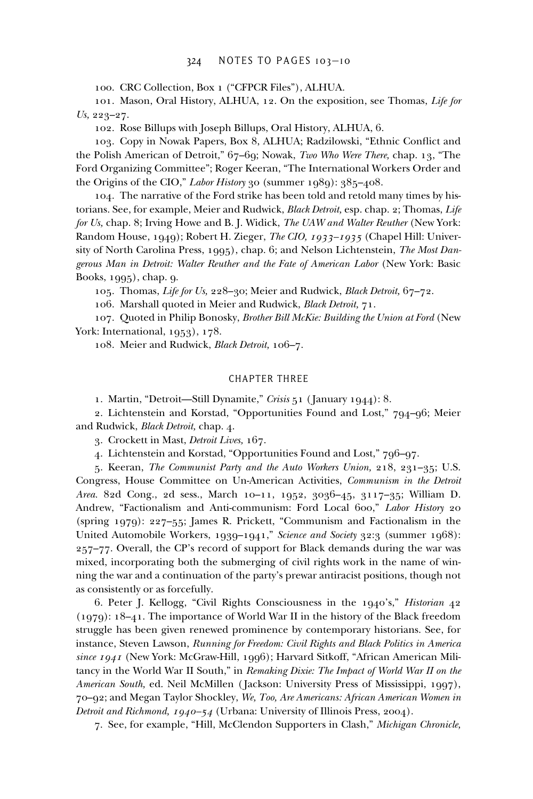100. CRC Collection, Box 1 ("CFPCR Files"), ALHUA.

101. Mason, Oral History, ALHUA, 12. On the exposition, see Thomas, *Life for Us,* 223–27.

102. Rose Billups with Joseph Billups, Oral History, ALHUA, 6.

103. Copy in Nowak Papers, Box 8, ALHUA; Radzilowski, "Ethnic Conflict and the Polish American of Detroit," 67–69; Nowak, *Two Who Were There,* chap. 13, "The Ford Organizing Committee"; Roger Keeran, "The International Workers Order and the Origins of the CIO," *Labor History* 30 (summer 1989): 385–408.

104. The narrative of the Ford strike has been told and retold many times by historians. See, for example, Meier and Rudwick, *Black Detroit,* esp. chap. 2; Thomas, *Life for Us,* chap. 8; Irving Howe and B. J. Widick, *The UAW and Walter Reuther* (New York: Random House, 1949); Robert H. Zieger, *The CIO, 1933–1935* (Chapel Hill: University of North Carolina Press, 1995), chap. 6; and Nelson Lichtenstein, *The Most Dangerous Man in Detroit: Walter Reuther and the Fate of American Labor* (New York: Basic Books, 1995), chap. 9.

105. Thomas, *Life for Us,* 228–30; Meier and Rudwick, *Black Detroit,* 67–72.

106. Marshall quoted in Meier and Rudwick, *Black Detroit,* 71.

107. Quoted in Philip Bonosky, *Brother Bill McKie: Building the Union at Ford* (New York: International, 1953), 178.

108. Meier and Rudwick, *Black Detroit,* 106–7.

# CHAPTER THREE

1. Martin, "Detroit—Still Dynamite," *Crisis* 51 ( January 1944): 8.

2. Lichtenstein and Korstad, "Opportunities Found and Lost," 794–96; Meier and Rudwick, *Black Detroit,* chap. 4.

3. Crockett in Mast, *Detroit Lives,* 167.

4. Lichtenstein and Korstad, "Opportunities Found and Lost," 796–97.

5. Keeran, *The Communist Party and the Auto Workers Union,* 218, 231–35; U.S. Congress, House Committee on Un-American Activities, *Communism in the Detroit Area.* 82d Cong., 2d sess., March 10–11, 1952, 3036–45, 3117–35; William D. Andrew, "Factionalism and Anti-communism: Ford Local 600," *Labor History* 20 (spring 1979): 227–55; James R. Prickett, "Communism and Factionalism in the United Automobile Workers, 1939–1941," *Science and Society* 32:3 (summer 1968): 257–77. Overall, the CP's record of support for Black demands during the war was mixed, incorporating both the submerging of civil rights work in the name of winning the war and a continuation of the party's prewar antiracist positions, though not as consistently or as forcefully.

6. Peter J. Kellogg, "Civil Rights Consciousness in the 1940's," *Historian* 42 (1979): 18–41. The importance of World War II in the history of the Black freedom struggle has been given renewed prominence by contemporary historians. See, for instance, Steven Lawson, *Running for Freedom: Civil Rights and Black Politics in America since 1941* (New York: McGraw-Hill, 1996); Harvard Sitkoff, "African American Militancy in the World War II South," in *Remaking Dixie: The Impact of World War II on the American South,* ed. Neil McMillen ( Jackson: University Press of Mississippi, 1997), 70–92; and Megan Taylor Shockley, *We, Too, Are Americans: African American Women in Detroit and Richmond, 1940–54* (Urbana: University of Illinois Press, 2004).

7. See, for example, "Hill, McClendon Supporters in Clash," *Michigan Chronicle,*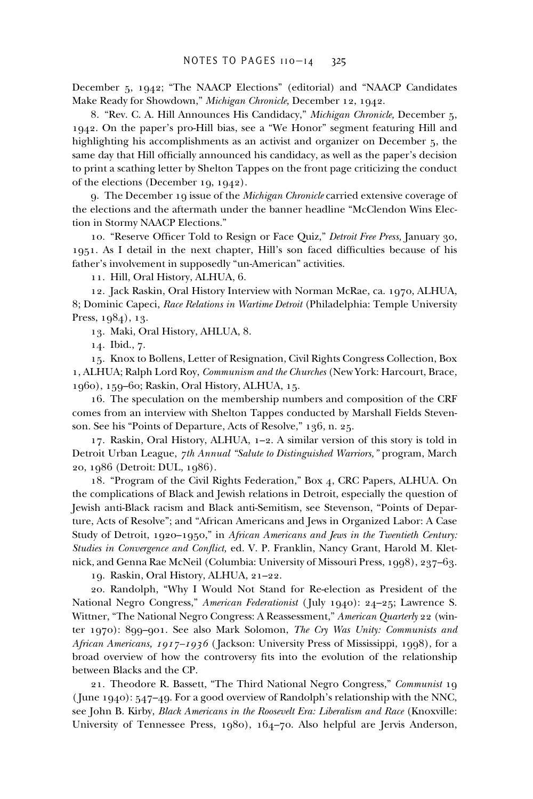December 5, 1942; "The NAACP Elections" (editorial) and "NAACP Candidates Make Ready for Showdown," *Michigan Chronicle,* December 12, 1942.

8. "Rev. C. A. Hill Announces His Candidacy," *Michigan Chronicle,* December 5, 1942. On the paper's pro-Hill bias, see a "We Honor" segment featuring Hill and highlighting his accomplishments as an activist and organizer on December 5, the same day that Hill officially announced his candidacy, as well as the paper's decision to print a scathing letter by Shelton Tappes on the front page criticizing the conduct of the elections (December 19, 1942).

9. The December 19 issue of the *Michigan Chronicle* carried extensive coverage of the elections and the aftermath under the banner headline "McClendon Wins Election in Stormy NAACP Elections."

10. "Reserve Officer Told to Resign or Face Quiz," *Detroit Free Press*, January 30, 1951. As I detail in the next chapter, Hill's son faced difficulties because of his father's involvement in supposedly "un-American" activities.

11. Hill, Oral History, ALHUA, 6.

12. Jack Raskin, Oral History Interview with Norman McRae, ca. 1970, ALHUA, 8; Dominic Capeci, *Race Relations in Wartime Detroit* (Philadelphia: Temple University Press, 1984), 13.

13. Maki, Oral History, AHLUA, 8.

14. Ibid., 7.

15. Knox to Bollens, Letter of Resignation, Civil Rights Congress Collection, Box 1, ALHUA; Ralph Lord Roy, *Communism and the Churches* (New York: Harcourt, Brace, 1960), 159–60; Raskin, Oral History, ALHUA, 15.

16. The speculation on the membership numbers and composition of the CRF comes from an interview with Shelton Tappes conducted by Marshall Fields Stevenson. See his "Points of Departure, Acts of Resolve," 136, n. 25.

17. Raskin, Oral History, ALHUA, 1–2. A similar version of this story is told in Detroit Urban League, *7th Annual "Salute to Distinguished Warriors,"* program, March 20, 1986 (Detroit: DUL, 1986).

18. "Program of the Civil Rights Federation," Box 4, CRC Papers, ALHUA. On the complications of Black and Jewish relations in Detroit, especially the question of Jewish anti-Black racism and Black anti-Semitism, see Stevenson, "Points of Departure, Acts of Resolve"; and "African Americans and Jews in Organized Labor: A Case Study of Detroit, 1920–1950," in *African Americans and Jews in the Twentieth Century: Studies in Convergence and Conflict, ed. V. P. Franklin, Nancy Grant, Harold M. Klet*nick, and Genna Rae McNeil (Columbia: University of Missouri Press, 1998), 237–63.

19. Raskin, Oral History, ALHUA, 21–22.

20. Randolph, "Why I Would Not Stand for Re-election as President of the National Negro Congress," *American Federationist* ( July 1940): 24–25; Lawrence S. Wittner, "The National Negro Congress: A Reassessment," *American Quarterly* 22 (winter 1970): 899–901. See also Mark Solomon, *The Cry Was Unity: Communists and African Americans, 1917–1936* ( Jackson: University Press of Mississippi, 1998), for a broad overview of how the controversy fits into the evolution of the relationship between Blacks and the CP.

21. Theodore R. Bassett, "The Third National Negro Congress," *Communist* 19 ( June 1940): 547–49. For a good overview of Randolph's relationship with the NNC, see John B. Kirby, *Black Americans in the Roosevelt Era: Liberalism and Race* (Knoxville: University of Tennessee Press, 1980), 164–70. Also helpful are Jervis Anderson,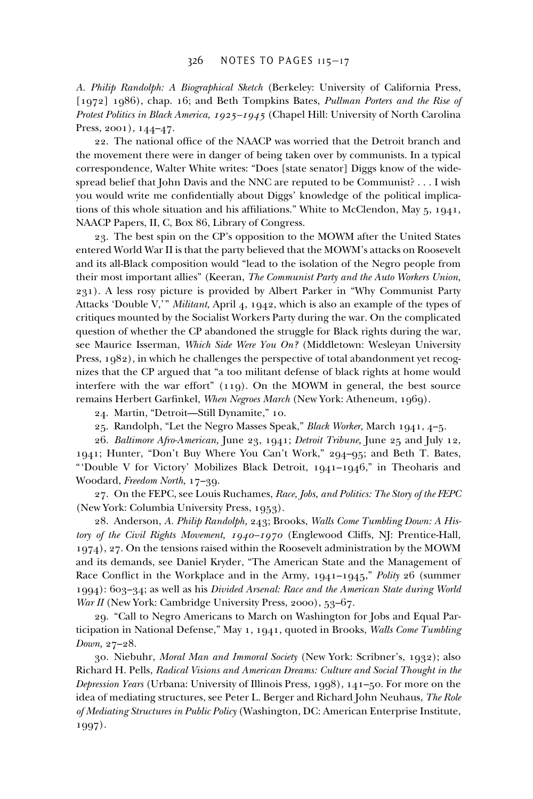*A. Philip Randolph: A Biographical Sketch* (Berkeley: University of California Press, [1972] 1986), chap. 16; and Beth Tompkins Bates, *Pullman Porters and the Rise of Protest Politics in Black America, 1925–1945* (Chapel Hill: University of North Carolina Press, 2001), 144–47.

22. The national office of the NAACP was worried that the Detroit branch and the movement there were in danger of being taken over by communists. In a typical correspondence, Walter White writes: "Does [state senator] Diggs know of the widespread belief that John Davis and the NNC are reputed to be Communist? . . . I wish you would write me confidentially about Diggs' knowledge of the political implications of this whole situation and his affiliations." White to McClendon, May  $5, 1941$ , NAACP Papers, II, C, Box 86, Library of Congress.

23. The best spin on the CP's opposition to the MOWM after the United States entered World War II is that the party believed that the MOWM's attacks on Roosevelt and its all-Black composition would "lead to the isolation of the Negro people from their most important allies" (Keeran, *The Communist Party and the Auto Workers Union,* 231). A less rosy picture is provided by Albert Parker in "Why Communist Party Attacks 'Double V,'" *Militant,* April 4, 1942, which is also an example of the types of critiques mounted by the Socialist Workers Party during the war. On the complicated question of whether the CP abandoned the struggle for Black rights during the war, see Maurice Isserman, *Which Side Were You On?* (Middletown: Wesleyan University Press, 1982), in which he challenges the perspective of total abandonment yet recognizes that the CP argued that "a too militant defense of black rights at home would interfere with the war effort" (119). On the MOWM in general, the best source remains Herbert Garfinkel, *When Negroes March* (New York: Atheneum, 1969).

24. Martin, "Detroit—Still Dynamite," 10.

25. Randolph, "Let the Negro Masses Speak," *Black Worker,* March 1941, 4–5.

26. *Baltimore Afro-American,* June 23, 1941; *Detroit Tribune,* June 25 and July 12, 1941; Hunter, "Don't Buy Where You Can't Work," 294–95; and Beth T. Bates, "'Double V for Victory' Mobilizes Black Detroit, 1941–1946," in Theoharis and Woodard, *Freedom North,* 17–39.

27. On the FEPC, see Louis Ruchames, *Race, Jobs, and Politics: The Story of the FEPC* (New York: Columbia University Press, 1953).

28. Anderson, *A. Philip Randolph,* 243; Brooks, *Walls Come Tumbling Down: A History of the Civil Rights Movement, 1940–1970* (Englewood Cliffs, NJ: Prentice-Hall, 1974), 27. On the tensions raised within the Roosevelt administration by the MOWM and its demands, see Daniel Kryder, "The American State and the Management of Race Conflict in the Workplace and in the Army, 1941–1945," *Polity* 26 (summer 1994): 603–34; as well as his *Divided Arsenal: Race and the American State during World War II* (New York: Cambridge University Press, 2000), 53–67.

29. "Call to Negro Americans to March on Washington for Jobs and Equal Participation in National Defense," May 1, 1941, quoted in Brooks, *Walls Come Tumbling Down,* 27–28.

30. Niebuhr, *Moral Man and Immoral Society* (New York: Scribner's, 1932); also Richard H. Pells, *Radical Visions and American Dreams: Culture and Social Thought in the Depression Years* (Urbana: University of Illinois Press, 1998), 141–50. For more on the idea of mediating structures, see Peter L. Berger and Richard John Neuhaus, *The Role of Mediating Structures in Public Policy* (Washington, DC: American Enterprise Institute, 1997).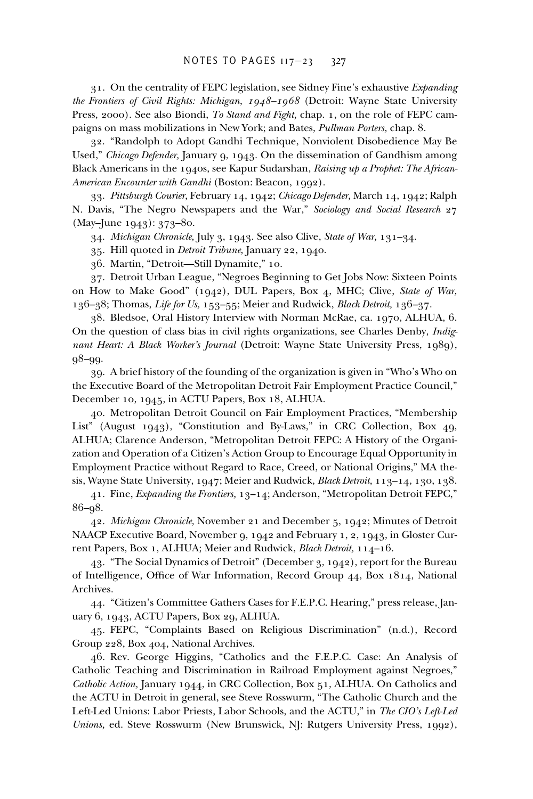31. On the centrality of FEPC legislation, see Sidney Fine's exhaustive *Expanding the Frontiers of Civil Rights: Michigan, 1948–1968* (Detroit: Wayne State University Press, 2000). See also Biondi, *To Stand and Fight,* chap. 1, on the role of FEPC campaigns on mass mobilizations in New York; and Bates, *Pullman Porters,* chap. 8.

32. "Randolph to Adopt Gandhi Technique, Nonviolent Disobedience May Be Used," *Chicago Defender,* January 9, 1943. On the dissemination of Gandhism among Black Americans in the 1940s, see Kapur Sudarshan, *Raising up a Prophet: The African-American Encounter with Gandhi* (Boston: Beacon, 1992).

33. *Pittsburgh Courier,* February 14, 1942; *Chicago Defender,* March 14, 1942; Ralph N. Davis, "The Negro Newspapers and the War," *Sociology and Social Research* 27 (May–June 1943): 373–80.

34. *Michigan Chronicle,* July 3, 1943. See also Clive, *State of War,* 131–34.

35. Hill quoted in *Detroit Tribune,* January 22, 1940.

36. Martin, "Detroit—Still Dynamite," 10.

37. Detroit Urban League, "Negroes Beginning to Get Jobs Now: Sixteen Points on How to Make Good" (1942), DUL Papers, Box 4, MHC; Clive, *State of War,* 136–38; Thomas, *Life for Us,* 153–55; Meier and Rudwick, *Black Detroit,* 136–37.

38. Bledsoe, Oral History Interview with Norman McRae, ca. 1970, ALHUA, 6. On the question of class bias in civil rights organizations, see Charles Denby, *Indignant Heart: A Black Worker's Journal* (Detroit: Wayne State University Press, 1989), 98–99.

39. A brief history of the founding of the organization is given in "Who's Who on the Executive Board of the Metropolitan Detroit Fair Employment Practice Council," December 10, 1945, in ACTU Papers, Box 18, ALHUA.

40. Metropolitan Detroit Council on Fair Employment Practices, "Membership List" (August 1943), "Constitution and By-Laws," in CRC Collection, Box 49, ALHUA; Clarence Anderson, "Metropolitan Detroit FEPC: A History of the Organization and Operation of a Citizen's Action Group to Encourage Equal Opportunity in Employment Practice without Regard to Race, Creed, or National Origins," MA thesis, Wayne State University, 1947; Meier and Rudwick, *Black Detroit,* 113–14, 130, 138.

41. Fine, *Expanding the Frontiers,* 13–14; Anderson, "Metropolitan Detroit FEPC," 86–98.

42. *Michigan Chronicle,* November 21 and December 5, 1942; Minutes of Detroit NAACP Executive Board, November 9, 1942 and February 1, 2, 1943, in Gloster Current Papers, Box 1, ALHUA; Meier and Rudwick, *Black Detroit,* 114–16.

43. "The Social Dynamics of Detroit" (December 3, 1942), report for the Bureau of Intelligence, Office of War Information, Record Group 44, Box 1814, National Archives.

44. "Citizen's Committee Gathers Cases for F.E.P.C. Hearing," press release, January 6, 1943, ACTU Papers, Box 29, ALHUA.

45. FEPC, "Complaints Based on Religious Discrimination" (n.d.), Record Group 228, Box 404, National Archives.

46. Rev. George Higgins, "Catholics and the F.E.P.C. Case: An Analysis of Catholic Teaching and Discrimination in Railroad Employment against Negroes," *Catholic Action,* January 1944, in CRC Collection, Box 51, ALHUA. On Catholics and the ACTU in Detroit in general, see Steve Rosswurm, "The Catholic Church and the Left-Led Unions: Labor Priests, Labor Schools, and the ACTU," in *The CIO's Left-Led Unions,* ed. Steve Rosswurm (New Brunswick, NJ: Rutgers University Press, 1992),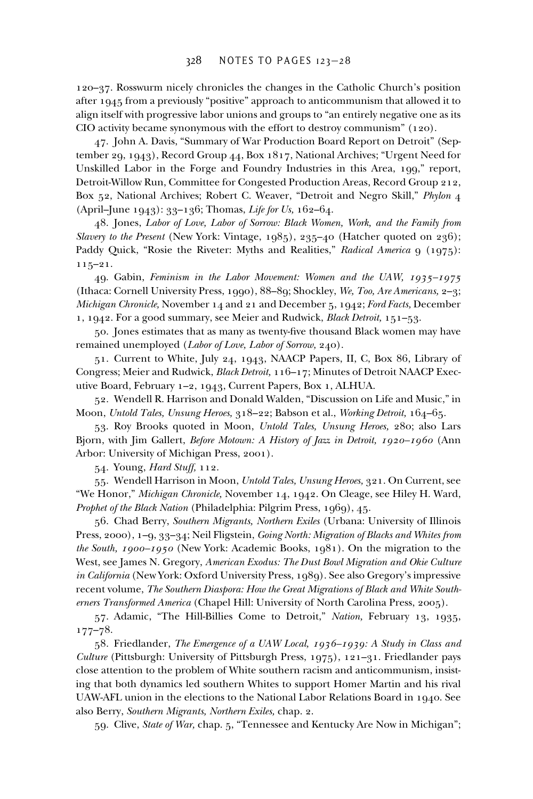120–37. Rosswurm nicely chronicles the changes in the Catholic Church's position after 1945 from a previously "positive" approach to anticommunism that allowed it to align itself with progressive labor unions and groups to "an entirely negative one as its CIO activity became synonymous with the effort to destroy communism" (120).

47. John A. Davis, "Summary of War Production Board Report on Detroit" (September 29, 1943), Record Group 44, Box 1817, National Archives; "Urgent Need for Unskilled Labor in the Forge and Foundry Industries in this Area, 199," report, Detroit-Willow Run, Committee for Congested Production Areas, Record Group 212, Box 52, National Archives; Robert C. Weaver, "Detroit and Negro Skill," *Phylon* 4 (April–June 1943): 33–136; Thomas, *Life for Us,* 162–64.

48. Jones, *Labor of Love, Labor of Sorrow: Black Women, Work, and the Family from Slavery to the Present* (New York: Vintage, 1985), 235–40 (Hatcher quoted on 236); Paddy Quick, "Rosie the Riveter: Myths and Realities," *Radical America* 9 (1975): 115–21.

49. Gabin, *Feminism in the Labor Movement: Women and the UAW, 1935–1975* (Ithaca: Cornell University Press, 1990), 88–89; Shockley, *We, Too, Are Americans,* 2–3; *Michigan Chronicle,* November 14 and 21 and December 5, 1942; *Ford Facts,* December 1, 1942. For a good summary, see Meier and Rudwick, *Black Detroit,* 151–53.

50. Jones estimates that as many as twenty-five thousand Black women may have remained unemployed (*Labor of Love, Labor of Sorrow,* 240).

51. Current to White, July 24, 1943, NAACP Papers, II, C, Box 86, Library of Congress; Meier and Rudwick, *Black Detroit,* 116–17; Minutes of Detroit NAACP Executive Board, February 1–2, 1943, Current Papers, Box 1, ALHUA.

52. Wendell R. Harrison and Donald Walden, "Discussion on Life and Music," in Moon, *Untold Tales, Unsung Heroes,* 318–22; Babson et al., *Working Detroit,* 164–65.

53. Roy Brooks quoted in Moon, *Untold Tales, Unsung Heroes,* 280; also Lars Bjorn, with Jim Gallert, *Before Motown: A History of Jazz in Detroit, 1920–1960* (Ann Arbor: University of Michigan Press, 2001).

54. Young, *Hard Stuff,* 112.

55. Wendell Harrison in Moon, *Untold Tales, Unsung Heroes,* 321. On Current, see "We Honor," *Michigan Chronicle,* November 14, 1942. On Cleage, see Hiley H. Ward, *Prophet of the Black Nation* (Philadelphia: Pilgrim Press, 1969), 45.

56. Chad Berry, *Southern Migrants, Northern Exiles* (Urbana: University of Illinois Press, 2000), 1–9, 33–34; Neil Fligstein, *Going North: Migration of Blacks and Whites from the South, 1900–1950* (New York: Academic Books, 1981). On the migration to the West, see James N. Gregory, *American Exodus: The Dust Bowl Migration and Okie Culture in California* (New York: Oxford University Press, 1989). See also Gregory's impressive recent volume, *The Southern Diaspora: How the Great Migrations of Black and White Southerners Transformed America* (Chapel Hill: University of North Carolina Press, 2005).

57. Adamic, "The Hill-Billies Come to Detroit," *Nation,* February 13, 1935, 177–78.

58. Friedlander, *The Emergence of a UAW Local, 1936–1939: A Study in Class and Culture* (Pittsburgh: University of Pittsburgh Press, 1975), 121–31. Friedlander pays close attention to the problem of White southern racism and anticommunism, insisting that both dynamics led southern Whites to support Homer Martin and his rival UAW-AFL union in the elections to the National Labor Relations Board in 1940. See also Berry, *Southern Migrants, Northern Exiles,* chap. 2.

59. Clive, *State of War,* chap. 5, "Tennessee and Kentucky Are Now in Michigan";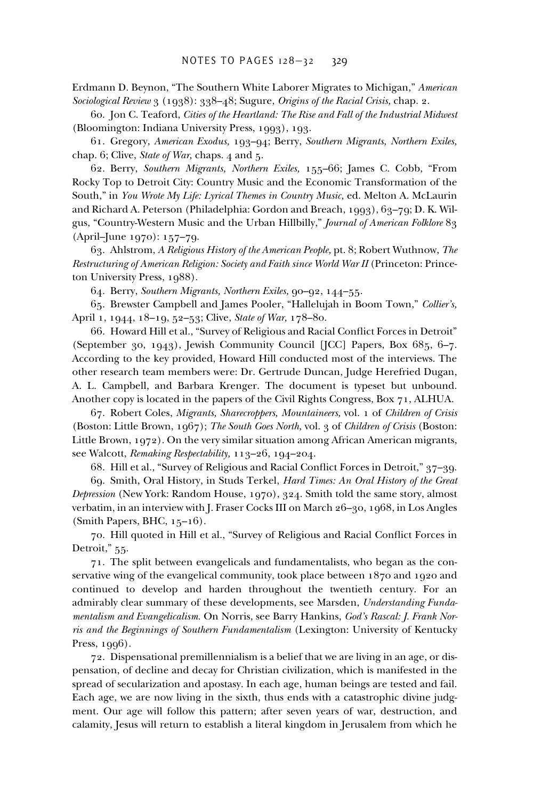Erdmann D. Beynon, "The Southern White Laborer Migrates to Michigan," *American Sociological Review* 3 (1938): 338–48; Sugure, *Origins of the Racial Crisis,* chap. 2.

60. Jon C. Teaford, *Cities of the Heartland: The Rise and Fall of the Industrial Midwest* (Bloomington: Indiana University Press, 1993), 193.

61. Gregory, *American Exodus,* 193–94; Berry, *Southern Migrants, Northern Exiles,* chap. 6; Clive, *State of War,* chaps. 4 and 5.

62. Berry, *Southern Migrants, Northern Exiles,* 155–66; James C. Cobb, "From Rocky Top to Detroit City: Country Music and the Economic Transformation of the South," in *You Wrote My Life: Lyrical Themes in Country Music,* ed. Melton A. McLaurin and Richard A. Peterson (Philadelphia: Gordon and Breach, 1993), 63–79; D. K. Wilgus, "Country-Western Music and the Urban Hillbilly," *Journal of American Folklore* 83 (April–June 1970): 157–79.

63. Ahlstrom, *A Religious History of the American People,* pt. 8; Robert Wuthnow, *The Restructuring of American Religion: Society and Faith since World War II* (Princeton: Princeton University Press, 1988).

64. Berry, *Southern Migrants, Northern Exiles,* 90–92, 144–55.

65. Brewster Campbell and James Pooler, "Hallelujah in Boom Town," *Collier's,* April 1, 1944, 18–19, 52–53; Clive, *State of War,* 178–80.

66. Howard Hill et al., "Survey of Religious and Racial Conflict Forces in Detroit" (September 30, 1943), Jewish Community Council [JCC] Papers, Box 685, 6–7. According to the key provided, Howard Hill conducted most of the interviews. The other research team members were: Dr. Gertrude Duncan, Judge Herefried Dugan, A. L. Campbell, and Barbara Krenger. The document is typeset but unbound. Another copy is located in the papers of the Civil Rights Congress, Box 71, ALHUA.

67. Robert Coles, *Migrants, Sharecroppers, Mountaineers,* vol. 1 of *Children of Crisis* (Boston: Little Brown, 1967); *The South Goes North,* vol. 3 of *Children of Crisis* (Boston: Little Brown, 1972). On the very similar situation among African American migrants, see Walcott, *Remaking Respectability,* 113–26, 194–204.

68. Hill et al., "Survey of Religious and Racial Conflict Forces in Detroit," 37-39.

69. Smith, Oral History, in Studs Terkel, *Hard Times: An Oral History of the Great Depression* (New York: Random House, 1970), 324. Smith told the same story, almost verbatim, in an interview with J. Fraser Cocks III on March 26–30, 1968, in Los Angles (Smith Papers, BHC, 15–16).

70. Hill quoted in Hill et al., "Survey of Religious and Racial Conflict Forces in Detroit," 55.

71. The split between evangelicals and fundamentalists, who began as the conservative wing of the evangelical community, took place between 1870 and 1920 and continued to develop and harden throughout the twentieth century. For an admirably clear summary of these developments, see Marsden, *Understanding Fundamentalism and Evangelicalism.* On Norris, see Barry Hankins, *God's Rascal: J. Frank Norris and the Beginnings of Southern Fundamentalism* (Lexington: University of Kentucky Press, 1996).

72. Dispensational premillennialism is a belief that we are living in an age, or dispensation, of decline and decay for Christian civilization, which is manifested in the spread of secularization and apostasy. In each age, human beings are tested and fail. Each age, we are now living in the sixth, thus ends with a catastrophic divine judgment. Our age will follow this pattern; after seven years of war, destruction, and calamity, Jesus will return to establish a literal kingdom in Jerusalem from which he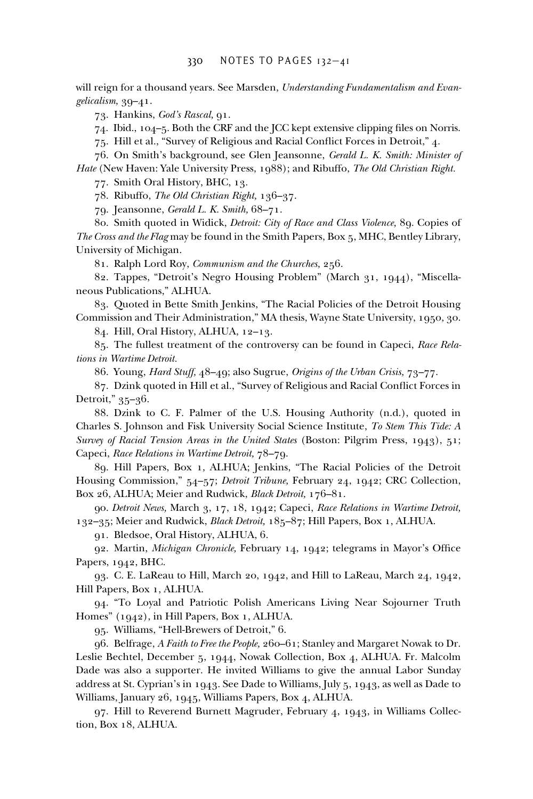will reign for a thousand years. See Marsden, *Understanding Fundamentalism and Evangelicalism,* 39–41.

73. Hankins, *God's Rascal,* 91.

74. Ibid.,  $104-5$ . Both the CRF and the JCC kept extensive clipping files on Norris.

75. Hill et al., "Survey of Religious and Racial Conflict Forces in Detroit," 4.

76. On Smith's background, see Glen Jeansonne, *Gerald L. K. Smith: Minister of Hate* (New Haven: Yale University Press, 1988); and Ribuffo, *The Old Christian Right.*

77. Smith Oral History, BHC, 13.

78. Ribuffo, *The Old Christian Right,* 136–37.

79. Jeansonne, *Gerald L. K. Smith,* 68–71.

80. Smith quoted in Widick, *Detroit: City of Race and Class Violence,* 89. Copies of *The Cross and the Flag* may be found in the Smith Papers, Box 5, MHC, Bentley Library, University of Michigan.

81. Ralph Lord Roy, *Communism and the Churches,* 256.

82. Tappes, "Detroit's Negro Housing Problem" (March 31, 1944), "Miscellaneous Publications," ALHUA.

83. Quoted in Bette Smith Jenkins, "The Racial Policies of the Detroit Housing Commission and Their Administration," MA thesis, Wayne State University, 1950, 30.

84. Hill, Oral History, ALHUA, 12–13.

85. The fullest treatment of the controversy can be found in Capeci, *Race Relations in Wartime Detroit.*

86. Young, *Hard Stuff,* 48–49; also Sugrue, *Origins of the Urban Crisis,* 73–77.

87. Dzink quoted in Hill et al., "Survey of Religious and Racial Conflict Forces in Detroit," 35–36.

88. Dzink to C. F. Palmer of the U.S. Housing Authority (n.d.), quoted in Charles S. Johnson and Fisk University Social Science Institute, *To Stem This Tide: A Survey of Racial Tension Areas in the United States* (Boston: Pilgrim Press, 1943), 51; Capeci, *Race Relations in Wartime Detroit,* 78–79.

89. Hill Papers, Box 1, ALHUA; Jenkins, "The Racial Policies of the Detroit Housing Commission," 54–57; *Detroit Tribune,* February 24, 1942; CRC Collection, Box 26, ALHUA; Meier and Rudwick, *Black Detroit,* 176–81.

90. *Detroit News,* March 3, 17, 18, 1942; Capeci, *Race Relations in Wartime Detroit,* 132–35; Meier and Rudwick, *Black Detroit,* 185–87; Hill Papers, Box 1, ALHUA.

91. Bledsoe, Oral History, ALHUA, 6.

92. Martin, *Michigan Chronicle*, February 14, 1942; telegrams in Mayor's Office Papers, 1942, BHC.

93. C. E. LaReau to Hill, March 20, 1942, and Hill to LaReau, March 24, 1942, Hill Papers, Box 1, ALHUA.

94. "To Loyal and Patriotic Polish Americans Living Near Sojourner Truth Homes" (1942), in Hill Papers, Box 1, ALHUA.

95. Williams, "Hell-Brewers of Detroit," 6.

96. Belfrage, *A Faith to Free the People,* 260–61; Stanley and Margaret Nowak to Dr. Leslie Bechtel, December 5, 1944, Nowak Collection, Box 4, ALHUA. Fr. Malcolm Dade was also a supporter. He invited Williams to give the annual Labor Sunday address at St. Cyprian's in 1943. See Dade to Williams, July 5, 1943, as well as Dade to Williams, January 26, 1945, Williams Papers, Box 4, ALHUA.

97. Hill to Reverend Burnett Magruder, February 4, 1943, in Williams Collection, Box 18, ALHUA.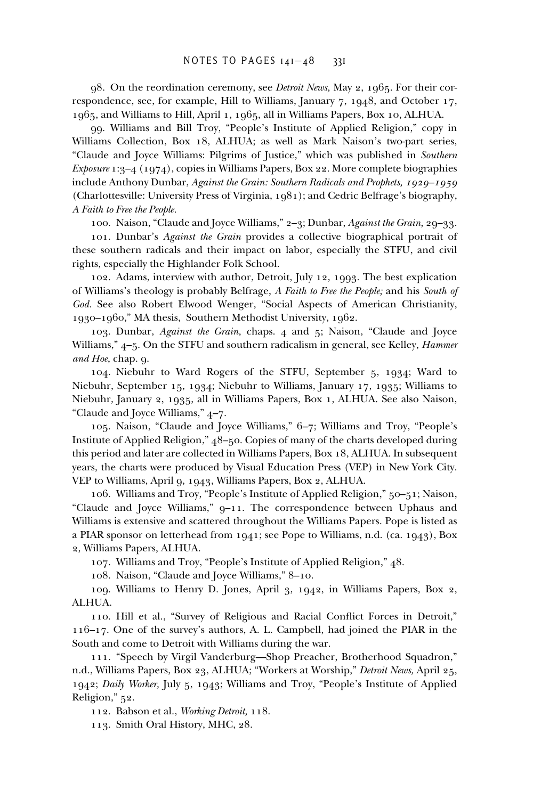98. On the reordination ceremony, see *Detroit News,* May 2, 1965. For their correspondence, see, for example, Hill to Williams, January 7, 1948, and October 17, 1965, and Williams to Hill, April 1, 1965, all in Williams Papers, Box 10, ALHUA.

99. Williams and Bill Troy, "People's Institute of Applied Religion," copy in Williams Collection, Box 18, ALHUA; as well as Mark Naison's two-part series, "Claude and Joyce Williams: Pilgrims of Justice," which was published in *Southern Exposure* 1:3–4 (1974), copies in Williams Papers, Box 22. More complete biographies include Anthony Dunbar, *Against the Grain: Southern Radicals and Prophets, 1929–1959* (Charlottesville: University Press of Virginia, 1981); and Cedric Belfrage's biography, *A Faith to Free the People.*

100. Naison, "Claude and Joyce Williams," 2–3; Dunbar, *Against the Grain,* 29–33.

101. Dunbar's *Against the Grain* provides a collective biographical portrait of these southern radicals and their impact on labor, especially the STFU, and civil rights, especially the Highlander Folk School.

102. Adams, interview with author, Detroit, July 12, 1993. The best explication of Williams's theology is probably Belfrage, *A Faith to Free the People;* and his *South of God.* See also Robert Elwood Wenger, "Social Aspects of American Christianity, 1930–1960," MA thesis, Southern Methodist University, 1962.

103. Dunbar, *Against the Grain,* chaps. 4 and 5; Naison, "Claude and Joyce Williams," 4–5. On the STFU and southern radicalism in general, see Kelley, *Hammer and Hoe,* chap. 9.

104. Niebuhr to Ward Rogers of the STFU, September 5, 1934; Ward to Niebuhr, September 15, 1934; Niebuhr to Williams, January 17, 1935; Williams to Niebuhr, January 2, 1935, all in Williams Papers, Box 1, ALHUA. See also Naison, "Claude and Joyce Williams," 4–7.

105. Naison, "Claude and Joyce Williams," 6–7; Williams and Troy, "People's Institute of Applied Religion," 48–50. Copies of many of the charts developed during this period and later are collected in Williams Papers, Box 18, ALHUA. In subsequent years, the charts were produced by Visual Education Press (VEP) in New York City. VEP to Williams, April 9, 1943, Williams Papers, Box 2, ALHUA.

106. Williams and Troy, "People's Institute of Applied Religion," 50–51; Naison, "Claude and Joyce Williams," 9–11. The correspondence between Uphaus and Williams is extensive and scattered throughout the Williams Papers. Pope is listed as a PIAR sponsor on letterhead from  $1941$ ; see Pope to Williams, n.d. (ca.  $1943$ ), Box 2, Williams Papers, ALHUA.

107. Williams and Troy, "People's Institute of Applied Religion," 48.

108. Naison, "Claude and Joyce Williams," 8–10.

109. Williams to Henry D. Jones, April 3, 1942, in Williams Papers, Box 2, ALHUA.

110. Hill et al., "Survey of Religious and Racial Conflict Forces in Detroit," 116–17. One of the survey's authors, A. L. Campbell, had joined the PIAR in the South and come to Detroit with Williams during the war.

111. "Speech by Virgil Vanderburg—Shop Preacher, Brotherhood Squadron," n.d., Williams Papers, Box 23, ALHUA; "Workers at Worship," *Detroit News,* April 25, 1942; *Daily Worker,* July 5, 1943; Williams and Troy, "People's Institute of Applied Religion," 52.

112. Babson et al., *Working Detroit,* 118.

113. Smith Oral History, MHC, 28.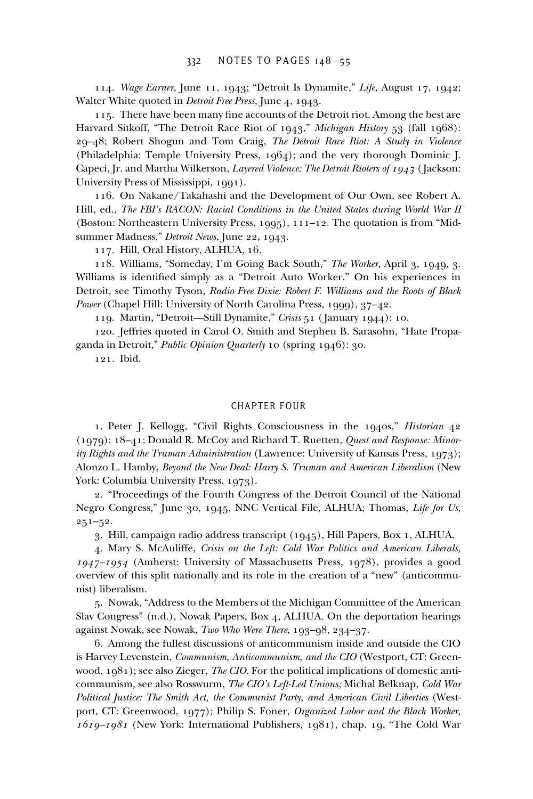114. *Wage Earner,* June 11, 1943; "Detroit Is Dynamite," *Life,* August 17, 1942; Walter White quoted in *Detroit Free Press,* June 4, 1943.

115. There have been many fine accounts of the Detroit riot. Among the best are Harvard Sitkoff, "The Detroit Race Riot of 1943," *Michigan History* 53 (fall 1968): 29–48; Robert Shogun and Tom Craig, *The Detroit Race Riot: A Study in Violence* (Philadelphia: Temple University Press, 1964); and the very thorough Dominic J. Capeci, Jr. and Martha Wilkerson, *Layered Violence: The Detroit Rioters of 1943* ( Jackson: University Press of Mississippi, 1991).

116. On Nakane/Takahashi and the Development of Our Own, see Robert A. Hill, ed., *The FBI's RACON: Racial Conditions in the United States during World War II* (Boston: Northeastern University Press, 1995), 111–12. The quotation is from "Midsummer Madness," *Detroit News,* June 22, 1943.

117. Hill, Oral History, ALHUA, 16.

118. Williams, "Someday, I'm Going Back South," *The Worker,* April 3, 1949, 3. Williams is identified simply as a "Detroit Auto Worker." On his experiences in Detroit, see Timothy Tyson, *Radio Free Dixie: Robert F. Williams and the Roots of Black Power* (Chapel Hill: University of North Carolina Press, 1999), 37–42.

119. Martin, "Detroit—Still Dynamite," *Crisis* 51 ( January 1944): 10.

120. Jeffries quoted in Carol O. Smith and Stephen B. Sarasohn, "Hate Propaganda in Detroit," *Public Opinion Quarterly* 10 (spring 1946): 30.

121. Ibid.

# CHAPTER FOUR

1. Peter J. Kellogg, "Civil Rights Consciousness in the 1940s," *Historian* 42 (1979): 18–41; Donald R. McCoy and Richard T. Ruetten, *Quest and Response: Minority Rights and the Truman Administration* (Lawrence: University of Kansas Press, 1973); Alonzo L. Hamby, *Beyond the New Deal: Harry S. Truman and American Liberalism* (New York: Columbia University Press, 1973).

2. "Proceedings of the Fourth Congress of the Detroit Council of the National Negro Congress," June 30, 1945, NNC Vertical File, ALHUA; Thomas, *Life for Us,* 251–52.

3. Hill, campaign radio address transcript (1945), Hill Papers, Box 1, ALHUA.

4. Mary S. McAuliffe, *Crisis on the Left: Cold War Politics and American Liberals, 1947–1954* (Amherst: University of Massachusetts Press, 1978), provides a good overview of this split nationally and its role in the creation of a "new" (anticommunist) liberalism.

5. Nowak, "Address to the Members of the Michigan Committee of the American Slav Congress" (n.d.), Nowak Papers, Box 4, ALHUA. On the deportation hearings against Nowak, see Nowak, *Two Who Were There,* 193–98, 234–37.

6. Among the fullest discussions of anticommunism inside and outside the CIO is Harvey Levenstein, *Communism, Anticommunism, and the CIO* (Westport, CT: Greenwood, 1981); see also Zieger, *The CIO.* For the political implications of domestic anticommunism, see also Rosswurm, *The CIO's Left-Led Unions;* Michal Belknap, *Cold War Political Justice: The Smith Act, the Communist Party, and American Civil Liberties* (Westport, CT: Greenwood, 1977); Philip S. Foner, *Organized Labor and the Black Worker, 1619–1981* (New York: International Publishers, 1981), chap. 19, "The Cold War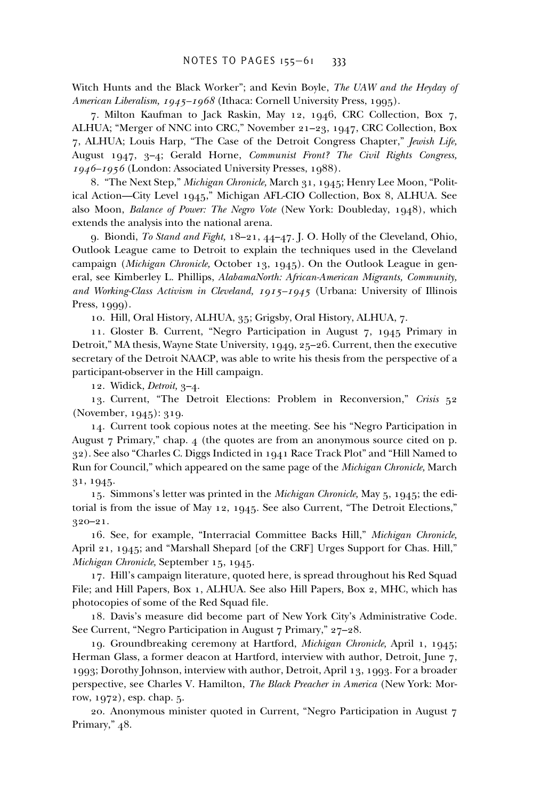Witch Hunts and the Black Worker"; and Kevin Boyle, *The UAW and the Heyday of American Liberalism, 1945–1968* (Ithaca: Cornell University Press, 1995).

7. Milton Kaufman to Jack Raskin, May 12, 1946, CRC Collection, Box 7, ALHUA; "Merger of NNC into CRC," November 21–23, 1947, CRC Collection, Box 7, ALHUA; Louis Harp, "The Case of the Detroit Congress Chapter," *Jewish Life,* August 1947, 3–4; Gerald Horne, *Communist Front? The Civil Rights Congress, 1946–1956* (London: Associated University Presses, 1988).

8. "The Next Step," *Michigan Chronicle,* March 31, 1945; Henry Lee Moon, "Political Action—City Level 1945," Michigan AFL-CIO Collection, Box 8, ALHUA. See also Moon, *Balance of Power: The Negro Vote* (New York: Doubleday, 1948), which extends the analysis into the national arena.

9. Biondi, *To Stand and Fight,* 18–21, 44–47. J. O. Holly of the Cleveland, Ohio, Outlook League came to Detroit to explain the techniques used in the Cleveland campaign (*Michigan Chronicle,* October 13, 1945). On the Outlook League in general, see Kimberley L. Phillips, *AlabamaNorth: African-American Migrants, Community, and Working-Class Activism in Cleveland, 1915–1945* (Urbana: University of Illinois Press, 1999).

10. Hill, Oral History, ALHUA, 35; Grigsby, Oral History, ALHUA, 7.

11. Gloster B. Current, "Negro Participation in August 7, 1945 Primary in Detroit," MA thesis, Wayne State University, 1949, 25–26. Current, then the executive secretary of the Detroit NAACP, was able to write his thesis from the perspective of a participant-observer in the Hill campaign.

12. Widick, *Detroit,* 3–4.

13. Current, "The Detroit Elections: Problem in Reconversion," *Crisis* 52 (November, 1945): 319.

14. Current took copious notes at the meeting. See his "Negro Participation in August 7 Primary," chap. 4 (the quotes are from an anonymous source cited on p. 32). See also "Charles C. Diggs Indicted in 1941 Race Track Plot" and "Hill Named to Run for Council," which appeared on the same page of the *Michigan Chronicle,* March 31, 1945.

15. Simmons's letter was printed in the *Michigan Chronicle,* May 5, 1945; the editorial is from the issue of May 12, 1945. See also Current, "The Detroit Elections," 320–21.

16. See, for example, "Interracial Committee Backs Hill," *Michigan Chronicle,* April 21, 1945; and "Marshall Shepard [of the CRF] Urges Support for Chas. Hill," *Michigan Chronicle,* September 15, 1945.

17. Hill's campaign literature, quoted here, is spread throughout his Red Squad File; and Hill Papers, Box 1, ALHUA. See also Hill Papers, Box 2, MHC, which has photocopies of some of the Red Squad file.

18. Davis's measure did become part of New York City's Administrative Code. See Current, "Negro Participation in August 7 Primary," 27–28.

19. Groundbreaking ceremony at Hartford, *Michigan Chronicle,* April 1, 1945; Herman Glass, a former deacon at Hartford, interview with author, Detroit, June 7, 1993; Dorothy Johnson, interview with author, Detroit, April 13, 1993. For a broader perspective, see Charles V. Hamilton, *The Black Preacher in America* (New York: Morrow, 1972), esp. chap. 5.

20. Anonymous minister quoted in Current, "Negro Participation in August 7 Primary," 48.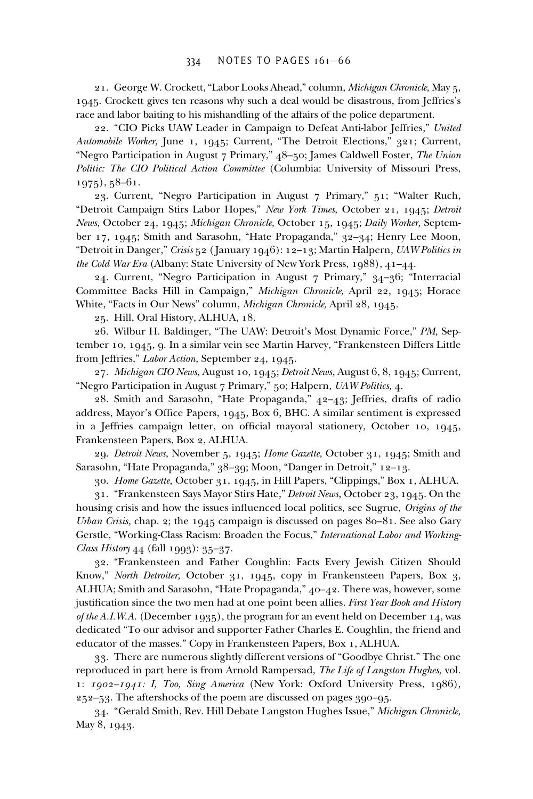# 334 NOTES TO PAGES 161–66

21. George W. Crockett, "Labor Looks Ahead," column, *Michigan Chronicle,* May 5, 1945. Crockett gives ten reasons why such a deal would be disastrous, from Jeffries's race and labor baiting to his mishandling of the affairs of the police department.

22. "CIO Picks UAW Leader in Campaign to Defeat Anti-labor Jeffries," *United Automobile Worker,* June 1, 1945; Current, "The Detroit Elections," 321; Current, "Negro Participation in August 7 Primary," 48–50; James Caldwell Foster, *The Union Politic: The CIO Political Action Committee* (Columbia: University of Missouri Press, 1975), 58–61.

23. Current, "Negro Participation in August 7 Primary," 51; "Walter Ruch, "Detroit Campaign Stirs Labor Hopes," *New York Times,* October 21, 1945; *Detroit News,* October 24, 1945; *Michigan Chronicle,* October 15, 1945; *Daily Worker,* September 17, 1945; Smith and Sarasohn, "Hate Propaganda," 32–34; Henry Lee Moon, "Detroit in Danger," *Crisis* 52 ( January 1946): 12–13; Martin Halpern, *UAW Politics in the Cold War Era* (Albany: State University of New York Press, 1988), 41–44.

24. Current, "Negro Participation in August 7 Primary," 34–36; "Interracial Committee Backs Hill in Campaign," *Michigan Chronicle,* April 22, 1945; Horace White, "Facts in Our News" column, *Michigan Chronicle,* April 28, 1945.

25. Hill, Oral History, ALHUA, 18.

26. Wilbur H. Baldinger, "The UAW: Detroit's Most Dynamic Force," *PM,* September 10, 1945, 9. In a similar vein see Martin Harvey, "Frankensteen Differs Little from Jeffries," *Labor Action,* September 24, 1945.

27. *Michigan CIO News,* August 10, 1945; *Detroit News,* August 6, 8, 1945; Current, "Negro Participation in August 7 Primary," 50; Halpern, *UAW Politics,* 4.

28. Smith and Sarasohn, "Hate Propaganda," 42–43; Jeffries, drafts of radio address, Mayor's Office Papers, 1945, Box 6, BHC. A similar sentiment is expressed in a Jeffries campaign letter, on official mayoral stationery, October 10, 1945, Frankensteen Papers, Box 2, ALHUA.

29. *Detroit News,* November 5, 1945; *Home Gazette,* October 31, 1945; Smith and Sarasohn, "Hate Propaganda," 38–39; Moon, "Danger in Detroit," 12–13.

30. *Home Gazette,* October 31, 1945, in Hill Papers, "Clippings," Box 1, ALHUA.

31. "Frankensteen Says Mayor Stirs Hate," *Detroit News,* October 23, 1945. On the housing crisis and how the issues influenced local politics, see Sugrue, *Origins of the Urban Crisis,* chap. 2; the 1945 campaign is discussed on pages 80–81. See also Gary Gerstle, "Working-Class Racism: Broaden the Focus," *International Labor and Working-Class History* 44 (fall 1993): 35–37.

32. "Frankensteen and Father Coughlin: Facts Every Jewish Citizen Should Know," *North Detroiter,* October 31, 1945, copy in Frankensteen Papers, Box 3, ALHUA; Smith and Sarasohn, "Hate Propaganda," 40–42. There was, however, some justification since the two men had at one point been allies. *First Year Book and History of the A.I.W.A.* (December 1935), the program for an event held on December 14, was dedicated "To our advisor and supporter Father Charles E. Coughlin, the friend and educator of the masses." Copy in Frankensteen Papers, Box 1, ALHUA.

33. There are numerous slightly different versions of "Goodbye Christ." The one reproduced in part here is from Arnold Rampersad, *The Life of Langston Hughes,* vol. 1: *1902–1941: I, Too, Sing America* (New York: Oxford University Press, 1986), 252–53. The aftershocks of the poem are discussed on pages 390–95.

34. "Gerald Smith, Rev. Hill Debate Langston Hughes Issue," *Michigan Chronicle,* May 8, 1943.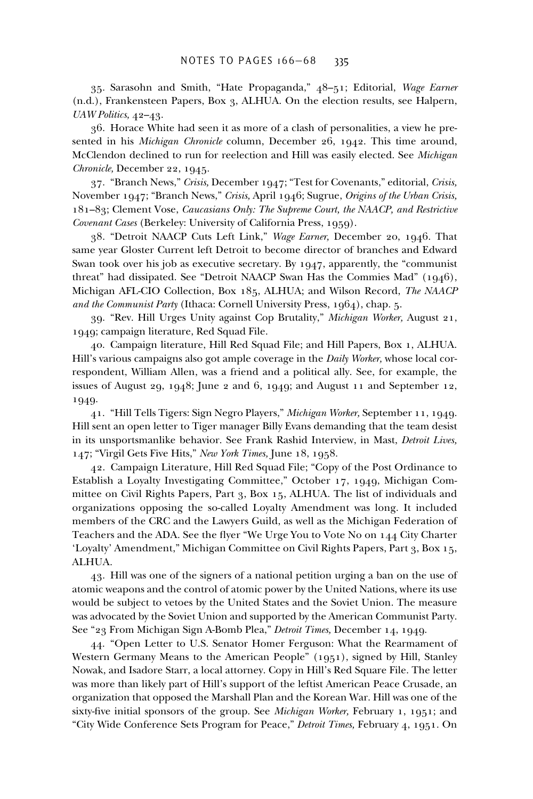35. Sarasohn and Smith, "Hate Propaganda," 48–51; Editorial, *Wage Earner* (n.d.), Frankensteen Papers, Box 3, ALHUA. On the election results, see Halpern, *UAW Politics,* 42–43.

36. Horace White had seen it as more of a clash of personalities, a view he presented in his *Michigan Chronicle* column, December 26, 1942. This time around, McClendon declined to run for reelection and Hill was easily elected. See *Michigan Chronicle,* December 22, 1945.

37. "Branch News," *Crisis,* December 1947; "Test for Covenants," editorial, *Crisis,* November 1947; "Branch News," *Crisis,* April 1946; Sugrue, *Origins of the Urban Crisis,* 181–83; Clement Vose, *Caucasians Only: The Supreme Court, the NAACP, and Restrictive Covenant Cases* (Berkeley: University of California Press, 1959).

38. "Detroit NAACP Cuts Left Link," *Wage Earner,* December 20, 1946. That same year Gloster Current left Detroit to become director of branches and Edward Swan took over his job as executive secretary. By 1947, apparently, the "communist threat" had dissipated. See "Detroit NAACP Swan Has the Commies Mad" (1946), Michigan AFL-CIO Collection, Box 185, ALHUA; and Wilson Record, *The NAACP and the Communist Party* (Ithaca: Cornell University Press, 1964), chap. 5.

39. "Rev. Hill Urges Unity against Cop Brutality," *Michigan Worker,* August 21, 1949; campaign literature, Red Squad File.

40. Campaign literature, Hill Red Squad File; and Hill Papers, Box 1, ALHUA. Hill's various campaigns also got ample coverage in the *Daily Worker,* whose local correspondent, William Allen, was a friend and a political ally. See, for example, the issues of August 29, 1948; June 2 and 6, 1949; and August 11 and September 12, 1949.

41. "Hill Tells Tigers: Sign Negro Players," *Michigan Worker,* September 11, 1949. Hill sent an open letter to Tiger manager Billy Evans demanding that the team desist in its unsportsmanlike behavior. See Frank Rashid Interview, in Mast, *Detroit Lives,* 147; "Virgil Gets Five Hits," *New York Times,* June 18, 1958.

42. Campaign Literature, Hill Red Squad File; "Copy of the Post Ordinance to Establish a Loyalty Investigating Committee," October 17, 1949, Michigan Committee on Civil Rights Papers, Part 3, Box 15, ALHUA. The list of individuals and organizations opposing the so-called Loyalty Amendment was long. It included members of the CRC and the Lawyers Guild, as well as the Michigan Federation of Teachers and the ADA. See the flyer "We Urge You to Vote No on 144 City Charter 'Loyalty' Amendment," Michigan Committee on Civil Rights Papers, Part 3, Box 15, ALHUA.

43. Hill was one of the signers of a national petition urging a ban on the use of atomic weapons and the control of atomic power by the United Nations, where its use would be subject to vetoes by the United States and the Soviet Union. The measure was advocated by the Soviet Union and supported by the American Communist Party. See "23 From Michigan Sign A-Bomb Plea," *Detroit Times,* December 14, 1949.

44. "Open Letter to U.S. Senator Homer Ferguson: What the Rearmament of Western Germany Means to the American People" (1951), signed by Hill, Stanley Nowak, and Isadore Starr, a local attorney. Copy in Hill's Red Square File. The letter was more than likely part of Hill's support of the leftist American Peace Crusade, an organization that opposed the Marshall Plan and the Korean War. Hill was one of the sixty-five initial sponsors of the group. See *Michigan Worker*, February 1, 1951; and "City Wide Conference Sets Program for Peace," *Detroit Times,* February 4, 1951. On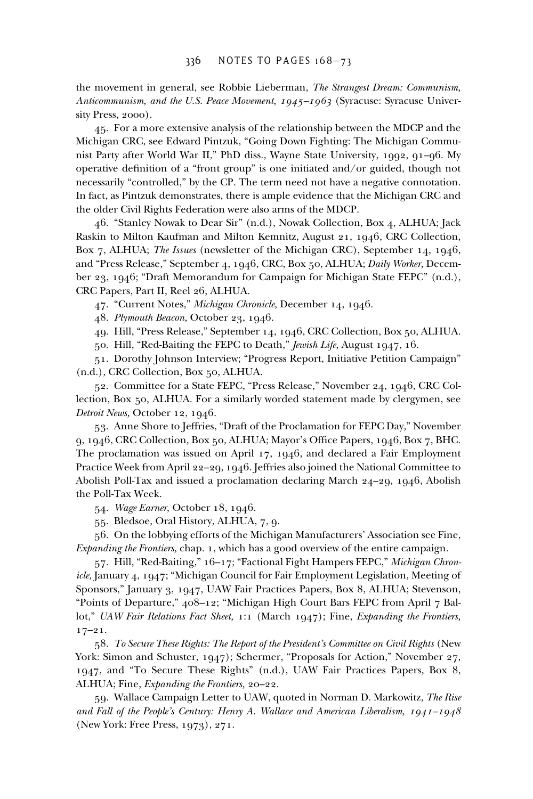the movement in general, see Robbie Lieberman, *The Strangest Dream: Communism, Anticommunism, and the U.S. Peace Movement, 1945–1963* (Syracuse: Syracuse University Press, 2000).

45. For a more extensive analysis of the relationship between the MDCP and the Michigan CRC, see Edward Pintzuk, "Going Down Fighting: The Michigan Communist Party after World War II," PhD diss., Wayne State University, 1992, 91–96. My operative definition of a "front group" is one initiated and/or guided, though not necessarily "controlled," by the CP. The term need not have a negative connotation. In fact, as Pintzuk demonstrates, there is ample evidence that the Michigan CRC and the older Civil Rights Federation were also arms of the MDCP.

46. "Stanley Nowak to Dear Sir" (n.d.), Nowak Collection, Box 4, ALHUA; Jack Raskin to Milton Kaufman and Milton Kemnitz, August 21, 1946, CRC Collection, Box 7, ALHUA; *The Issues* (newsletter of the Michigan CRC), September 14, 1946, and "Press Release," September 4, 1946, CRC, Box 50, ALHUA; *Daily Worker,* December 23, 1946; "Draft Memorandum for Campaign for Michigan State FEPC" (n.d.), CRC Papers, Part II, Reel 26, ALHUA.

47. "Current Notes," *Michigan Chronicle,* December 14, 1946.

48. *Plymouth Beacon,* October 23, 1946.

49. Hill, "Press Release," September 14, 1946, CRC Collection, Box 50, ALHUA.

50. Hill, "Red-Baiting the FEPC to Death," *Jewish Life,* August 1947, 16.

51. Dorothy Johnson Interview; "Progress Report, Initiative Petition Campaign" (n.d.), CRC Collection, Box 50, ALHUA.

52. Committee for a State FEPC, "Press Release," November 24, 1946, CRC Collection, Box 50, ALHUA. For a similarly worded statement made by clergymen, see *Detroit News,* October 12, 1946.

53. Anne Shore to Jeffries, "Draft of the Proclamation for FEPC Day," November 9, 1946, CRC Collection, Box 50, ALHUA; Mayor's Office Papers, 1946, Box 7, BHC. The proclamation was issued on April 17, 1946, and declared a Fair Employment Practice Week from April 22–29, 1946. Jeffries also joined the National Committee to Abolish Poll-Tax and issued a proclamation declaring March 24–29, 1946, Abolish the Poll-Tax Week.

54. *Wage Earner,* October 18, 1946.

55. Bledsoe, Oral History, ALHUA, 7, 9.

56. On the lobbying efforts of the Michigan Manufacturers' Association see Fine, *Expanding the Frontiers,* chap. 1, which has a good overview of the entire campaign.

57. Hill, "Red-Baiting," 16–17; "Factional Fight Hampers FEPC," *Michigan Chronicle,* January 4, 1947; "Michigan Council for Fair Employment Legislation, Meeting of Sponsors," January 3, 1947, UAW Fair Practices Papers, Box 8, ALHUA; Stevenson, "Points of Departure," 408–12; "Michigan High Court Bars FEPC from April 7 Ballot," *UAW Fair Relations Fact Sheet,* 1:1 (March 1947); Fine, *Expanding the Frontiers,*  $17-21.$ 

58. *To Secure These Rights: The Report of the President's Committee on Civil Rights* (New York: Simon and Schuster, 1947); Schermer, "Proposals for Action," November 27, 1947, and "To Secure These Rights" (n.d.), UAW Fair Practices Papers, Box 8, ALHUA; Fine, *Expanding the Frontiers,* 20–22.

59. Wallace Campaign Letter to UAW, quoted in Norman D. Markowitz, *The Rise and Fall of the People's Century: Henry A. Wallace and American Liberalism, 1941–1948* (New York: Free Press, 1973), 271.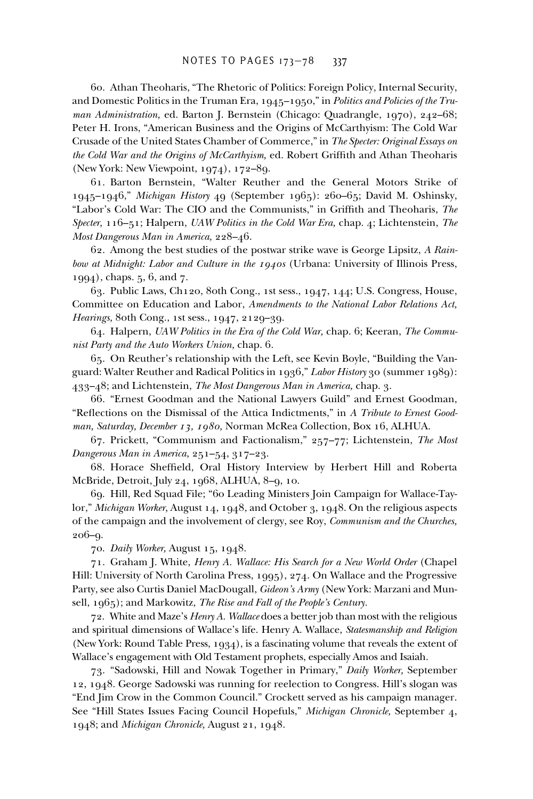60. Athan Theoharis, "The Rhetoric of Politics: Foreign Policy, Internal Security, and Domestic Politics in the Truman Era, 1945–1950," in *Politics and Policies of the Truman Administration,* ed. Barton J. Bernstein (Chicago: Quadrangle, 1970), 242–68; Peter H. Irons, "American Business and the Origins of McCarthyism: The Cold War Crusade of the United States Chamber of Commerce," in *The Specter: Original Essays on the Cold War and the Origins of McCarthyism, ed. Robert Griffith and Athan Theoharis* (New York: New Viewpoint, 1974), 172–89.

61. Barton Bernstein, "Walter Reuther and the General Motors Strike of 1945–1946," *Michigan History* 49 (September 1965): 260–65; David M. Oshinsky, "Labor's Cold War: The CIO and the Communists," in Griffith and Theoharis, *The Specter,* 116–51; Halpern, *UAW Politics in the Cold War Era,* chap. 4; Lichtenstein, *The Most Dangerous Man in America,* 228–46.

62. Among the best studies of the postwar strike wave is George Lipsitz, *A Rainbow at Midnight: Labor and Culture in the 1940s* (Urbana: University of Illinois Press, 1994), chaps. 5, 6, and 7.

63. Public Laws, Ch120, 80th Cong., 1st sess., 1947, 144; U.S. Congress, House, Committee on Education and Labor, *Amendments to the National Labor Relations Act, Hearings,* 80th Cong., 1st sess., 1947, 2129–39.

64. Halpern, *UAW Politics in the Era of the Cold War,* chap. 6; Keeran, *The Communist Party and the Auto Workers Union,* chap. 6.

65. On Reuther's relationship with the Left, see Kevin Boyle, "Building the Vanguard: Walter Reuther and Radical Politics in 1936," *Labor History* 30 (summer 1989): 433–48; and Lichtenstein, *The Most Dangerous Man in America,* chap. 3.

66. "Ernest Goodman and the National Lawyers Guild" and Ernest Goodman, "Reflections on the Dismissal of the Attica Indictments," in *A Tribute to Ernest Goodman, Saturday, December 13, 1980,* Norman McRea Collection, Box 16, ALHUA.

67. Prickett, "Communism and Factionalism," 257–77; Lichtenstein, *The Most Dangerous Man in America,* 251–54, 317–23.

68. Horace Sheffield, Oral History Interview by Herbert Hill and Roberta McBride, Detroit, July 24, 1968, ALHUA, 8–9, 10.

69. Hill, Red Squad File; "60 Leading Ministers Join Campaign for Wallace-Taylor," *Michigan Worker,* August 14, 1948, and October 3, 1948. On the religious aspects of the campaign and the involvement of clergy, see Roy, *Communism and the Churches,* 206–9.

70. *Daily Worker,* August 15, 1948.

71. Graham J. White, *Henry A. Wallace: His Search for a New World Order* (Chapel Hill: University of North Carolina Press, 1995), 274. On Wallace and the Progressive Party, see also Curtis Daniel MacDougall, *Gideon's Army* (New York: Marzani and Munsell, 1965); and Markowitz, *The Rise and Fall of the People's Century.*

72. White and Maze's *Henry A. Wallace* does a better job than most with the religious and spiritual dimensions of Wallace's life. Henry A. Wallace, *Statesmanship and Religion* (New York: Round Table Press, 1934), is a fascinating volume that reveals the extent of Wallace's engagement with Old Testament prophets, especially Amos and Isaiah.

73. "Sadowski, Hill and Nowak Together in Primary," *Daily Worker,* September 12, 1948. George Sadowski was running for reelection to Congress. Hill's slogan was "End Jim Crow in the Common Council." Crockett served as his campaign manager. See "Hill States Issues Facing Council Hopefuls," *Michigan Chronicle,* September 4, 1948; and *Michigan Chronicle,* August 21, 1948.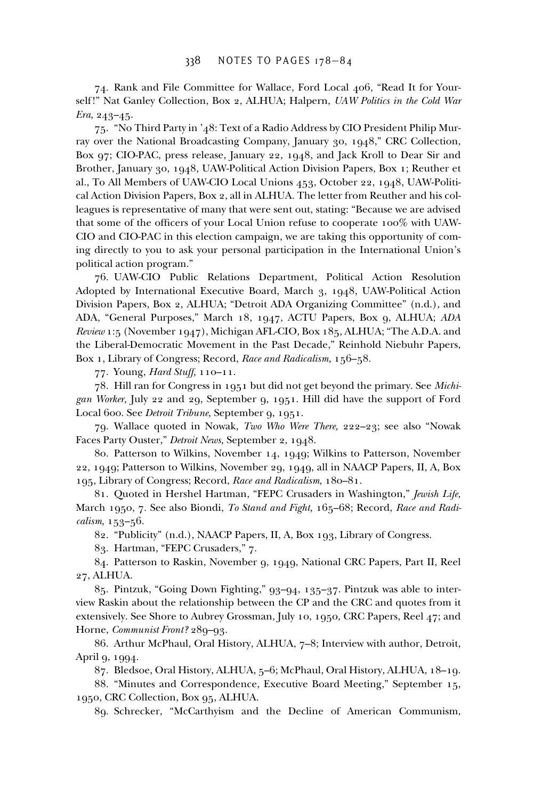74. Rank and File Committee for Wallace, Ford Local 406, "Read It for Yourself!" Nat Ganley Collection, Box 2, ALHUA; Halpern, *UAW Politics in the Cold War Era,* 243–45.

75. "No Third Party in '48: Text of a Radio Address by CIO President Philip Murray over the National Broadcasting Company, January 30, 1948," CRC Collection, Box 97; CIO-PAC, press release, January 22, 1948, and Jack Kroll to Dear Sir and Brother, January 30, 1948, UAW-Political Action Division Papers, Box 1; Reuther et al., To All Members of UAW-CIO Local Unions 453, October 22, 1948, UAW-Political Action Division Papers, Box 2, all in ALHUA. The letter from Reuther and his colleagues is representative of many that were sent out, stating: "Because we are advised that some of the officers of your Local Union refuse to cooperate 100% with UAW-CIO and CIO-PAC in this election campaign, we are taking this opportunity of coming directly to you to ask your personal participation in the International Union's political action program."

76. UAW-CIO Public Relations Department, Political Action Resolution Adopted by International Executive Board, March 3, 1948, UAW-Political Action Division Papers, Box 2, ALHUA; "Detroit ADA Organizing Committee" (n.d.), and ADA, "General Purposes," March 18, 1947, ACTU Papers, Box 9, ALHUA; *ADA Review* 1:5 (November 1947), Michigan AFL-CIO, Box 185, ALHUA; "The A.D.A. and the Liberal-Democratic Movement in the Past Decade," Reinhold Niebuhr Papers, Box 1, Library of Congress; Record, *Race and Radicalism,* 156–58.

77. Young, *Hard Stuff,* 110–11.

78. Hill ran for Congress in 1951 but did not get beyond the primary. See *Michigan Worker,* July 22 and 29, September 9, 1951. Hill did have the support of Ford Local 600. See *Detroit Tribune,* September 9, 1951.

79. Wallace quoted in Nowak, *Two Who Were There,* 222–23; see also "Nowak Faces Party Ouster," *Detroit News,* September 2, 1948.

80. Patterson to Wilkins, November 14, 1949; Wilkins to Patterson, November 22, 1949; Patterson to Wilkins, November 29, 1949, all in NAACP Papers, II, A, Box 195, Library of Congress; Record, *Race and Radicalism,* 180–81.

81. Quoted in Hershel Hartman, "FEPC Crusaders in Washington," *Jewish Life,* March 1950, 7. See also Biondi, *To Stand and Fight,* 165–68; Record, *Race and Radicalism,* 153–56.

82. "Publicity" (n.d.), NAACP Papers, II, A, Box 193, Library of Congress.

83. Hartman, "FEPC Crusaders," 7.

84. Patterson to Raskin, November 9, 1949, National CRC Papers, Part II, Reel 27, ALHUA.

85. Pintzuk, "Going Down Fighting," 93–94, 135–37. Pintzuk was able to interview Raskin about the relationship between the CP and the CRC and quotes from it extensively. See Shore to Aubrey Grossman, July 10, 1950, CRC Papers, Reel 47; and Horne, *Communist Front?* 289–93.

86. Arthur McPhaul, Oral History, ALHUA, 7–8; Interview with author, Detroit, April 9, 1994.

87. Bledsoe, Oral History, ALHUA, 5–6; McPhaul, Oral History, ALHUA, 18–19.

88. "Minutes and Correspondence, Executive Board Meeting," September 15, 1950, CRC Collection, Box 95, ALHUA.

89. Schrecker, "McCarthyism and the Decline of American Communism,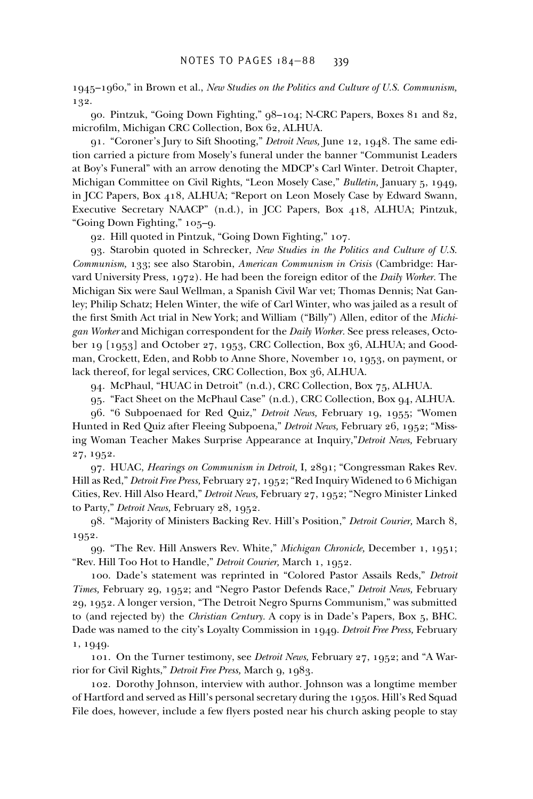1945–1960," in Brown et al., *New Studies on the Politics and Culture of U.S. Communism,* 132.

90. Pintzuk, "Going Down Fighting," 98–104; N-CRC Papers, Boxes 81 and 82, microfilm, Michigan CRC Collection, Box 62, ALHUA.

91. "Coroner's Jury to Sift Shooting," *Detroit News,* June 12, 1948. The same edition carried a picture from Mosely's funeral under the banner "Communist Leaders at Boy's Funeral" with an arrow denoting the MDCP's Carl Winter. Detroit Chapter, Michigan Committee on Civil Rights, "Leon Mosely Case," *Bulletin,* January 5, 1949, in JCC Papers, Box 418, ALHUA; "Report on Leon Mosely Case by Edward Swann, Executive Secretary NAACP" (n.d.), in JCC Papers, Box 418, ALHUA; Pintzuk, "Going Down Fighting," 105–9.

92. Hill quoted in Pintzuk, "Going Down Fighting," 107.

93. Starobin quoted in Schrecker, *New Studies in the Politics and Culture of U.S. Communism,* 133; see also Starobin, *American Communism in Crisis* (Cambridge: Harvard University Press, 1972). He had been the foreign editor of the *Daily Worker.* The Michigan Six were Saul Wellman, a Spanish Civil War vet; Thomas Dennis; Nat Ganley; Philip Schatz; Helen Winter, the wife of Carl Winter, who was jailed as a result of the first Smith Act trial in New York; and William ("Billy") Allen, editor of the *Michigan Worker* and Michigan correspondent for the *Daily Worker.* See press releases, October 19 [1953] and October 27, 1953, CRC Collection, Box 36, ALHUA; and Goodman, Crockett, Eden, and Robb to Anne Shore, November 10, 1953, on payment, or lack thereof, for legal services, CRC Collection, Box 36, ALHUA.

94. McPhaul, "HUAC in Detroit" (n.d.), CRC Collection, Box 75, ALHUA.

95. "Fact Sheet on the McPhaul Case" (n.d.), CRC Collection, Box 94, ALHUA.

96. "6 Subpoenaed for Red Quiz," *Detroit News,* February 19, 1955; "Women Hunted in Red Quiz after Fleeing Subpoena," *Detroit News,* February 26, 1952; "Missing Woman Teacher Makes Surprise Appearance at Inquiry,"*Detroit News,* February 27, 1952.

97. HUAC, *Hearings on Communism in Detroit,* I, 2891; "Congressman Rakes Rev. Hill as Red," *Detroit Free Press,* February 27, 1952; "Red Inquiry Widened to 6 Michigan Cities, Rev. Hill Also Heard," *Detroit News,* February 27, 1952; "Negro Minister Linked to Party," *Detroit News,* February 28, 1952.

98. "Majority of Ministers Backing Rev. Hill's Position," *Detroit Courier,* March 8, 1952.

99. "The Rev. Hill Answers Rev. White," *Michigan Chronicle,* December 1, 1951; "Rev. Hill Too Hot to Handle," *Detroit Courier,* March 1, 1952.

100. Dade's statement was reprinted in "Colored Pastor Assails Reds," *Detroit Times,* February 29, 1952; and "Negro Pastor Defends Race," *Detroit News,* February 29, 1952. A longer version, "The Detroit Negro Spurns Communism," was submitted to (and rejected by) the *Christian Century.* A copy is in Dade's Papers, Box 5, BHC. Dade was named to the city's Loyalty Commission in 1949. *Detroit Free Press,* February 1, 1949.

101. On the Turner testimony, see *Detroit News,* February 27, 1952; and "A Warrior for Civil Rights," *Detroit Free Press,* March 9, 1983.

102. Dorothy Johnson, interview with author. Johnson was a longtime member of Hartford and served as Hill's personal secretary during the 1950s. Hill's Red Squad File does, however, include a few flyers posted near his church asking people to stay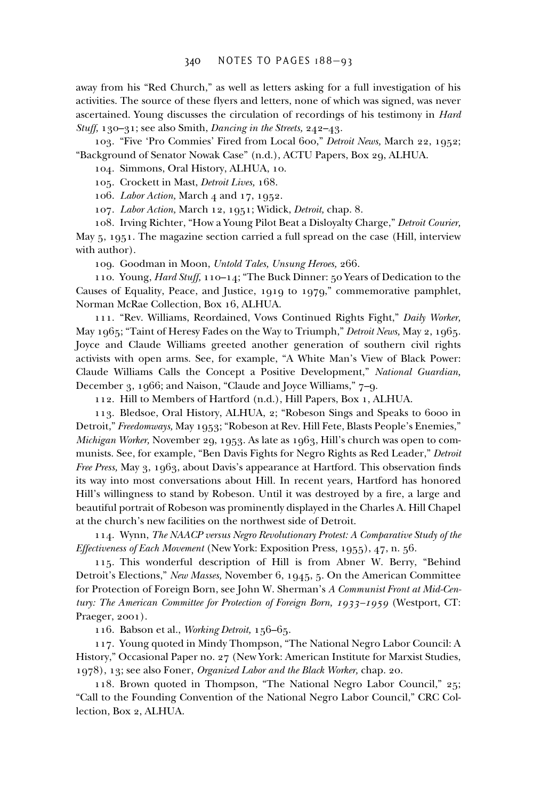away from his "Red Church," as well as letters asking for a full investigation of his activities. The source of these flyers and letters, none of which was signed, was never ascertained. Young discusses the circulation of recordings of his testimony in *Hard Stuff,* 130–31; see also Smith, *Dancing in the Streets,* 242–43.

103. "Five 'Pro Commies' Fired from Local 600," *Detroit News,* March 22, 1952; "Background of Senator Nowak Case" (n.d.), ACTU Papers, Box 29, ALHUA.

104. Simmons, Oral History, ALHUA, 10.

105. Crockett in Mast, *Detroit Lives,* 168.

106. *Labor Action,* March 4 and 17, 1952.

107. *Labor Action,* March 12, 1951; Widick, *Detroit,* chap. 8.

108. Irving Richter, "How a Young Pilot Beat a Disloyalty Charge," *Detroit Courier,* May 5, 1951. The magazine section carried a full spread on the case (Hill, interview with author).

109. Goodman in Moon, *Untold Tales, Unsung Heroes,* 266.

110. Young, *Hard Stuff,* 110–14; "The Buck Dinner: 50 Years of Dedication to the Causes of Equality, Peace, and Justice, 1919 to 1979," commemorative pamphlet, Norman McRae Collection, Box 16, ALHUA.

111. "Rev. Williams, Reordained, Vows Continued Rights Fight," *Daily Worker,* May 1965; "Taint of Heresy Fades on the Way to Triumph," *Detroit News,* May 2, 1965. Joyce and Claude Williams greeted another generation of southern civil rights activists with open arms. See, for example, "A White Man's View of Black Power: Claude Williams Calls the Concept a Positive Development," *National Guardian,* December 3, 1966; and Naison, "Claude and Joyce Williams," 7–9.

112. Hill to Members of Hartford (n.d.), Hill Papers, Box 1, ALHUA.

113. Bledsoe, Oral History, ALHUA, 2; "Robeson Sings and Speaks to 6000 in Detroit," *Freedomways,* May 1953; "Robeson at Rev. Hill Fete, Blasts People's Enemies," *Michigan Worker,* November 29, 1953. As late as 1963, Hill's church was open to communists. See, for example, "Ben Davis Fights for Negro Rights as Red Leader," *Detroit Free Press, May 3, 1963, about Davis's appearance at Hartford. This observation finds* its way into most conversations about Hill. In recent years, Hartford has honored Hill's willingness to stand by Robeson. Until it was destroyed by a fire, a large and beautiful portrait of Robeson was prominently displayed in the Charles A. Hill Chapel at the church's new facilities on the northwest side of Detroit.

114. Wynn, *The NAACP versus Negro Revolutionary Protest: A Comparative Study of the Effectiveness of Each Movement* (New York: Exposition Press, 1955), 47, n. 56.

115. This wonderful description of Hill is from Abner W. Berry, "Behind Detroit's Elections," *New Masses,* November 6, 1945, 5. On the American Committee for Protection of Foreign Born, see John W. Sherman's *A Communist Front at Mid-Century: The American Committee for Protection of Foreign Born, 1933–1959* (Westport, CT: Praeger, 2001).

116. Babson et al., *Working Detroit,* 156–65.

117. Young quoted in Mindy Thompson, "The National Negro Labor Council: A History," Occasional Paper no. 27 (New York: American Institute for Marxist Studies, 1978), 13; see also Foner, *Organized Labor and the Black Worker,* chap. 20.

118. Brown quoted in Thompson, "The National Negro Labor Council," 25; "Call to the Founding Convention of the National Negro Labor Council," CRC Collection, Box 2, ALHUA.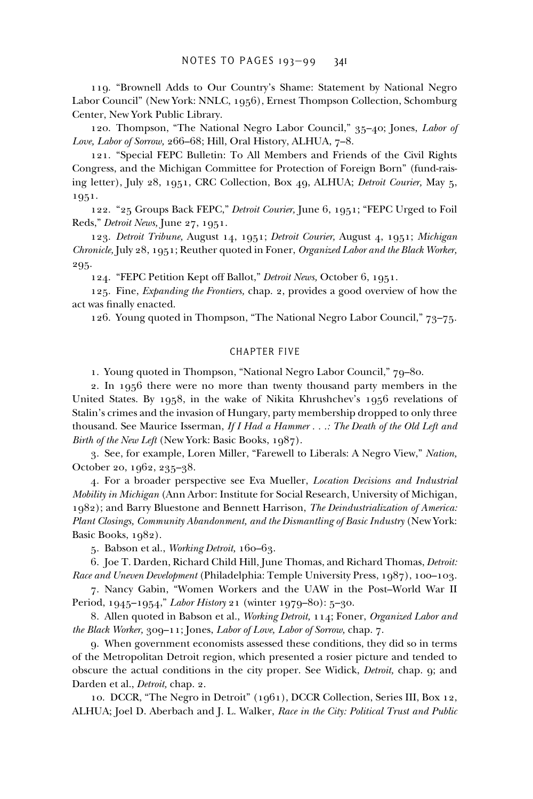119. "Brownell Adds to Our Country's Shame: Statement by National Negro Labor Council" (New York: NNLC, 1956), Ernest Thompson Collection, Schomburg Center, New York Public Library.

120. Thompson, "The National Negro Labor Council," 35–40; Jones, *Labor of Love, Labor of Sorrow,* 266–68; Hill, Oral History, ALHUA, 7–8.

121. "Special FEPC Bulletin: To All Members and Friends of the Civil Rights Congress, and the Michigan Committee for Protection of Foreign Born" (fund-raising letter), July 28, 1951, CRC Collection, Box 49, ALHUA; *Detroit Courier,* May 5, 1951.

122. "25 Groups Back FEPC," *Detroit Courier,* June 6, 1951; "FEPC Urged to Foil Reds," *Detroit News,* June 27, 1951.

123. *Detroit Tribune,* August 14, 1951; *Detroit Courier,* August 4, 1951; *Michigan Chronicle,* July 28, 1951; Reuther quoted in Foner, *Organized Labor and the Black Worker,* 295.

124. "FEPC Petition Kept off Ballot," *Detroit News,* October 6, 1951.

125. Fine, *Expanding the Frontiers,* chap. 2, provides a good overview of how the act was finally enacted.

126. Young quoted in Thompson, "The National Negro Labor Council," 73–75.

## CHAPTER FIVE

1. Young quoted in Thompson, "National Negro Labor Council," 79–80.

2. In 1956 there were no more than twenty thousand party members in the United States. By 1958, in the wake of Nikita Khrushchev's 1956 revelations of Stalin's crimes and the invasion of Hungary, party membership dropped to only three thousand. See Maurice Isserman, *If I Had a Hammer . . .: The Death of the Old Left and Birth of the New Left* (New York: Basic Books, 1987).

3. See, for example, Loren Miller, "Farewell to Liberals: A Negro View," *Nation,* October 20, 1962, 235–38.

4. For a broader perspective see Eva Mueller, *Location Decisions and Industrial Mobility in Michigan* (Ann Arbor: Institute for Social Research, University of Michigan, 1982); and Barry Bluestone and Bennett Harrison, *The Deindustrialization of America: Plant Closings, Community Abandonment, and the Dismantling of Basic Industry (New York:* Basic Books, 1982).

5. Babson et al., *Working Detroit,* 160–63.

6. Joe T. Darden, Richard Child Hill, June Thomas, and Richard Thomas, *Detroit: Race and Uneven Development* (Philadelphia: Temple University Press, 1987), 100–103.

7. Nancy Gabin, "Women Workers and the UAW in the Post–World War II Period, 1945–1954," *Labor History* 21 (winter 1979–80): 5–30.

8. Allen quoted in Babson et al., *Working Detroit,* 114; Foner, *Organized Labor and the Black Worker,* 309–11; Jones, *Labor of Love, Labor of Sorrow,* chap. 7.

9. When government economists assessed these conditions, they did so in terms of the Metropolitan Detroit region, which presented a rosier picture and tended to obscure the actual conditions in the city proper. See Widick, *Detroit,* chap. 9; and Darden et al., *Detroit,* chap. 2.

10. DCCR, "The Negro in Detroit" (1961), DCCR Collection, Series III, Box 12, ALHUA; Joel D. Aberbach and J. L. Walker, *Race in the City: Political Trust and Public*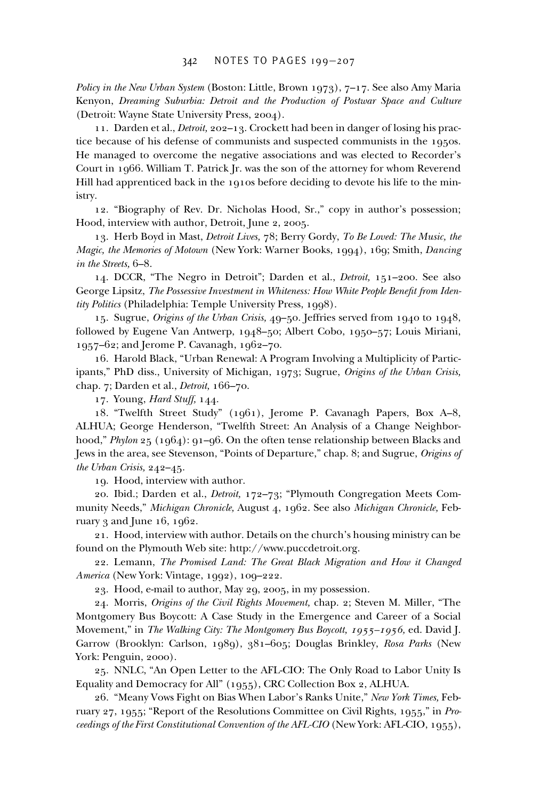*Policy in the New Urban System* (Boston: Little, Brown 1973), 7–17. See also Amy Maria Kenyon, *Dreaming Suburbia: Detroit and the Production of Postwar Space and Culture* (Detroit: Wayne State University Press, 2004).

11. Darden et al., *Detroit,* 202–13. Crockett had been in danger of losing his practice because of his defense of communists and suspected communists in the 1950s. He managed to overcome the negative associations and was elected to Recorder's Court in 1966. William T. Patrick Jr. was the son of the attorney for whom Reverend Hill had apprenticed back in the 1910s before deciding to devote his life to the ministry.

12. "Biography of Rev. Dr. Nicholas Hood, Sr.," copy in author's possession; Hood, interview with author, Detroit, June 2, 2005.

13. Herb Boyd in Mast, *Detroit Lives,* 78; Berry Gordy, *To Be Loved: The Music, the Magic, the Memories of Motown* (New York: Warner Books, 1994), 169; Smith, *Dancing in the Streets,* 6–8.

14. DCCR, "The Negro in Detroit"; Darden et al., *Detroit,* 151–200. See also George Lipsitz, The Possessive Investment in Whiteness: How White People Benefit from Iden*tity Politics* (Philadelphia: Temple University Press, 1998).

15. Sugrue, *Origins of the Urban Crisis,* 49–50. Jeffries served from 1940 to 1948, followed by Eugene Van Antwerp, 1948–50; Albert Cobo, 1950–57; Louis Miriani, 1957–62; and Jerome P. Cavanagh, 1962–70.

16. Harold Black, "Urban Renewal: A Program Involving a Multiplicity of Participants," PhD diss., University of Michigan, 1973; Sugrue, *Origins of the Urban Crisis,* chap. 7; Darden et al., *Detroit,* 166–70.

17. Young, *Hard Stuff,* 144.

18. "Twelfth Street Study" (1961), Jerome P. Cavanagh Papers, Box A–8, ALHUA; George Henderson, "Twelfth Street: An Analysis of a Change Neighborhood," *Phylon* 25 (1964): 91–96. On the often tense relationship between Blacks and Jews in the area, see Stevenson, "Points of Departure," chap. 8; and Sugrue, *Origins of the Urban Crisis,* 242–45.

19. Hood, interview with author.

20. Ibid.; Darden et al., *Detroit,* 172–73; "Plymouth Congregation Meets Community Needs," *Michigan Chronicle,* August 4, 1962. See also *Michigan Chronicle,* February 3 and June 16, 1962.

21. Hood, interview with author. Details on the church's housing ministry can be found on the Plymouth Web site: http://www.puccdetroit.org.

22. Lemann, *The Promised Land: The Great Black Migration and How it Changed America* (New York: Vintage, 1992), 109–222.

23. Hood, e-mail to author, May 29, 2005, in my possession.

24. Morris, *Origins of the Civil Rights Movement,* chap. 2; Steven M. Miller, "The Montgomery Bus Boycott: A Case Study in the Emergence and Career of a Social Movement," in *The Walking City: The Montgomery Bus Boycott, 1955–1956,* ed. David J. Garrow (Brooklyn: Carlson, 1989), 381–605; Douglas Brinkley, *Rosa Parks* (New York: Penguin, 2000).

25. NNLC, "An Open Letter to the AFL-CIO: The Only Road to Labor Unity Is Equality and Democracy for All" (1955), CRC Collection Box 2, ALHUA.

26. "Meany Vows Fight on Bias When Labor's Ranks Unite," *New York Times,* February 27, 1955; "Report of the Resolutions Committee on Civil Rights, 1955," in *Proceedings of the First Constitutional Convention of the AFL-CIO* (New York: AFL-CIO, 1955),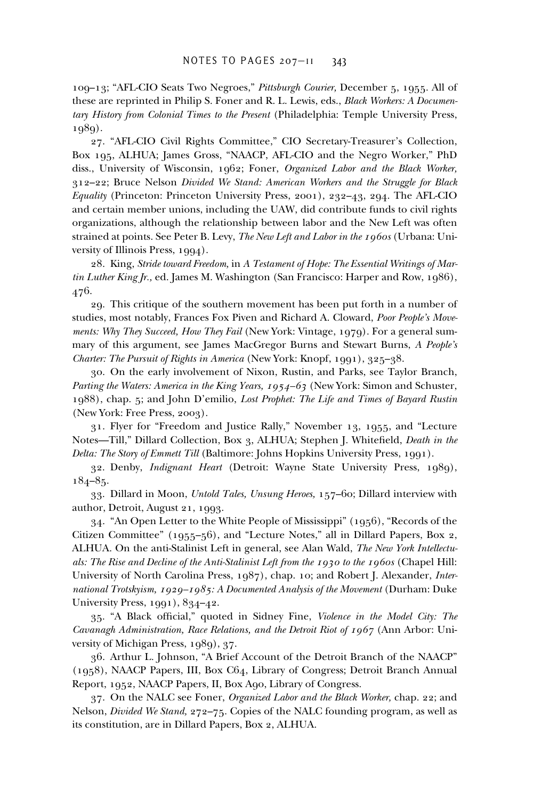109–13; "AFL-CIO Seats Two Negroes," *Pittsburgh Courier,* December 5, 1955. All of these are reprinted in Philip S. Foner and R. L. Lewis, eds., *Black Workers: A Documentary History from Colonial Times to the Present* (Philadelphia: Temple University Press, 1989).

27. "AFL-CIO Civil Rights Committee," CIO Secretary-Treasurer's Collection, Box 195, ALHUA; James Gross, "NAACP, AFL-CIO and the Negro Worker," PhD diss., University of Wisconsin, 1962; Foner, *Organized Labor and the Black Worker,* 312–22; Bruce Nelson *Divided We Stand: American Workers and the Struggle for Black Equality* (Princeton: Princeton University Press, 2001), 232–43, 294. The AFL-CIO and certain member unions, including the UAW, did contribute funds to civil rights organizations, although the relationship between labor and the New Left was often strained at points. See Peter B. Levy, *The New Left and Labor in the 1960s* (Urbana: University of Illinois Press, 1994).

28. King, *Stride toward Freedom,* in *A Testament of Hope: The Essential Writings of Martin Luther King Jr.,* ed. James M. Washington (San Francisco: Harper and Row, 1986), 476.

29. This critique of the southern movement has been put forth in a number of studies, most notably, Frances Fox Piven and Richard A. Cloward, *Poor People's Movements: Why They Succeed, How They Fail* (New York: Vintage, 1979). For a general summary of this argument, see James MacGregor Burns and Stewart Burns, *A People's Charter: The Pursuit of Rights in America* (New York: Knopf, 1991), 325–38.

30. On the early involvement of Nixon, Rustin, and Parks, see Taylor Branch, *Parting the Waters: America in the King Years, 1954–63* (New York: Simon and Schuster, 1988), chap. 5; and John D'emilio, *Lost Prophet: The Life and Times of Bayard Rustin* (New York: Free Press, 2003).

31. Flyer for "Freedom and Justice Rally," November 13, 1955, and "Lecture Notes-Till," Dillard Collection, Box 3, ALHUA; Stephen J. Whitefield, *Death in the Delta: The Story of Emmett Till* (Baltimore: Johns Hopkins University Press, 1991).

32. Denby, *Indignant Heart* (Detroit: Wayne State University Press, 1989),  $184 - 85.$ 

33. Dillard in Moon, *Untold Tales, Unsung Heroes,* 157–60; Dillard interview with author, Detroit, August 21, 1993.

34. "An Open Letter to the White People of Mississippi" (1956), "Records of the Citizen Committee" (1955–56), and "Lecture Notes," all in Dillard Papers, Box 2, ALHUA. On the anti-Stalinist Left in general, see Alan Wald, *The New York Intellectuals: The Rise and Decline of the Anti-Stalinist Left from the 1930 to the 1960s* (Chapel Hill: University of North Carolina Press, 1987), chap. 10; and Robert J. Alexander, *International Trotskyism, 1929–1985: A Documented Analysis of the Movement* (Durham: Duke University Press, 1991), 834–42.

35. "A Black official," quoted in Sidney Fine, *Violence in the Model City: The Cavanagh Administration, Race Relations, and the Detroit Riot of 1967* (Ann Arbor: University of Michigan Press, 1989), 37.

36. Arthur L. Johnson, "A Brief Account of the Detroit Branch of the NAACP" (1958), NAACP Papers, III, Box C64, Library of Congress; Detroit Branch Annual Report, 1952, NAACP Papers, II, Box A90, Library of Congress.

37. On the NALC see Foner, *Organized Labor and the Black Worker,* chap. 22; and Nelson, *Divided We Stand,* 272–75. Copies of the NALC founding program, as well as its constitution, are in Dillard Papers, Box 2, ALHUA.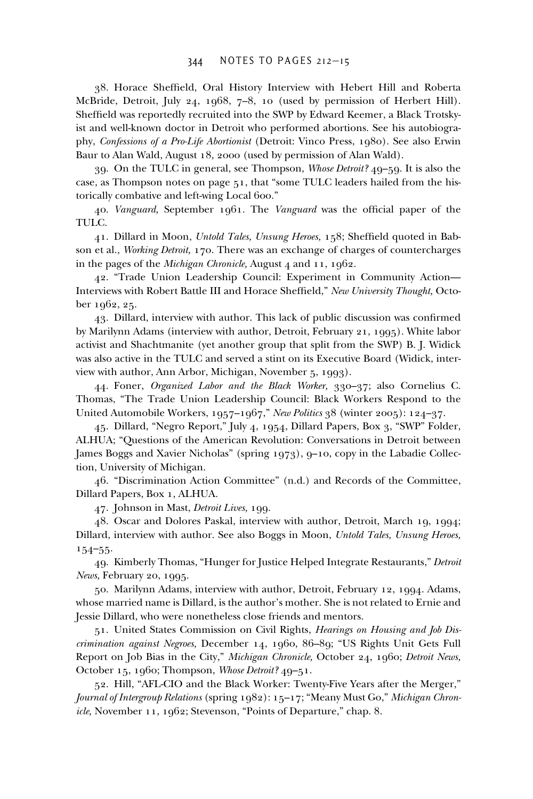38. Horace Sheffield, Oral History Interview with Hebert Hill and Roberta McBride, Detroit, July 24, 1968, 7–8, 10 (used by permission of Herbert Hill). Sheffield was reportedly recruited into the SWP by Edward Keemer, a Black Trotskyist and well-known doctor in Detroit who performed abortions. See his autobiography, *Confessions of a Pro-Life Abortionist* (Detroit: Vinco Press, 1980). See also Erwin Baur to Alan Wald, August 18, 2000 (used by permission of Alan Wald).

39. On the TULC in general, see Thompson, *Whose Detroit?* 49–59. It is also the case, as Thompson notes on page 51, that "some TULC leaders hailed from the historically combative and left-wing Local 600."

40. *Vanguard*, September 1961. The *Vanguard* was the official paper of the TULC.

41. Dillard in Moon, *Untold Tales, Unsung Heroes*, 158; Sheffield quoted in Babson et al., *Working Detroit,* 170. There was an exchange of charges of countercharges in the pages of the *Michigan Chronicle,* August 4 and 11, 1962.

42. "Trade Union Leadership Council: Experiment in Community Action— Interviews with Robert Battle III and Horace Sheffield," *New University Thought*, October 1962, 25.

 $43.$  Dillard, interview with author. This lack of public discussion was confirmed by Marilynn Adams (interview with author, Detroit, February 21, 1995). White labor activist and Shachtmanite (yet another group that split from the SWP) B. J. Widick was also active in the TULC and served a stint on its Executive Board (Widick, interview with author, Ann Arbor, Michigan, November 5, 1993).

44. Foner, *Organized Labor and the Black Worker,* 330–37; also Cornelius C. Thomas, "The Trade Union Leadership Council: Black Workers Respond to the United Automobile Workers, 1957–1967," *New Politics* 38 (winter 2005): 124–37.

45. Dillard, "Negro Report," July 4, 1954, Dillard Papers, Box 3, "SWP" Folder, ALHUA; "Questions of the American Revolution: Conversations in Detroit between James Boggs and Xavier Nicholas" (spring 1973), 9–10, copy in the Labadie Collection, University of Michigan.

46. "Discrimination Action Committee" (n.d.) and Records of the Committee, Dillard Papers, Box 1, ALHUA.

47. Johnson in Mast, *Detroit Lives,* 199.

48. Oscar and Dolores Paskal, interview with author, Detroit, March 19, 1994; Dillard, interview with author. See also Boggs in Moon, *Untold Tales, Unsung Heroes,* 154–55.

49. Kimberly Thomas, "Hunger for Justice Helped Integrate Restaurants," *Detroit News,* February 20, 1995.

50. Marilynn Adams, interview with author, Detroit, February 12, 1994. Adams, whose married name is Dillard, is the author's mother. She is not related to Ernie and Jessie Dillard, who were nonetheless close friends and mentors.

51. United States Commission on Civil Rights, *Hearings on Housing and Job Discrimination against Negroes,* December 14, 1960, 86–89; "US Rights Unit Gets Full Report on Job Bias in the City," *Michigan Chronicle,* October 24, 1960; *Detroit News,* October 15, 1960; Thompson, *Whose Detroit?* 49–51.

52. Hill, "AFL-CIO and the Black Worker: Twenty-Five Years after the Merger," *Journal of Intergroup Relations* (spring 1982): 15–17; "Meany Must Go," *Michigan Chronicle,* November 11, 1962; Stevenson, "Points of Departure," chap. 8.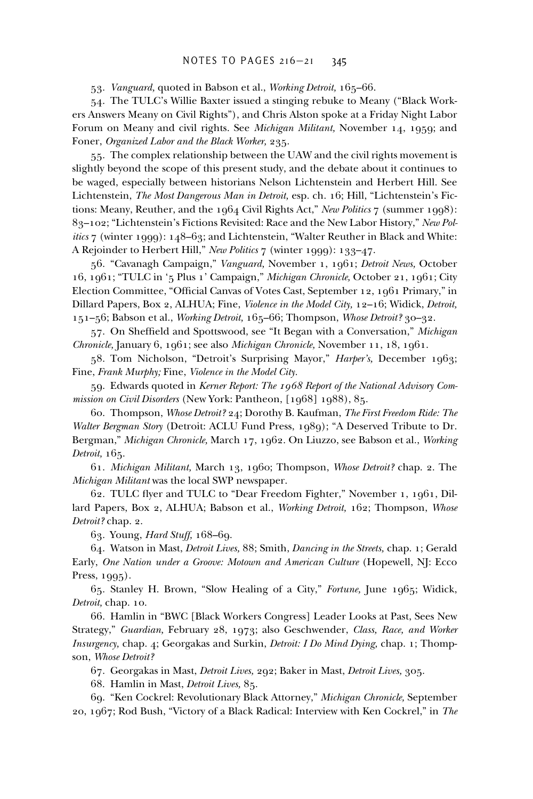53. *Vanguard,* quoted in Babson et al., *Working Detroit,* 165–66.

54. The TULC's Willie Baxter issued a stinging rebuke to Meany ("Black Workers Answers Meany on Civil Rights"), and Chris Alston spoke at a Friday Night Labor Forum on Meany and civil rights. See *Michigan Militant,* November 14, 1959; and Foner, *Organized Labor and the Black Worker,* 235.

55. The complex relationship between the UAW and the civil rights movement is slightly beyond the scope of this present study, and the debate about it continues to be waged, especially between historians Nelson Lichtenstein and Herbert Hill. See Lichtenstein, *The Most Dangerous Man in Detroit,* esp. ch. 16; Hill, "Lichtenstein's Fictions: Meany, Reuther, and the 1964 Civil Rights Act," *New Politics* 7 (summer 1998): 83–102; "Lichtenstein's Fictions Revisited: Race and the New Labor History," *New Politics* 7 (winter 1999): 148–63; and Lichtenstein, "Walter Reuther in Black and White: A Rejoinder to Herbert Hill," *New Politics* 7 (winter 1999): 133–47.

56. "Cavanagh Campaign," *Vanguard,* November 1, 1961; *Detroit News,* October 16, 1961; "TULC in '5 Plus 1' Campaign," *Michigan Chronicle,* October 21, 1961; City Election Committee, "Official Canvas of Votes Cast, September 12, 1961 Primary," in Dillard Papers, Box 2, ALHUA; Fine, *Violence in the Model City,* 12–16; Widick, *Detroit,* 151–56; Babson et al., *Working Detroit,* 165–66; Thompson, *Whose Detroit?* 30–32.

57. On Sheffield and Spottswood, see "It Began with a Conversation," *Michigan Chronicle,* January 6, 1961; see also *Michigan Chronicle,* November 11, 18, 1961.

58. Tom Nicholson, "Detroit's Surprising Mayor," *Harper's,* December 1963; Fine, *Frank Murphy;* Fine, *Violence in the Model City.*

59. Edwards quoted in *Kerner Report: The 1968 Report of the National Advisory Commission on Civil Disorders* (New York: Pantheon, [1968] 1988), 85.

60. Thompson, *Whose Detroit?* 24; Dorothy B. Kaufman, *The First Freedom Ride: The Walter Bergman Story* (Detroit: ACLU Fund Press, 1989); "A Deserved Tribute to Dr. Bergman," *Michigan Chronicle,* March 17, 1962. On Liuzzo, see Babson et al., *Working Detroit,* 165.

61. *Michigan Militant,* March 13, 1960; Thompson, *Whose Detroit?* chap. 2. The *Michigan Militant* was the local SWP newspaper.

62. TULC flyer and TULC to "Dear Freedom Fighter," November 1, 1961, Dillard Papers, Box 2, ALHUA; Babson et al., *Working Detroit,* 162; Thompson, *Whose Detroit?* chap. 2.

63. Young, *Hard Stuff,* 168–69.

64. Watson in Mast, *Detroit Lives,* 88; Smith, *Dancing in the Streets,* chap. 1; Gerald Early, *One Nation under a Groove: Motown and American Culture* (Hopewell, NJ: Ecco Press, 1995).

65. Stanley H. Brown, "Slow Healing of a City," *Fortune,* June 1965; Widick, *Detroit,* chap. 10.

66. Hamlin in "BWC [Black Workers Congress] Leader Looks at Past, Sees New Strategy," *Guardian,* February 28, 1973; also Geschwender, *Class, Race, and Worker Insurgency,* chap. 4; Georgakas and Surkin, *Detroit: I Do Mind Dying,* chap. 1; Thompson, *Whose Detroit?*

67. Georgakas in Mast, *Detroit Lives,* 292; Baker in Mast, *Detroit Lives,* 305.

68. Hamlin in Mast, *Detroit Lives,* 85.

69. "Ken Cockrel: Revolutionary Black Attorney," *Michigan Chronicle,* September 20, 1967; Rod Bush, "Victory of a Black Radical: Interview with Ken Cockrel," in *The*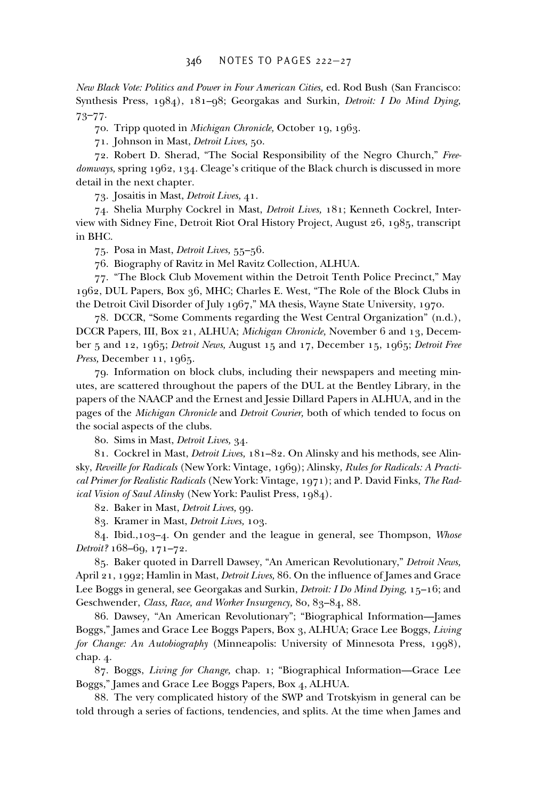*New Black Vote: Politics and Power in Four American Cities,* ed. Rod Bush (San Francisco: Synthesis Press, 1984), 181–98; Georgakas and Surkin, *Detroit: I Do Mind Dying,* 73–77.

70. Tripp quoted in *Michigan Chronicle,* October 19, 1963.

71. Johnson in Mast, *Detroit Lives,* 50.

72. Robert D. Sherad, "The Social Responsibility of the Negro Church," *Freedomways,* spring 1962, 134. Cleage's critique of the Black church is discussed in more detail in the next chapter.

73. Josaitis in Mast, *Detroit Lives,* 41.

74. Shelia Murphy Cockrel in Mast, *Detroit Lives,* 181; Kenneth Cockrel, Interview with Sidney Fine, Detroit Riot Oral History Project, August 26, 1985, transcript in BHC.

75. Posa in Mast, *Detroit Lives,* 55–56.

76. Biography of Ravitz in Mel Ravitz Collection, ALHUA.

77. "The Block Club Movement within the Detroit Tenth Police Precinct," May 1962, DUL Papers, Box 36, MHC; Charles E. West, "The Role of the Block Clubs in the Detroit Civil Disorder of July 1967," MA thesis, Wayne State University, 1970.

78. DCCR, "Some Comments regarding the West Central Organization" (n.d.), DCCR Papers, III, Box 21, ALHUA; *Michigan Chronicle,* November 6 and 13, December 5 and 12, 1965; *Detroit News,* August 15 and 17, December 15, 1965; *Detroit Free Press,* December 11, 1965.

79. Information on block clubs, including their newspapers and meeting minutes, are scattered throughout the papers of the DUL at the Bentley Library, in the papers of the NAACP and the Ernest and Jessie Dillard Papers in ALHUA, and in the pages of the *Michigan Chronicle* and *Detroit Courier,* both of which tended to focus on the social aspects of the clubs.

80. Sims in Mast, *Detroit Lives,* 34.

81. Cockrel in Mast, *Detroit Lives,* 181–82. On Alinsky and his methods, see Alinsky, *Reveille for Radicals* (New York: Vintage, 1969); Alinsky, *Rules for Radicals: A Practical Primer for Realistic Radicals* (New York: Vintage, 1971); and P. David Finks, *The Radical Vision of Saul Alinsky* (New York: Paulist Press, 1984).

82. Baker in Mast, *Detroit Lives,* 99.

83. Kramer in Mast, *Detroit Lives,* 103.

84. Ibid.,103–4. On gender and the league in general, see Thompson, *Whose Detroit?* 168–69, 171–72.

85. Baker quoted in Darrell Dawsey, "An American Revolutionary," *Detroit News,* April 21, 1992; Hamlin in Mast, *Detroit Lives*, 86. On the influence of James and Grace Lee Boggs in general, see Georgakas and Surkin, *Detroit: I Do Mind Dying,* 15–16; and Geschwender, *Class, Race, and Worker Insurgency,* 80, 83–84, 88.

86. Dawsey, "An American Revolutionary"; "Biographical Information—James Boggs," James and Grace Lee Boggs Papers, Box 3, ALHUA; Grace Lee Boggs, *Living for Change: An Autobiography* (Minneapolis: University of Minnesota Press, 1998), chap. 4.

87. Boggs, *Living for Change,* chap. 1; "Biographical Information—Grace Lee Boggs," James and Grace Lee Boggs Papers, Box 4, ALHUA.

88. The very complicated history of the SWP and Trotskyism in general can be told through a series of factions, tendencies, and splits. At the time when James and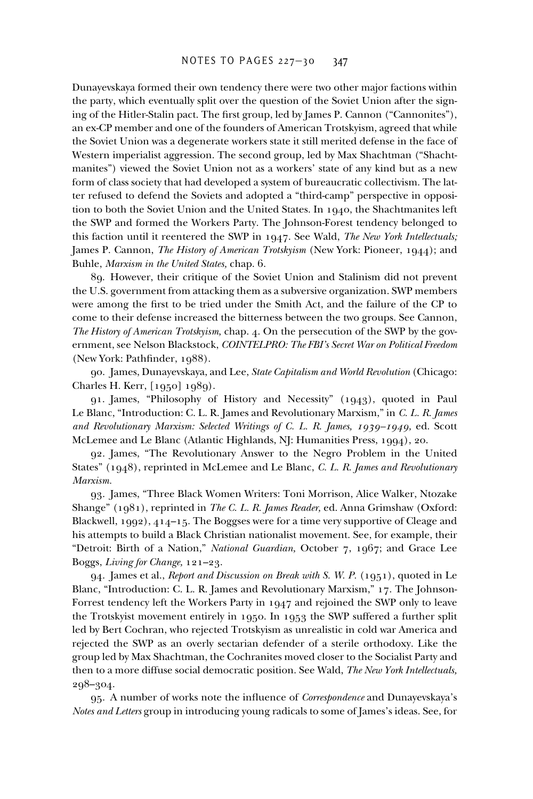Dunayevskaya formed their own tendency there were two other major factions within the party, which eventually split over the question of the Soviet Union after the signing of the Hitler-Stalin pact. The first group, led by James P. Cannon ("Cannonites"), an ex-CP member and one of the founders of American Trotskyism, agreed that while the Soviet Union was a degenerate workers state it still merited defense in the face of Western imperialist aggression. The second group, led by Max Shachtman ("Shachtmanites") viewed the Soviet Union not as a workers' state of any kind but as a new form of class society that had developed a system of bureaucratic collectivism. The latter refused to defend the Soviets and adopted a "third-camp" perspective in opposition to both the Soviet Union and the United States. In 1940, the Shachtmanites left the SWP and formed the Workers Party. The Johnson-Forest tendency belonged to this faction until it reentered the SWP in 1947. See Wald, *The New York Intellectuals;* James P. Cannon, *The History of American Trotskyism* (New York: Pioneer, 1944); and Buhle, *Marxism in the United States,* chap. 6.

89. However, their critique of the Soviet Union and Stalinism did not prevent the U.S. government from attacking them as a subversive organization. SWP members were among the first to be tried under the Smith Act, and the failure of the CP to come to their defense increased the bitterness between the two groups. See Cannon, *The History of American Trotskyism,* chap. 4. On the persecution of the SWP by the government, see Nelson Blackstock, *COINTELPRO: The FBI's Secret War on Political Freedom* (New York: Pathfinder, 1988).

90. James, Dunayevskaya, and Lee, *State Capitalism and World Revolution* (Chicago: Charles H. Kerr, [1950] 1989).

91. James, "Philosophy of History and Necessity" (1943), quoted in Paul Le Blanc, "Introduction: C. L. R. James and Revolutionary Marxism," in *C. L. R. James and Revolutionary Marxism: Selected Writings of C. L. R. James, 1939–1949,* ed. Scott McLemee and Le Blanc (Atlantic Highlands, NJ: Humanities Press, 1994), 20.

92. James, "The Revolutionary Answer to the Negro Problem in the United States" (1948), reprinted in McLemee and Le Blanc, *C. L. R. James and Revolutionary Marxism.*

93. James, "Three Black Women Writers: Toni Morrison, Alice Walker, Ntozake Shange" (1981), reprinted in *The C. L. R. James Reader,* ed. Anna Grimshaw (Oxford: Blackwell, 1992), 414–15. The Boggses were for a time very supportive of Cleage and his attempts to build a Black Christian nationalist movement. See, for example, their "Detroit: Birth of a Nation," *National Guardian,* October 7, 1967; and Grace Lee Boggs, *Living for Change,* 121–23.

94. James et al., *Report and Discussion on Break with S. W. P.* (1951), quoted in Le Blanc, "Introduction: C. L. R. James and Revolutionary Marxism," 17. The Johnson-Forrest tendency left the Workers Party in 1947 and rejoined the SWP only to leave the Trotskyist movement entirely in 1950. In 1953 the SWP suffered a further split led by Bert Cochran, who rejected Trotskyism as unrealistic in cold war America and rejected the SWP as an overly sectarian defender of a sterile orthodoxy. Like the group led by Max Shachtman, the Cochranites moved closer to the Socialist Party and then to a more diffuse social democratic position. See Wald, *The New York Intellectuals,* 298–304.

95. A number of works note the influence of *Correspondence* and Dunayevskaya's *Notes and Letters* group in introducing young radicals to some of James's ideas. See, for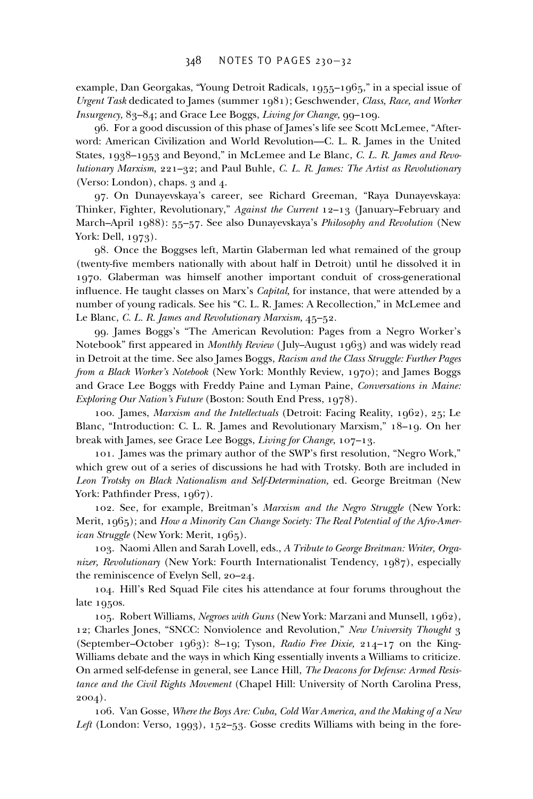example, Dan Georgakas, "Young Detroit Radicals, 1955–1965," in a special issue of *Urgent Task* dedicated to James (summer 1981); Geschwender, *Class, Race, and Worker Insurgency,* 83–84; and Grace Lee Boggs, *Living for Change,* 99–109.

96. For a good discussion of this phase of James's life see Scott McLemee, "Afterword: American Civilization and World Revolution—C. L. R. James in the United States, 1938–1953 and Beyond," in McLemee and Le Blanc, *C. L. R. James and Revolutionary Marxism,* 221–32; and Paul Buhle, *C. L. R. James: The Artist as Revolutionary* (Verso: London), chaps. 3 and 4.

97. On Dunayevskaya's career, see Richard Greeman, "Raya Dunayevskaya: Thinker, Fighter, Revolutionary," *Against the Current* 12–13 (January–February and March–April 1988): 55–57. See also Dunayevskaya's *Philosophy and Revolution* (New York: Dell, 1973).

98. Once the Boggses left, Martin Glaberman led what remained of the group (twenty-five members nationally with about half in Detroit) until he dissolved it in 1970. Glaberman was himself another important conduit of cross-generational influence. He taught classes on Marx's *Capital*, for instance, that were attended by a number of young radicals. See his "C. L. R. James: A Recollection," in McLemee and Le Blanc, *C. L. R. James and Revolutionary Marxism,* 45–52.

99. James Boggs's "The American Revolution: Pages from a Negro Worker's Notebook" first appeared in *Monthly Review* (July–August 1963) and was widely read in Detroit at the time. See also James Boggs, *Racism and the Class Struggle: Further Pages from a Black Worker's Notebook* (New York: Monthly Review, 1970); and James Boggs and Grace Lee Boggs with Freddy Paine and Lyman Paine, *Conversations in Maine: Exploring Our Nation's Future* (Boston: South End Press, 1978).

100. James, *Marxism and the Intellectuals* (Detroit: Facing Reality, 1962), 25; Le Blanc, "Introduction: C. L. R. James and Revolutionary Marxism," 18–19. On her break with James, see Grace Lee Boggs, *Living for Change,* 107–13.

101. James was the primary author of the SWP's first resolution, "Negro Work," which grew out of a series of discussions he had with Trotsky. Both are included in *Leon Trotsky on Black Nationalism and Self-Determination,* ed. George Breitman (New York: Pathfinder Press, 1967).

102. See, for example, Breitman's *Marxism and the Negro Struggle* (New York: Merit, 1965); and *How a Minority Can Change Society: The Real Potential of the Afro-American Struggle* (New York: Merit, 1965).

103. Naomi Allen and Sarah Lovell, eds., *A Tribute to George Breitman: Writer, Organizer, Revolutionary* (New York: Fourth Internationalist Tendency, 1987), especially the reminiscence of Evelyn Sell, 20–24.

104. Hill's Red Squad File cites his attendance at four forums throughout the late 1950s.

105. Robert Williams, *Negroes with Guns* (New York: Marzani and Munsell, 1962), 12; Charles Jones, "SNCC: Nonviolence and Revolution," *New University Thought* 3 (September–October 1963): 8–19; Tyson, *Radio Free Dixie,* 214–17 on the King-Williams debate and the ways in which King essentially invents a Williams to criticize. On armed self-defense in general, see Lance Hill, *The Deacons for Defense: Armed Resistance and the Civil Rights Movement* (Chapel Hill: University of North Carolina Press, 2004).

106. Van Gosse, *Where the Boys Are: Cuba, Cold War America, and the Making of a New Left* (London: Verso, 1993), 152–53. Gosse credits Williams with being in the fore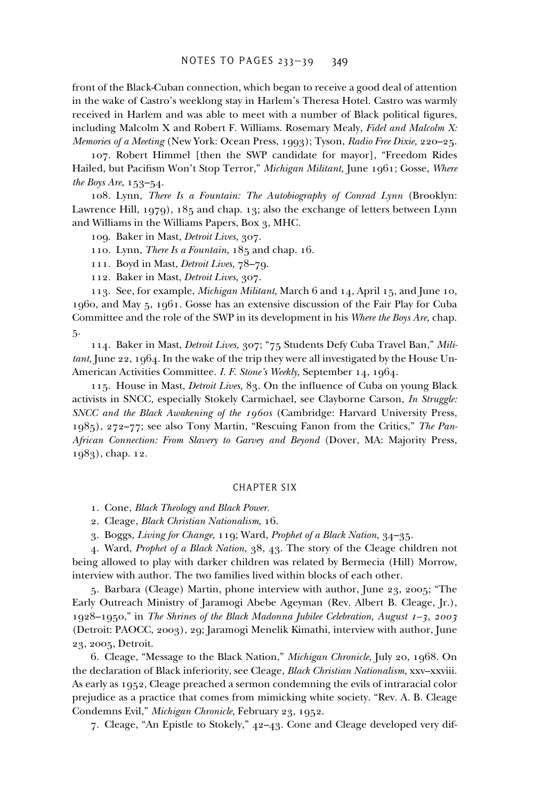front of the Black-Cuban connection, which began to receive a good deal of attention in the wake of Castro's weeklong stay in Harlem's Theresa Hotel. Castro was warmly received in Harlem and was able to meet with a number of Black political figures, including Malcolm X and Robert F. Williams. Rosemary Mealy, *Fidel and Malcolm X: Memories of a Meeting* (New York: Ocean Press, 1993); Tyson, *Radio Free Dixie,* 220–25.

107. Robert Himmel [then the SWP candidate for mayor], "Freedom Rides Hailed, but Pacifism Won't Stop Terror," *Michigan Militant*, June 1961; Gosse, Where *the Boys Are,* 153–54.

108. Lynn, *There Is a Fountain: The Autobiography of Conrad Lynn* (Brooklyn: Lawrence Hill, 1979), 185 and chap. 13; also the exchange of letters between Lynn and Williams in the Williams Papers, Box 3, MHC.

109. Baker in Mast, *Detroit Lives,* 307.

110. Lynn, *There Is a Fountain,* 185 and chap. 16.

111. Boyd in Mast, *Detroit Lives,* 78–79.

112. Baker in Mast, *Detroit Lives,* 307.

113. See, for example, *Michigan Militant,* March 6 and 14, April 15, and June 10, 1960, and May 5, 1961. Gosse has an extensive discussion of the Fair Play for Cuba Committee and the role of the SWP in its development in his *Where the Boys Are,* chap. 5.

114. Baker in Mast, *Detroit Lives,* 307; "75 Students Defy Cuba Travel Ban," *Militant,* June 22, 1964. In the wake of the trip they were all investigated by the House Un-American Activities Committee. *I. F. Stone's Weekly,* September 14, 1964.

115. House in Mast, *Detroit Lives*, 83. On the influence of Cuba on young Black activists in SNCC, especially Stokely Carmichael, see Clayborne Carson, *In Struggle: SNCC and the Black Awakening of the 1960s* (Cambridge: Harvard University Press, 1985), 272–77; see also Tony Martin, "Rescuing Fanon from the Critics," *The Pan-African Connection: From Slavery to Garvey and Beyond* (Dover, MA: Majority Press, 1983), chap. 12.

## CHAPTER SIX

- 1. Cone, *Black Theology and Black Power.*
- 2. Cleage, *Black Christian Nationalism,* 16.
- 3. Boggs, *Living for Change,* 119; Ward, *Prophet of a Black Nation,* 34–35.

4. Ward, *Prophet of a Black Nation,* 38, 43. The story of the Cleage children not being allowed to play with darker children was related by Bermecia (Hill) Morrow, interview with author. The two families lived within blocks of each other.

5. Barbara (Cleage) Martin, phone interview with author, June 23, 2005; "The Early Outreach Ministry of Jaramogi Abebe Ageyman (Rev. Albert B. Cleage, Jr.), 1928–1950," in *The Shrines of the Black Madonna Jubilee Celebration, August 1–3, 2003* (Detroit: PAOCC, 2003), 29; Jaramogi Menelik Kimathi, interview with author, June 23, 2005, Detroit.

6. Cleage, "Message to the Black Nation," *Michigan Chronicle,* July 20, 1968. On the declaration of Black inferiority, see Cleage, *Black Christian Nationalism,* xxv–xxviii. As early as 1952, Cleage preached a sermon condemning the evils of intraracial color prejudice as a practice that comes from mimicking white society. "Rev. A. B. Cleage Condemns Evil," *Michigan Chronicle,* February 23, 1952.

7. Cleage, "An Epistle to Stokely," 42–43. Cone and Cleage developed very dif-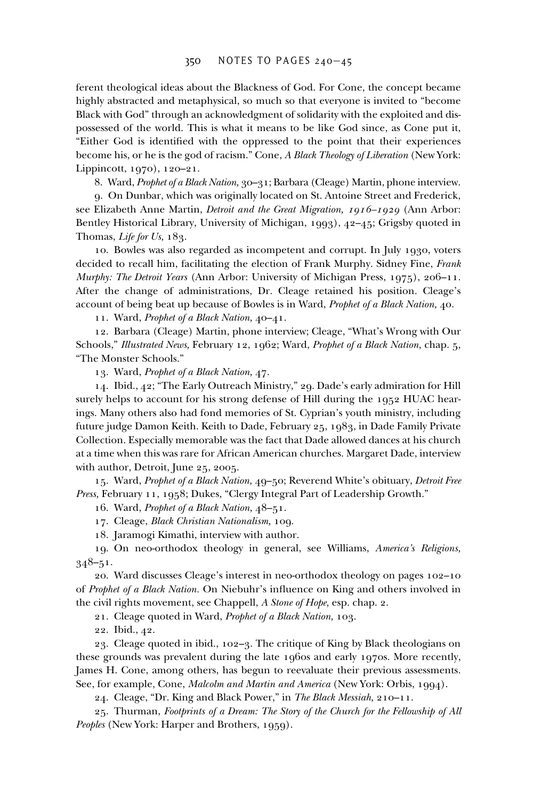ferent theological ideas about the Blackness of God. For Cone, the concept became highly abstracted and metaphysical, so much so that everyone is invited to "become Black with God" through an acknowledgment of solidarity with the exploited and dispossessed of the world. This is what it means to be like God since, as Cone put it, "Either God is identified with the oppressed to the point that their experiences become his, or he is the god of racism." Cone, *A Black Theology of Liberation* (New York: Lippincott, 1970), 120–21.

8. Ward, *Prophet of a Black Nation,* 30–31; Barbara (Cleage) Martin, phone interview.

9. On Dunbar, which was originally located on St. Antoine Street and Frederick, see Elizabeth Anne Martin, *Detroit and the Great Migration, 1916–1929* (Ann Arbor: Bentley Historical Library, University of Michigan, 1993), 42–45; Grigsby quoted in Thomas, *Life for Us,* 183.

10. Bowles was also regarded as incompetent and corrupt. In July 1930, voters decided to recall him, facilitating the election of Frank Murphy. Sidney Fine, *Frank Murphy: The Detroit Years* (Ann Arbor: University of Michigan Press, 1975), 206–11. After the change of administrations, Dr. Cleage retained his position. Cleage's account of being beat up because of Bowles is in Ward, *Prophet of a Black Nation,* 40.

11. Ward, *Prophet of a Black Nation,* 40–41.

12. Barbara (Cleage) Martin, phone interview; Cleage, "What's Wrong with Our Schools," *Illustrated News,* February 12, 1962; Ward, *Prophet of a Black Nation,* chap. 5, "The Monster Schools."

13. Ward, *Prophet of a Black Nation,* 47.

14. Ibid., 42; "The Early Outreach Ministry," 29. Dade's early admiration for Hill surely helps to account for his strong defense of Hill during the 1952 HUAC hearings. Many others also had fond memories of St. Cyprian's youth ministry, including future judge Damon Keith. Keith to Dade, February 25, 1983, in Dade Family Private Collection. Especially memorable was the fact that Dade allowed dances at his church at a time when this was rare for African American churches. Margaret Dade, interview with author, Detroit, June 25, 2005.

15. Ward, *Prophet of a Black Nation,* 49–50; Reverend White's obituary, *Detroit Free Press,* February 11, 1958; Dukes, "Clergy Integral Part of Leadership Growth."

16. Ward, *Prophet of a Black Nation,* 48–51.

17. Cleage, *Black Christian Nationalism,* 109.

18. Jaramogi Kimathi, interview with author.

19. On neo-orthodox theology in general, see Williams, *America's Religions,* 348–51.

20. Ward discusses Cleage's interest in neo-orthodox theology on pages 102–10 of *Prophet of a Black Nation*. On Niebuhr's influence on King and others involved in the civil rights movement, see Chappell, *A Stone of Hope,* esp. chap. 2.

21. Cleage quoted in Ward, *Prophet of a Black Nation,* 103.

22. Ibid., 42.

23. Cleage quoted in ibid., 102–3. The critique of King by Black theologians on these grounds was prevalent during the late 1960s and early 1970s. More recently, James H. Cone, among others, has begun to reevaluate their previous assessments. See, for example, Cone, *Malcolm and Martin and America* (New York: Orbis, 1994).

24. Cleage, "Dr. King and Black Power," in *The Black Messiah,* 210–11.

25. Thurman, *Footprints of a Dream: The Story of the Church for the Fellowship of All Peoples* (New York: Harper and Brothers, 1959).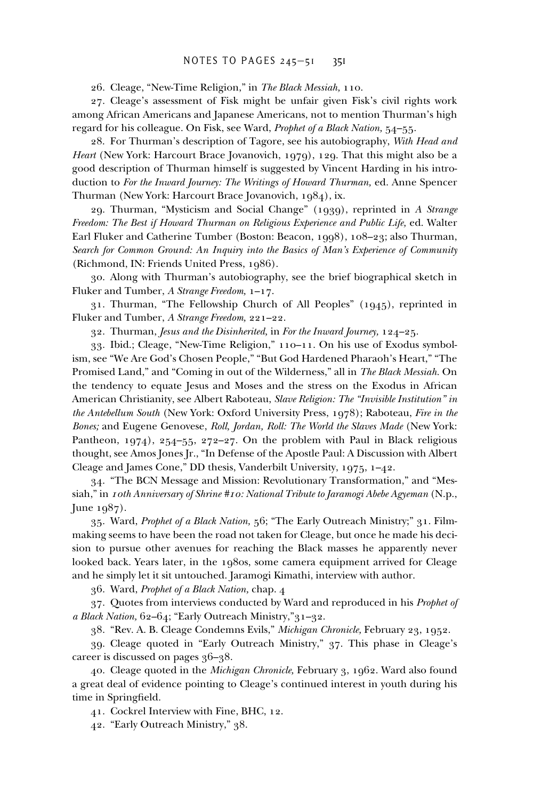#### NOTES TO PAGES 245–51 351

26. Cleage, "New-Time Religion," in *The Black Messiah,* 110.

27. Cleage's assessment of Fisk might be unfair given Fisk's civil rights work among African Americans and Japanese Americans, not to mention Thurman's high regard for his colleague. On Fisk, see Ward, *Prophet of a Black Nation,* 54–55.

28. For Thurman's description of Tagore, see his autobiography, *With Head and Heart* (New York: Harcourt Brace Jovanovich, 1979), 129. That this might also be a good description of Thurman himself is suggested by Vincent Harding in his introduction to *For the Inward Journey: The Writings of Howard Thurman,* ed. Anne Spencer Thurman (New York: Harcourt Brace Jovanovich, 1984), ix.

29. Thurman, "Mysticism and Social Change" (1939), reprinted in *A Strange Freedom: The Best if Howard Thurman on Religious Experience and Public Life,* ed. Walter Earl Fluker and Catherine Tumber (Boston: Beacon, 1998), 108–23; also Thurman, *Search for Common Ground: An Inquiry into the Basics of Man's Experience of Community* (Richmond, IN: Friends United Press, 1986).

30. Along with Thurman's autobiography, see the brief biographical sketch in Fluker and Tumber, *A Strange Freedom,* 1–17.

31. Thurman, "The Fellowship Church of All Peoples" (1945), reprinted in Fluker and Tumber, *A Strange Freedom,* 221–22.

32. Thurman, *Jesus and the Disinherited,* in *For the Inward Journey,* 124–25.

33. Ibid.; Cleage, "New-Time Religion," 110–11. On his use of Exodus symbolism, see "We Are God's Chosen People," "But God Hardened Pharaoh's Heart," "The Promised Land," and "Coming in out of the Wilderness," all in *The Black Messiah.* On the tendency to equate Jesus and Moses and the stress on the Exodus in African American Christianity, see Albert Raboteau, *Slave Religion: The "Invisible Institution" in the Antebellum South* (New York: Oxford University Press, 1978); Raboteau, *Fire in the Bones;* and Eugene Genovese, *Roll, Jordan, Roll: The World the Slaves Made* (New York: Pantheon, 1974), 254–55, 272–27. On the problem with Paul in Black religious thought, see Amos Jones Jr., "In Defense of the Apostle Paul: A Discussion with Albert Cleage and James Cone," DD thesis, Vanderbilt University, 1975, 1–42.

34. "The BCN Message and Mission: Revolutionary Transformation," and "Messiah," in *10th Anniversary of Shrine #10: National Tribute to Jaramogi Abebe Agyeman* (N.p., June 1987).

35. Ward, *Prophet of a Black Nation,* 56; "The Early Outreach Ministry;" 31. Filmmaking seems to have been the road not taken for Cleage, but once he made his decision to pursue other avenues for reaching the Black masses he apparently never looked back. Years later, in the 1980s, some camera equipment arrived for Cleage and he simply let it sit untouched. Jaramogi Kimathi, interview with author.

36. Ward, *Prophet of a Black Nation,* chap. 4

37. Quotes from interviews conducted by Ward and reproduced in his *Prophet of a Black Nation,* 62–64; "Early Outreach Ministry,"31–32.

38. "Rev. A. B. Cleage Condemns Evils," *Michigan Chronicle,* February 23, 1952.

39. Cleage quoted in "Early Outreach Ministry," 37. This phase in Cleage's career is discussed on pages 36–38.

40. Cleage quoted in the *Michigan Chronicle,* February 3, 1962. Ward also found a great deal of evidence pointing to Cleage's continued interest in youth during his time in Springfield.

41. Cockrel Interview with Fine, BHC, 12.

42. "Early Outreach Ministry," 38.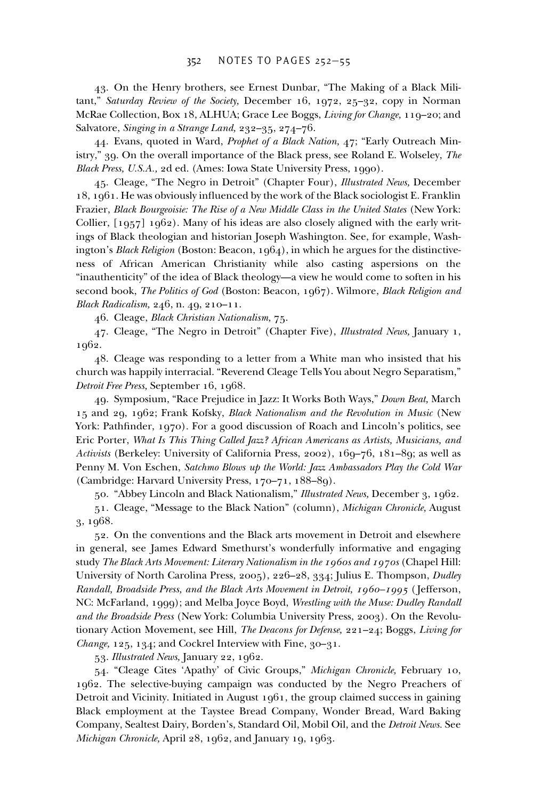43. On the Henry brothers, see Ernest Dunbar, "The Making of a Black Militant," *Saturday Review of the Society,* December 16, 1972, 25–32, copy in Norman McRae Collection, Box 18, ALHUA; Grace Lee Boggs, *Living for Change,* 119–20; and Salvatore, *Singing in a Strange Land,* 232–35, 274–76.

44. Evans, quoted in Ward, *Prophet of a Black Nation,* 47; "Early Outreach Ministry," 39. On the overall importance of the Black press, see Roland E. Wolseley, *The Black Press, U.S.A.,* 2d ed. (Ames: Iowa State University Press, 1990).

45. Cleage, "The Negro in Detroit" (Chapter Four), *Illustrated News,* December  $18, 1961$ . He was obviously influenced by the work of the Black sociologist E. Franklin Frazier, *Black Bourgeoisie: The Rise of a New Middle Class in the United States* (New York: Collier,  $[1957]$  1962). Many of his ideas are also closely aligned with the early writings of Black theologian and historian Joseph Washington. See, for example, Washington's *Black Religion* (Boston: Beacon, 1964), in which he argues for the distinctiveness of African American Christianity while also casting aspersions on the "inauthenticity" of the idea of Black theology—a view he would come to soften in his second book, *The Politics of God* (Boston: Beacon, 1967). Wilmore, *Black Religion and Black Radicalism,* 246, n. 49, 210–11.

46. Cleage, *Black Christian Nationalism,* 75.

47. Cleage, "The Negro in Detroit" (Chapter Five), *Illustrated News,* January 1, 1962.

48. Cleage was responding to a letter from a White man who insisted that his church was happily interracial. "Reverend Cleage Tells You about Negro Separatism," *Detroit Free Press,* September 16, 1968.

49. Symposium, "Race Prejudice in Jazz: It Works Both Ways," *Down Beat,* March 15 and 29, 1962; Frank Kofsky, *Black Nationalism and the Revolution in Music* (New York: Pathfinder, 1970). For a good discussion of Roach and Lincoln's politics, see Eric Porter, *What Is This Thing Called Jazz? African Americans as Artists, Musicians, and Activists* (Berkeley: University of California Press, 2002), 169–76, 181–89; as well as Penny M. Von Eschen, *Satchmo Blows up the World: Jazz Ambassadors Play the Cold War* (Cambridge: Harvard University Press, 170–71, 188–89).

50. "Abbey Lincoln and Black Nationalism," *Illustrated News,* December 3, 1962.

51. Cleage, "Message to the Black Nation" (column), *Michigan Chronicle,* August 3, 1968.

52. On the conventions and the Black arts movement in Detroit and elsewhere in general, see James Edward Smethurst's wonderfully informative and engaging study *The Black Arts Movement: Literary Nationalism in the 1960s and 1970s* (Chapel Hill: University of North Carolina Press, 2005), 226–28, 334; Julius E. Thompson, *Dudley Randall, Broadside Press, and the Black Arts Movement in Detroit, 1960–1995* ( Jefferson, NC: McFarland, 1999); and Melba Joyce Boyd, *Wrestling with the Muse: Dudley Randall and the Broadside Press* (New York: Columbia University Press, 2003). On the Revolutionary Action Movement, see Hill, *The Deacons for Defense,* 221–24; Boggs, *Living for Change,* 125, 134; and Cockrel Interview with Fine, 30–31.

53. *Illustrated News,* January 22, 1962.

54. "Cleage Cites 'Apathy' of Civic Groups," *Michigan Chronicle,* February 10, 1962. The selective-buying campaign was conducted by the Negro Preachers of Detroit and Vicinity. Initiated in August 1961, the group claimed success in gaining Black employment at the Taystee Bread Company, Wonder Bread, Ward Baking Company, Sealtest Dairy, Borden's, Standard Oil, Mobil Oil, and the *Detroit News.* See *Michigan Chronicle,* April 28, 1962, and January 19, 1963.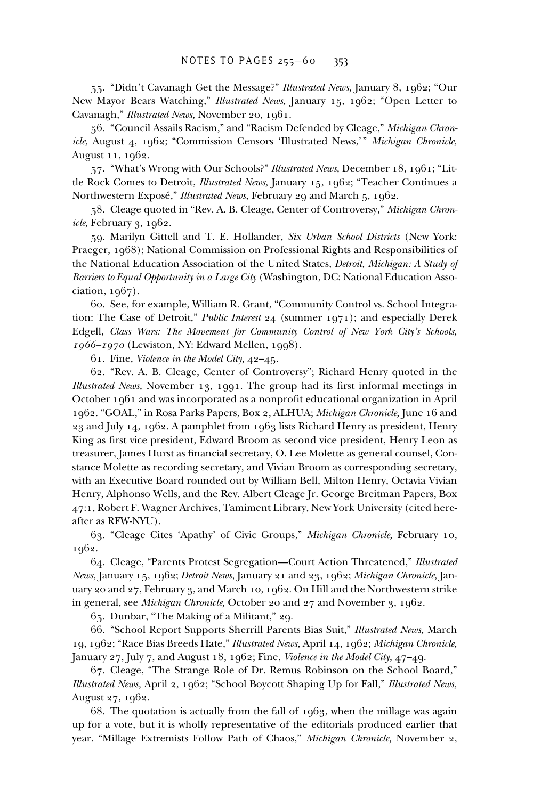55. "Didn't Cavanagh Get the Message?" *Illustrated News,* January 8, 1962; "Our New Mayor Bears Watching," *Illustrated News,* January 15, 1962; "Open Letter to Cavanagh," *Illustrated News,* November 20, 1961.

56. "Council Assails Racism," and "Racism Defended by Cleage," *Michigan Chronicle,* August 4, 1962; "Commission Censors 'Illustrated News,'" *Michigan Chronicle,* August 11, 1962.

57. "What's Wrong with Our Schools?" *Illustrated News,* December 18, 1961; "Little Rock Comes to Detroit, *Illustrated News,* January 15, 1962; "Teacher Continues a Northwestern Exposé," *Illustrated News,* February 29 and March 5, 1962.

58. Cleage quoted in "Rev. A. B. Cleage, Center of Controversy," *Michigan Chronicle,* February 3, 1962.

59. Marilyn Gittell and T. E. Hollander, *Six Urban School Districts* (New York: Praeger, 1968); National Commission on Professional Rights and Responsibilities of the National Education Association of the United States, *Detroit, Michigan: A Study of Barriers to Equal Opportunity in a Large City* (Washington, DC: National Education Association, 1967).

60. See, for example, William R. Grant, "Community Control vs. School Integration: The Case of Detroit," *Public Interest* 24 (summer 1971); and especially Derek Edgell, *Class Wars: The Movement for Community Control of New York City's Schools, 1966–1970* (Lewiston, NY: Edward Mellen, 1998).

61. Fine, *Violence in the Model City,* 42–45.

62. "Rev. A. B. Cleage, Center of Controversy"; Richard Henry quoted in the *Illustrated News,* November 13, 1991. The group had its first informal meetings in October 1961 and was incorporated as a nonprofit educational organization in April 1962. "GOAL," in Rosa Parks Papers, Box 2, ALHUA; *Michigan Chronicle,* June 16 and 23 and July 14, 1962. A pamphlet from 1963 lists Richard Henry as president, Henry King as first vice president, Edward Broom as second vice president, Henry Leon as treasurer, James Hurst as financial secretary, O. Lee Molette as general counsel, Constance Molette as recording secretary, and Vivian Broom as corresponding secretary, with an Executive Board rounded out by William Bell, Milton Henry, Octavia Vivian Henry, Alphonso Wells, and the Rev. Albert Cleage Jr. George Breitman Papers, Box 47:1, Robert F. Wagner Archives, Tamiment Library, New York University (cited hereafter as RFW-NYU).

63. "Cleage Cites 'Apathy' of Civic Groups," *Michigan Chronicle,* February 10, 1962.

64. Cleage, "Parents Protest Segregation—Court Action Threatened," *Illustrated News,* January 15, 1962; *Detroit News,* January 21 and 23, 1962; *Michigan Chronicle,* January 20 and 27, February 3, and March 10, 1962. On Hill and the Northwestern strike in general, see *Michigan Chronicle,* October 20 and 27 and November 3, 1962.

65. Dunbar, "The Making of a Militant," 29.

66. "School Report Supports Sherrill Parents Bias Suit," *Illustrated News,* March 19, 1962; "Race Bias Breeds Hate," *Illustrated News,* April 14, 1962; *Michigan Chronicle,* January 27, July 7, and August 18, 1962; Fine, *Violence in the Model City,* 47–49.

67. Cleage, "The Strange Role of Dr. Remus Robinson on the School Board," *Illustrated News,* April 2, 1962; "School Boycott Shaping Up for Fall," *Illustrated News,* August 27, 1962.

68. The quotation is actually from the fall of 1963, when the millage was again up for a vote, but it is wholly representative of the editorials produced earlier that year. "Millage Extremists Follow Path of Chaos," *Michigan Chronicle,* November 2,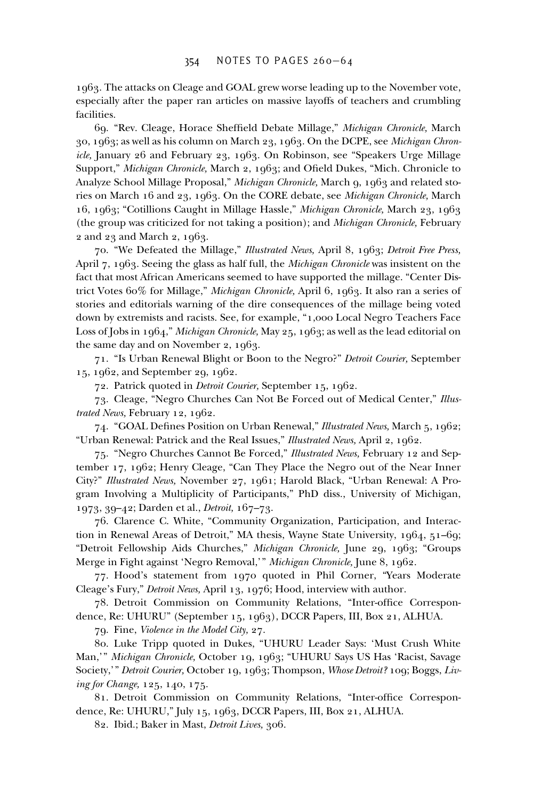1963. The attacks on Cleage and GOAL grew worse leading up to the November vote, especially after the paper ran articles on massive layoffs of teachers and crumbling facilities.

69. "Rev. Cleage, Horace Sheffield Debate Millage," *Michigan Chronicle*, March 30, 1963; as well as his column on March 23, 1963. On the DCPE, see *Michigan Chronicle,* January 26 and February 23, 1963. On Robinson, see "Speakers Urge Millage Support," *Michigan Chronicle*, March 2, 1963; and Ofield Dukes, "Mich. Chronicle to Analyze School Millage Proposal," *Michigan Chronicle,* March 9, 1963 and related stories on March 16 and 23, 1963. On the CORE debate, see *Michigan Chronicle,* March 16, 1963; "Cotillions Caught in Millage Hassle," *Michigan Chronicle,* March 23, 1963 (the group was criticized for not taking a position); and *Michigan Chronicle,* February 2 and 23 and March 2, 1963.

70. "We Defeated the Millage," *Illustrated News,* April 8, 1963; *Detroit Free Press,* April 7, 1963. Seeing the glass as half full, the *Michigan Chronicle* was insistent on the fact that most African Americans seemed to have supported the millage. "Center District Votes 60% for Millage," *Michigan Chronicle,* April 6, 1963. It also ran a series of stories and editorials warning of the dire consequences of the millage being voted down by extremists and racists. See, for example, "1,000 Local Negro Teachers Face Loss of Jobs in 1964," *Michigan Chronicle,* May 25, 1963; as well as the lead editorial on the same day and on November 2, 1963.

71. "Is Urban Renewal Blight or Boon to the Negro?" *Detroit Courier,* September 15, 1962, and September 29, 1962.

72. Patrick quoted in *Detroit Courier,* September 15, 1962.

73. Cleage, "Negro Churches Can Not Be Forced out of Medical Center," *Illustrated News,* February 12, 1962.

74. "GOAL Defines Position on Urban Renewal," *Illustrated News*, March 5, 1962; "Urban Renewal: Patrick and the Real Issues," *Illustrated News,* April 2, 1962.

75. "Negro Churches Cannot Be Forced," *Illustrated News,* February 12 and September 17, 1962; Henry Cleage, "Can They Place the Negro out of the Near Inner City?" *Illustrated News,* November 27, 1961; Harold Black, "Urban Renewal: A Program Involving a Multiplicity of Participants," PhD diss., University of Michigan, 1973, 39–42; Darden et al., *Detroit,* 167–73.

76. Clarence C. White, "Community Organization, Participation, and Interaction in Renewal Areas of Detroit," MA thesis, Wayne State University, 1964, 51–69; "Detroit Fellowship Aids Churches," *Michigan Chronicle,* June 29, 1963; "Groups Merge in Fight against 'Negro Removal,'" *Michigan Chronicle,* June 8, 1962.

77. Hood's statement from 1970 quoted in Phil Corner, "Years Moderate Cleage's Fury," *Detroit News,* April 13, 1976; Hood, interview with author.

78. Detroit Commission on Community Relations, "Inter-office Correspondence, Re: UHURU" (September 15, 1963), DCCR Papers, III, Box 21, ALHUA.

79. Fine, *Violence in the Model City,* 27.

80. Luke Tripp quoted in Dukes, "UHURU Leader Says: 'Must Crush White Man,'" *Michigan Chronicle,* October 19, 1963; "UHURU Says US Has 'Racist, Savage Society,'" *Detroit Courier,* October 19, 1963; Thompson, *Whose Detroit?* 109; Boggs, *Living for Change,* 125, 140, 175.

81. Detroit Commission on Community Relations, "Inter-office Correspondence, Re: UHURU," July 15, 1963, DCCR Papers, III, Box 21, ALHUA.

82. Ibid.; Baker in Mast, *Detroit Lives,* 306.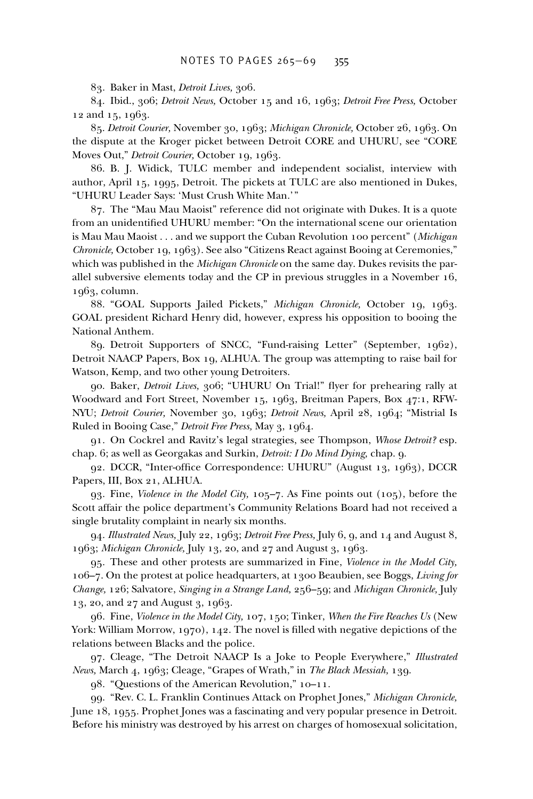83. Baker in Mast, *Detroit Lives,* 306.

84. Ibid., 306; *Detroit News,* October 15 and 16, 1963; *Detroit Free Press,* October 12 and 15, 1963.

85. *Detroit Courier,* November 30, 1963; *Michigan Chronicle,* October 26, 1963. On the dispute at the Kroger picket between Detroit CORE and UHURU, see "CORE Moves Out," *Detroit Courier,* October 19, 1963.

86. B. J. Widick, TULC member and independent socialist, interview with author, April 15, 1995, Detroit. The pickets at TULC are also mentioned in Dukes, "UHURU Leader Says: 'Must Crush White Man.'"

87. The "Mau Mau Maoist" reference did not originate with Dukes. It is a quote from an unidentified UHURU member: "On the international scene our orientation is Mau Mau Maoist . . . and we support the Cuban Revolution 100 percent" (*Michigan Chronicle,* October 19, 1963). See also "Citizens React against Booing at Ceremonies," which was published in the *Michigan Chronicle* on the same day. Dukes revisits the parallel subversive elements today and the CP in previous struggles in a November 16, 1963, column.

88. "GOAL Supports Jailed Pickets," *Michigan Chronicle,* October 19, 1963. GOAL president Richard Henry did, however, express his opposition to booing the National Anthem.

89. Detroit Supporters of SNCC, "Fund-raising Letter" (September, 1962), Detroit NAACP Papers, Box 19, ALHUA. The group was attempting to raise bail for Watson, Kemp, and two other young Detroiters.

90. Baker, *Detroit Lives*, 306; "UHURU On Trial!" flyer for prehearing rally at Woodward and Fort Street, November 15, 1963, Breitman Papers, Box 47:1, RFW-NYU; *Detroit Courier,* November 30, 1963; *Detroit News,* April 28, 1964; "Mistrial Is Ruled in Booing Case," *Detroit Free Press,* May 3, 1964.

91. On Cockrel and Ravitz's legal strategies, see Thompson, *Whose Detroit?* esp. chap. 6; as well as Georgakas and Surkin, *Detroit: I Do Mind Dying,* chap. 9.

92. DCCR, "Inter-office Correspondence: UHURU" (August 13, 1963), DCCR Papers, III, Box 21, ALHUA.

93. Fine, *Violence in the Model City,* 105–7. As Fine points out (105), before the Scott affair the police department's Community Relations Board had not received a single brutality complaint in nearly six months.

94. *Illustrated News,* July 22, 1963; *Detroit Free Press,* July 6, 9, and 14 and August 8, 1963; *Michigan Chronicle,* July 13, 20, and 27 and August 3, 1963.

95. These and other protests are summarized in Fine, *Violence in the Model City,* 106–7. On the protest at police headquarters, at 1300 Beaubien, see Boggs, *Living for Change,* 126; Salvatore, *Singing in a Strange Land,* 256–59; and *Michigan Chronicle,* July 13, 20, and 27 and August 3, 1963.

96. Fine, *Violence in the Model City,* 107, 150; Tinker, *When the Fire Reaches Us* (New York: William Morrow, 1970), 142. The novel is filled with negative depictions of the relations between Blacks and the police.

97. Cleage, "The Detroit NAACP Is a Joke to People Everywhere," *Illustrated News,* March 4, 1963; Cleage, "Grapes of Wrath," in *The Black Messiah,* 139.

98. "Questions of the American Revolution," 10–11.

99. "Rev. C. L. Franklin Continues Attack on Prophet Jones," *Michigan Chronicle,* June 18, 1955. Prophet Jones was a fascinating and very popular presence in Detroit. Before his ministry was destroyed by his arrest on charges of homosexual solicitation,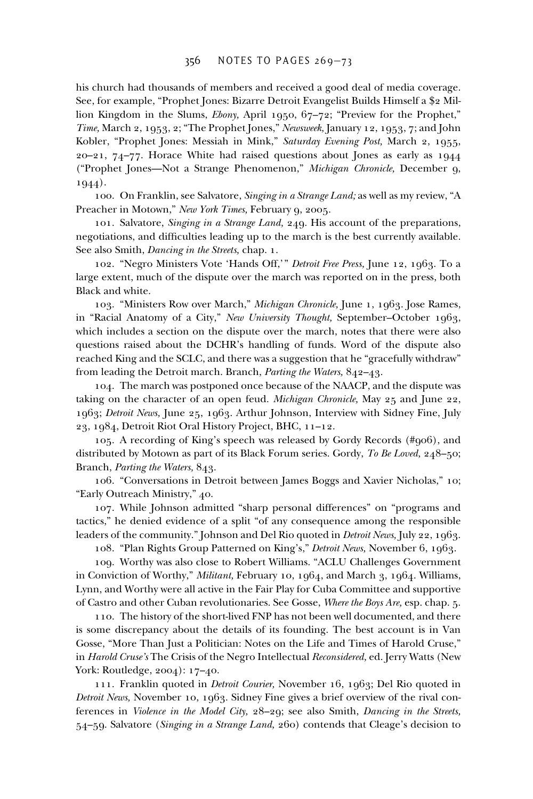his church had thousands of members and received a good deal of media coverage. See, for example, "Prophet Jones: Bizarre Detroit Evangelist Builds Himself a \$2 Million Kingdom in the Slums, *Ebony,* April 1950, 67–72; "Preview for the Prophet," *Time,* March 2, 1953, 2; "The Prophet Jones," *Newsweek,* January 12, 1953, 7; and John Kobler, "Prophet Jones: Messiah in Mink," *Saturday Evening Post,* March 2, 1955, 20–21, 74–77. Horace White had raised questions about Jones as early as 1944 ("Prophet Jones—Not a Strange Phenomenon," *Michigan Chronicle,* December 9, 1944).

100. On Franklin, see Salvatore, *Singing in a Strange Land;* as well as my review, "A Preacher in Motown," *New York Times,* February 9, 2005.

101. Salvatore, *Singing in a Strange Land,* 249. His account of the preparations, negotiations, and difficulties leading up to the march is the best currently available. See also Smith, *Dancing in the Streets,* chap. 1.

102. "Negro Ministers Vote 'Hands Off,'" *Detroit Free Press,* June 12, 1963. To a large extent, much of the dispute over the march was reported on in the press, both Black and white.

103. "Ministers Row over March," *Michigan Chronicle,* June 1, 1963. Jose Rames, in "Racial Anatomy of a City," *New University Thought,* September–October 1963, which includes a section on the dispute over the march, notes that there were also questions raised about the DCHR's handling of funds. Word of the dispute also reached King and the SCLC, and there was a suggestion that he "gracefully withdraw" from leading the Detroit march. Branch, *Parting the Waters,* 842–43.

104. The march was postponed once because of the NAACP, and the dispute was taking on the character of an open feud. *Michigan Chronicle,* May 25 and June 22, 1963; *Detroit News,* June 25, 1963. Arthur Johnson, Interview with Sidney Fine, July 23, 1984, Detroit Riot Oral History Project, BHC, 11–12.

105. A recording of King's speech was released by Gordy Records (#906), and distributed by Motown as part of its Black Forum series. Gordy, *To Be Loved,* 248–50; Branch, *Parting the Waters,* 843.

106. "Conversations in Detroit between James Boggs and Xavier Nicholas," 10; "Early Outreach Ministry," 40.

107. While Johnson admitted "sharp personal differences" on "programs and tactics," he denied evidence of a split "of any consequence among the responsible leaders of the community." Johnson and Del Rio quoted in *Detroit News,* July 22, 1963.

108. "Plan Rights Group Patterned on King's," *Detroit News,* November 6, 1963.

109. Worthy was also close to Robert Williams. "ACLU Challenges Government in Conviction of Worthy," *Militant,* February 10, 1964, and March 3, 1964. Williams, Lynn, and Worthy were all active in the Fair Play for Cuba Committee and supportive of Castro and other Cuban revolutionaries. See Gosse, *Where the Boys Are,* esp. chap. 5.

110. The history of the short-lived FNP has not been well documented, and there is some discrepancy about the details of its founding. The best account is in Van Gosse, "More Than Just a Politician: Notes on the Life and Times of Harold Cruse," in *Harold Cruse's* The Crisis of the Negro Intellectual *Reconsidered,* ed. Jerry Watts (New York: Routledge, 2004): 17–40.

111. Franklin quoted in *Detroit Courier,* November 16, 1963; Del Rio quoted in *Detroit News,* November 10, 1963. Sidney Fine gives a brief overview of the rival conferences in *Violence in the Model City,* 28–29; see also Smith, *Dancing in the Streets,* 54–59. Salvatore (*Singing in a Strange Land,* 260) contends that Cleage's decision to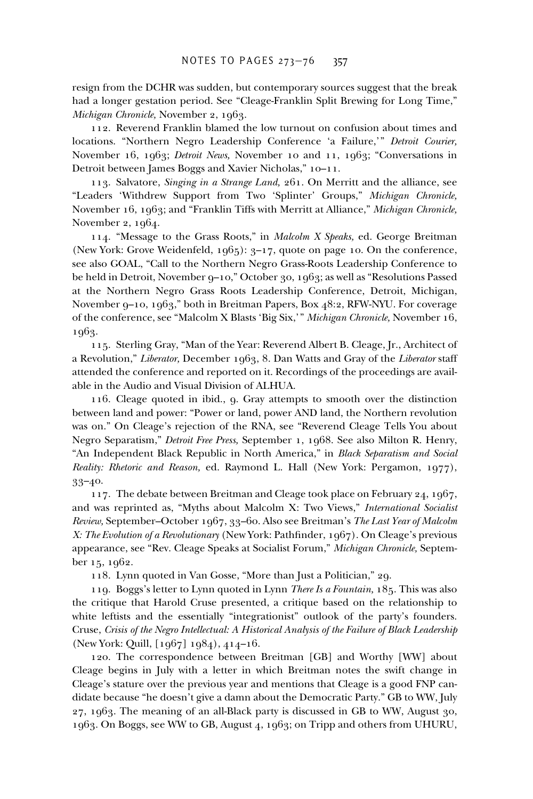resign from the DCHR was sudden, but contemporary sources suggest that the break had a longer gestation period. See "Cleage-Franklin Split Brewing for Long Time," *Michigan Chronicle,* November 2, 1963.

112. Reverend Franklin blamed the low turnout on confusion about times and locations. "Northern Negro Leadership Conference 'a Failure,'" *Detroit Courier,* November 16, 1963; *Detroit News,* November 10 and 11, 1963; "Conversations in Detroit between James Boggs and Xavier Nicholas," 10–11.

113. Salvatore, *Singing in a Strange Land,* 261. On Merritt and the alliance, see "Leaders 'Withdrew Support from Two 'Splinter' Groups," *Michigan Chronicle,* November 16, 1963; and "Franklin Tiffs with Merritt at Alliance," *Michigan Chronicle,* November 2, 1964.

114. "Message to the Grass Roots," in *Malcolm X Speaks,* ed. George Breitman (New York: Grove Weidenfeld, 1965): 3–17, quote on page 10. On the conference, see also GOAL, "Call to the Northern Negro Grass-Roots Leadership Conference to be held in Detroit, November 9–10," October 30, 1963; as well as "Resolutions Passed at the Northern Negro Grass Roots Leadership Conference, Detroit, Michigan, November 9–10, 1963," both in Breitman Papers, Box 48:2, RFW-NYU. For coverage of the conference, see "Malcolm X Blasts 'Big Six,'" *Michigan Chronicle,* November 16, 1963.

115. Sterling Gray, "Man of the Year: Reverend Albert B. Cleage, Jr., Architect of a Revolution," *Liberator,* December 1963, 8. Dan Watts and Gray of the *Liberator* staff attended the conference and reported on it. Recordings of the proceedings are available in the Audio and Visual Division of ALHUA.

116. Cleage quoted in ibid., 9. Gray attempts to smooth over the distinction between land and power: "Power or land, power AND land, the Northern revolution was on." On Cleage's rejection of the RNA, see "Reverend Cleage Tells You about Negro Separatism," *Detroit Free Press,* September 1, 1968. See also Milton R. Henry, "An Independent Black Republic in North America," in *Black Separatism and Social Reality: Rhetoric and Reason,* ed. Raymond L. Hall (New York: Pergamon, 1977), 33–40.

117. The debate between Breitman and Cleage took place on February 24, 1967, and was reprinted as, "Myths about Malcolm X: Two Views," *International Socialist Review,* September–October 1967, 33–60. Also see Breitman's *The Last Year of Malcolm X: The Evolution of a Revolutionary* (New York: Pathfinder, 1967). On Cleage's previous appearance, see "Rev. Cleage Speaks at Socialist Forum," *Michigan Chronicle,* September 15, 1962.

118. Lynn quoted in Van Gosse, "More than Just a Politician," 29.

119. Boggs's letter to Lynn quoted in Lynn *There Is a Fountain,* 185. This was also the critique that Harold Cruse presented, a critique based on the relationship to white leftists and the essentially "integrationist" outlook of the party's founders. Cruse, *Crisis of the Negro Intellectual: A Historical Analysis of the Failure of Black Leadership* (New York: Quill, [1967] 1984), 414–16.

120. The correspondence between Breitman [GB] and Worthy [WW] about Cleage begins in July with a letter in which Breitman notes the swift change in Cleage's stature over the previous year and mentions that Cleage is a good FNP candidate because "he doesn't give a damn about the Democratic Party." GB to WW, July 27, 1963. The meaning of an all-Black party is discussed in GB to WW, August 30, 1963. On Boggs, see WW to GB, August 4, 1963; on Tripp and others from UHURU,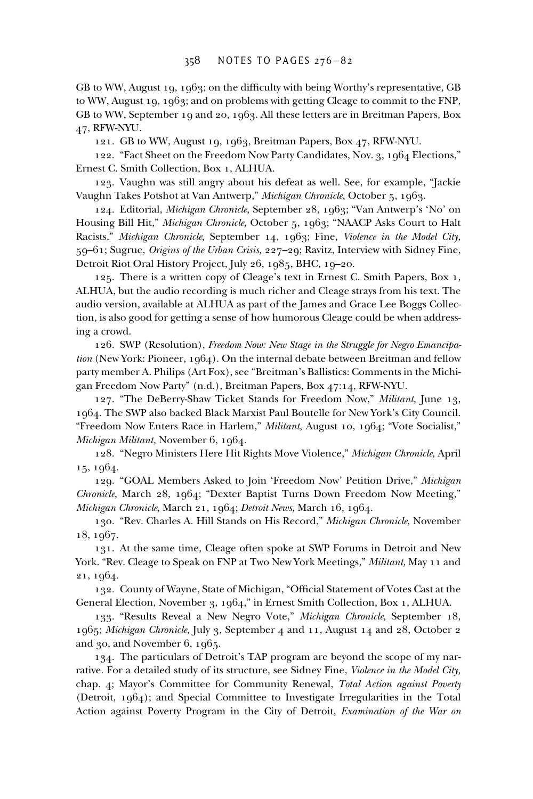GB to WW, August 19, 1963; on the difficulty with being Worthy's representative, GB to WW, August 19, 1963; and on problems with getting Cleage to commit to the FNP, GB to WW, September 19 and 20, 1963. All these letters are in Breitman Papers, Box 47, RFW-NYU.

121. GB to WW, August 19, 1963, Breitman Papers, Box 47, RFW-NYU.

122. "Fact Sheet on the Freedom Now Party Candidates, Nov. 3, 1964 Elections," Ernest C. Smith Collection, Box 1, ALHUA.

123. Vaughn was still angry about his defeat as well. See, for example, "Jackie Vaughn Takes Potshot at Van Antwerp," *Michigan Chronicle,* October 5, 1963.

124. Editorial, *Michigan Chronicle,* September 28, 1963; "Van Antwerp's 'No' on Housing Bill Hit," *Michigan Chronicle,* October 5, 1963; "NAACP Asks Court to Halt Racists," *Michigan Chronicle,* September 14, 1963; Fine, *Violence in the Model City,* 59–61; Sugrue, *Origins of the Urban Crisis,* 227–29; Ravitz, Interview with Sidney Fine, Detroit Riot Oral History Project, July 26, 1985, BHC, 19–20.

125. There is a written copy of Cleage's text in Ernest C. Smith Papers, Box 1, ALHUA, but the audio recording is much richer and Cleage strays from his text. The audio version, available at ALHUA as part of the James and Grace Lee Boggs Collection, is also good for getting a sense of how humorous Cleage could be when addressing a crowd.

126. SWP (Resolution), *Freedom Now: New Stage in the Struggle for Negro Emancipation* (New York: Pioneer, 1964). On the internal debate between Breitman and fellow party member A. Philips (Art Fox), see "Breitman's Ballistics: Comments in the Michigan Freedom Now Party" (n.d.), Breitman Papers, Box 47:14, RFW-NYU.

127. "The DeBerry-Shaw Ticket Stands for Freedom Now," *Militant,* June 13, 1964. The SWP also backed Black Marxist Paul Boutelle for New York's City Council. "Freedom Now Enters Race in Harlem," *Militant,* August 10, 1964; "Vote Socialist," *Michigan Militant,* November 6, 1964.

128. "Negro Ministers Here Hit Rights Move Violence," *Michigan Chronicle,* April 15, 1964.

129. "GOAL Members Asked to Join 'Freedom Now' Petition Drive," *Michigan Chronicle,* March 28, 1964; "Dexter Baptist Turns Down Freedom Now Meeting," *Michigan Chronicle,* March 21, 1964; *Detroit News,* March 16, 1964.

130. "Rev. Charles A. Hill Stands on His Record," *Michigan Chronicle,* November 18, 1967.

131. At the same time, Cleage often spoke at SWP Forums in Detroit and New York. "Rev. Cleage to Speak on FNP at Two New York Meetings," *Militant,* May 11 and 21, 1964.

132. County of Wayne, State of Michigan, "Official Statement of Votes Cast at the General Election, November 3, 1964," in Ernest Smith Collection, Box 1, ALHUA.

133. "Results Reveal a New Negro Vote," *Michigan Chronicle,* September 18, 1965; *Michigan Chronicle,* July 3, September 4 and 11, August 14 and 28, October 2 and 30, and November 6, 1965.

134. The particulars of Detroit's TAP program are beyond the scope of my narrative. For a detailed study of its structure, see Sidney Fine, *Violence in the Model City,* chap. 4; Mayor's Committee for Community Renewal, *Total Action against Poverty* (Detroit, 1964); and Special Committee to Investigate Irregularities in the Total Action against Poverty Program in the City of Detroit, *Examination of the War on*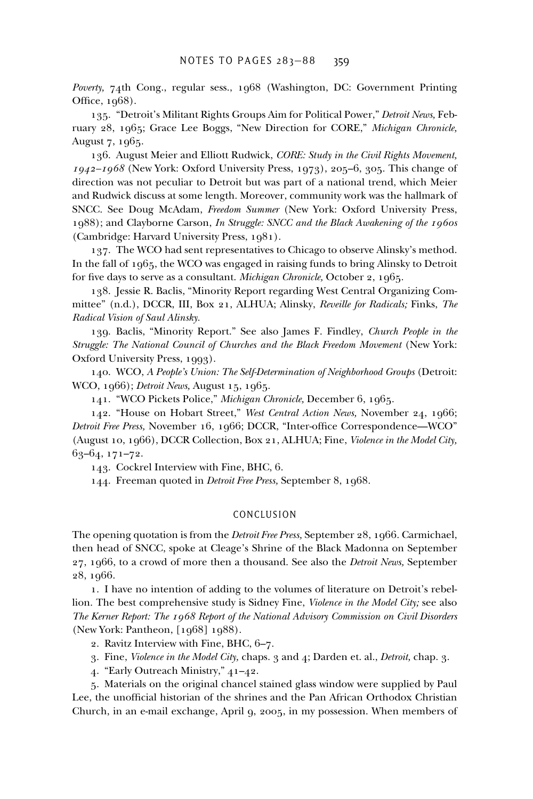*Poverty,* 74th Cong., regular sess., 1968 (Washington, DC: Government Printing Office,  $1968$ ).

135. "Detroit's Militant Rights Groups Aim for Political Power," *Detroit News,* February 28, 1965; Grace Lee Boggs, "New Direction for CORE," *Michigan Chronicle,* August 7, 1965.

136. August Meier and Elliott Rudwick, *CORE: Study in the Civil Rights Movement, 1942–1968* (New York: Oxford University Press, 1973), 205–6, 305. This change of direction was not peculiar to Detroit but was part of a national trend, which Meier and Rudwick discuss at some length. Moreover, community work was the hallmark of SNCC. See Doug McAdam, *Freedom Summer* (New York: Oxford University Press, 1988); and Clayborne Carson, *In Struggle: SNCC and the Black Awakening of the 1960s* (Cambridge: Harvard University Press, 1981).

137. The WCO had sent representatives to Chicago to observe Alinsky's method. In the fall of 1965, the WCO was engaged in raising funds to bring Alinsky to Detroit for five days to serve as a consultant. *Michigan Chronicle*, October 2, 1965.

138. Jessie R. Baclis, "Minority Report regarding West Central Organizing Committee" (n.d.), DCCR, III, Box 21, ALHUA; Alinsky, *Reveille for Radicals;* Finks, *The Radical Vision of Saul Alinsky.*

139. Baclis, "Minority Report." See also James F. Findley, *Church People in the Struggle: The National Council of Churches and the Black Freedom Movement* (New York: Oxford University Press, 1993).

140. WCO, *A People's Union: The Self-Determination of Neighborhood Groups* (Detroit: WCO, 1966); *Detroit News,* August 15, 1965.

141. "WCO Pickets Police," *Michigan Chronicle,* December 6, 1965.

142. "House on Hobart Street," *West Central Action News,* November 24, 1966; *Detroit Free Press, November 16, 1966; DCCR, "Inter-office Correspondence-WCO"* (August 10, 1966), DCCR Collection, Box 21, ALHUA; Fine, *Violence in the Model City,* 63–64, 171–72.

143. Cockrel Interview with Fine, BHC, 6.

144. Freeman quoted in *Detroit Free Press,* September 8, 1968.

## CONCLUSION

The opening quotation is from the *Detroit Free Press,* September 28, 1966. Carmichael, then head of SNCC, spoke at Cleage's Shrine of the Black Madonna on September 27, 1966, to a crowd of more then a thousand. See also the *Detroit News,* September 28, 1966.

1. I have no intention of adding to the volumes of literature on Detroit's rebellion. The best comprehensive study is Sidney Fine, *Violence in the Model City;* see also *The Kerner Report: The 1968 Report of the National Advisory Commission on Civil Disorders* (New York: Pantheon, [1968] 1988).

2. Ravitz Interview with Fine, BHC, 6–7.

3. Fine, *Violence in the Model City,* chaps. 3 and 4; Darden et. al., *Detroit,* chap. 3.

4. "Early Outreach Ministry," 41–42.

5. Materials on the original chancel stained glass window were supplied by Paul Lee, the unofficial historian of the shrines and the Pan African Orthodox Christian Church, in an e-mail exchange, April 9, 2005, in my possession. When members of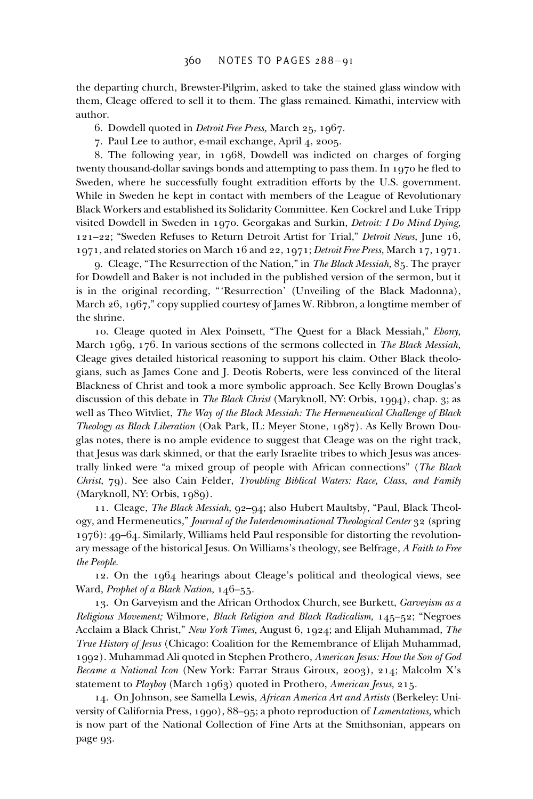the departing church, Brewster-Pilgrim, asked to take the stained glass window with them, Cleage offered to sell it to them. The glass remained. Kimathi, interview with author.

- 6. Dowdell quoted in *Detroit Free Press,* March 25, 1967.
- 7. Paul Lee to author, e-mail exchange, April 4, 2005.

8. The following year, in 1968, Dowdell was indicted on charges of forging twenty thousand-dollar savings bonds and attempting to pass them. In 1970 he fled to Sweden, where he successfully fought extradition efforts by the U.S. government. While in Sweden he kept in contact with members of the League of Revolutionary Black Workers and established its Solidarity Committee. Ken Cockrel and Luke Tripp visited Dowdell in Sweden in 1970. Georgakas and Surkin, *Detroit: I Do Mind Dying,* 121–22; "Sweden Refuses to Return Detroit Artist for Trial," *Detroit News,* June 16, 1971, and related stories on March 16 and 22, 1971; *Detroit Free Press,* March 17, 1971.

9. Cleage, "The Resurrection of the Nation," in *The Black Messiah,* 85. The prayer for Dowdell and Baker is not included in the published version of the sermon, but it is in the original recording, "'Resurrection' (Unveiling of the Black Madonna), March 26, 1967," copy supplied courtesy of James W. Ribbron, a longtime member of the shrine.

10. Cleage quoted in Alex Poinsett, "The Quest for a Black Messiah," *Ebony,* March 1969, 176. In various sections of the sermons collected in *The Black Messiah,* Cleage gives detailed historical reasoning to support his claim. Other Black theologians, such as James Cone and J. Deotis Roberts, were less convinced of the literal Blackness of Christ and took a more symbolic approach. See Kelly Brown Douglas's discussion of this debate in *The Black Christ* (Maryknoll, NY: Orbis, 1994), chap. 3; as well as Theo Witvliet, *The Way of the Black Messiah: The Hermeneutical Challenge of Black Theology as Black Liberation* (Oak Park, IL: Meyer Stone, 1987). As Kelly Brown Douglas notes, there is no ample evidence to suggest that Cleage was on the right track, that Jesus was dark skinned, or that the early Israelite tribes to which Jesus was ancestrally linked were "a mixed group of people with African connections" (*The Black Christ,* 79). See also Cain Felder, *Troubling Biblical Waters: Race, Class, and Family* (Maryknoll, NY: Orbis, 1989).

11. Cleage, *The Black Messiah,* 92–94; also Hubert Maultsby, "Paul, Black Theology, and Hermeneutics," *Journal of the Interdenominational Theological Center* 32 (spring 1976): 49–64. Similarly, Williams held Paul responsible for distorting the revolutionary message of the historical Jesus. On Williams's theology, see Belfrage, *A Faith to Free the People.*

12. On the 1964 hearings about Cleage's political and theological views, see Ward, *Prophet of a Black Nation,* 146–55.

13. On Garveyism and the African Orthodox Church, see Burkett, *Garveyism as a Religious Movement;* Wilmore, *Black Religion and Black Radicalism,* 145–52; "Negroes Acclaim a Black Christ," *New York Times,* August 6, 1924; and Elijah Muhammad, *The True History of Jesus* (Chicago: Coalition for the Remembrance of Elijah Muhammad, 1992). Muhammad Ali quoted in Stephen Prothero, *American Jesus: How the Son of God Became a National Icon* (New York: Farrar Straus Giroux, 2003), 214; Malcolm X's statement to *Playboy* (March 1963) quoted in Prothero, *American Jesus,* 215.

14. On Johnson, see Samella Lewis, *African America Art and Artists* (Berkeley: University of California Press, 1990), 88–95; a photo reproduction of *Lamentations,* which is now part of the National Collection of Fine Arts at the Smithsonian, appears on page 93.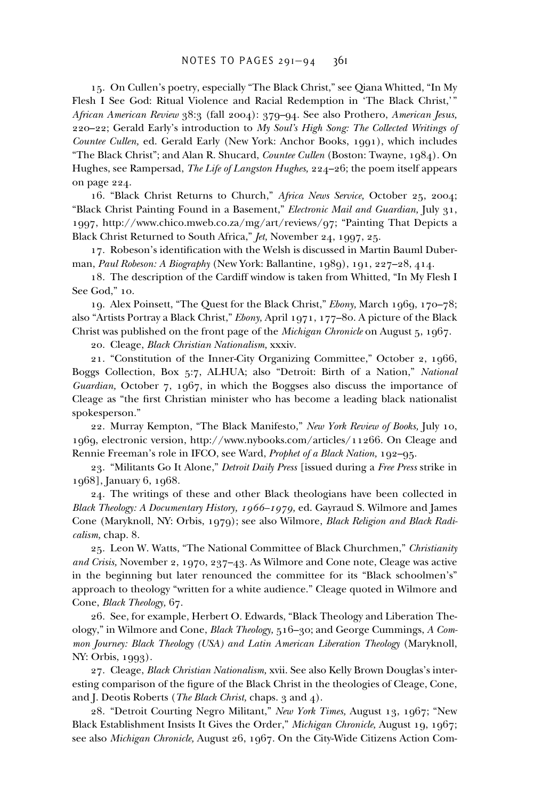15. On Cullen's poetry, especially "The Black Christ," see Qiana Whitted, "In My Flesh I See God: Ritual Violence and Racial Redemption in 'The Black Christ,'" *African American Review* 38:3 (fall 2004): 379–94. See also Prothero, *American Jesus,* 220–22; Gerald Early's introduction to *My Soul's High Song: The Collected Writings of Countee Cullen,* ed. Gerald Early (New York: Anchor Books, 1991), which includes "The Black Christ"; and Alan R. Shucard, *Countee Cullen* (Boston: Twayne, 1984). On Hughes, see Rampersad, *The Life of Langston Hughes,* 224–26; the poem itself appears on page 224.

16. "Black Christ Returns to Church," *Africa News Service,* October 25, 2004; "Black Christ Painting Found in a Basement," *Electronic Mail and Guardian,* July 31, 1997, http://www.chico.mweb.co.za/mg/art/reviews/97; "Painting That Depicts a Black Christ Returned to South Africa," *Jet,* November 24, 1997, 25.

17. Robeson's identification with the Welsh is discussed in Martin Bauml Duberman, *Paul Robeson: A Biography* (New York: Ballantine, 1989), 191, 227–28, 414.

18. The description of the Cardiff window is taken from Whitted, "In My Flesh I See God," 10.

19. Alex Poinsett, "The Quest for the Black Christ," *Ebony,* March 1969, 170–78; also "Artists Portray a Black Christ," *Ebony,* April 1971, 177–80. A picture of the Black Christ was published on the front page of the *Michigan Chronicle* on August 5, 1967.

20. Cleage, *Black Christian Nationalism,* xxxiv.

21. "Constitution of the Inner-City Organizing Committee," October 2, 1966, Boggs Collection, Box 5:7, ALHUA; also "Detroit: Birth of a Nation," *National Guardian,* October 7, 1967, in which the Boggses also discuss the importance of Cleage as "the first Christian minister who has become a leading black nationalist spokesperson."

22. Murray Kempton, "The Black Manifesto," *New York Review of Books,* July 10, 1969, electronic version, http://www.nybooks.com/articles/11266. On Cleage and Rennie Freeman's role in IFCO, see Ward, *Prophet of a Black Nation,* 192–95.

23. "Militants Go It Alone," *Detroit Daily Press* [issued during a *Free Press* strike in 1968], January 6, 1968.

24. The writings of these and other Black theologians have been collected in *Black Theology: A Documentary History, 1966–1979,* ed. Gayraud S. Wilmore and James Cone (Maryknoll, NY: Orbis, 1979); see also Wilmore, *Black Religion and Black Radicalism,* chap. 8.

25. Leon W. Watts, "The National Committee of Black Churchmen," *Christianity and Crisis,* November 2, 1970, 237–43. As Wilmore and Cone note, Cleage was active in the beginning but later renounced the committee for its "Black schoolmen's" approach to theology "written for a white audience." Cleage quoted in Wilmore and Cone, *Black Theology,* 67.

26. See, for example, Herbert O. Edwards, "Black Theology and Liberation Theology," in Wilmore and Cone, *Black Theology,* 516–30; and George Cummings, *A Common Journey: Black Theology (USA) and Latin American Liberation Theology* (Maryknoll, NY: Orbis, 1993).

27. Cleage, *Black Christian Nationalism,* xvii. See also Kelly Brown Douglas's interesting comparison of the figure of the Black Christ in the theologies of Cleage, Cone, and J. Deotis Roberts (*The Black Christ,* chaps. 3 and 4).

28. "Detroit Courting Negro Militant," *New York Times,* August 13, 1967; "New Black Establishment Insists It Gives the Order," *Michigan Chronicle,* August 19, 1967; see also *Michigan Chronicle,* August 26, 1967. On the City-Wide Citizens Action Com-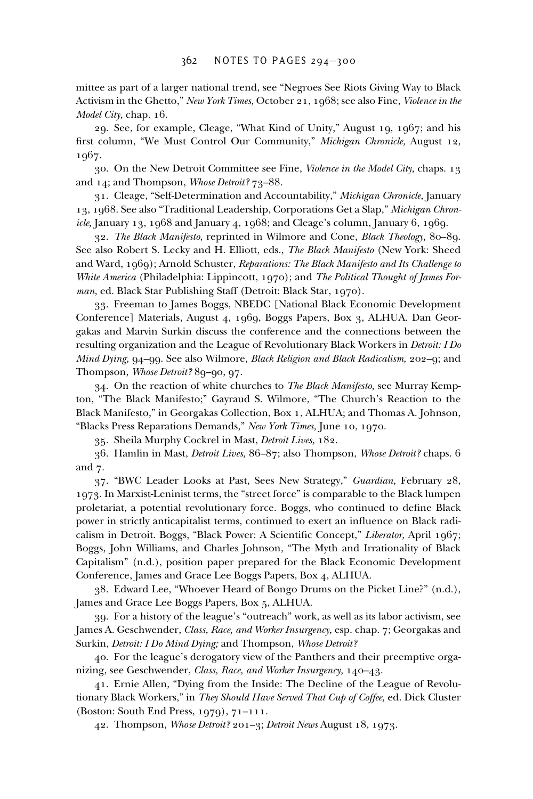mittee as part of a larger national trend, see "Negroes See Riots Giving Way to Black Activism in the Ghetto," *New York Times,* October 21, 1968; see also Fine, *Violence in the Model City,* chap. 16.

29. See, for example, Cleage, "What Kind of Unity," August 19, 1967; and his first column, "We Must Control Our Community," *Michigan Chronicle*, August 12, 1967.

30. On the New Detroit Committee see Fine, *Violence in the Model City,* chaps. 13 and 14; and Thompson, *Whose Detroit?* 73–88.

31. Cleage, "Self-Determination and Accountability," *Michigan Chronicle,* January 13, 1968. See also "Traditional Leadership, Corporations Get a Slap," *Michigan Chronicle,* January 13, 1968 and January 4, 1968; and Cleage's column, January 6, 1969.

32. *The Black Manifesto,* reprinted in Wilmore and Cone, *Black Theology,* 80–89. See also Robert S. Lecky and H. Elliott, eds., *The Black Manifesto* (New York: Sheed and Ward, 1969); Arnold Schuster, *Reparations: The Black Manifesto and Its Challenge to White America* (Philadelphia: Lippincott, 1970); and *The Political Thought of James Forman,* ed. Black Star Publishing Staff (Detroit: Black Star, 1970).

33. Freeman to James Boggs, NBEDC [National Black Economic Development Conference] Materials, August 4, 1969, Boggs Papers, Box 3, ALHUA. Dan Georgakas and Marvin Surkin discuss the conference and the connections between the resulting organization and the League of Revolutionary Black Workers in *Detroit: I Do Mind Dying,* 94–99. See also Wilmore, *Black Religion and Black Radicalism,* 202–9; and Thompson, *Whose Detroit?* 89–90, 97.

34. On the reaction of white churches to *The Black Manifesto,* see Murray Kempton, "The Black Manifesto;" Gayraud S. Wilmore, "The Church's Reaction to the Black Manifesto," in Georgakas Collection, Box 1, ALHUA; and Thomas A. Johnson, "Blacks Press Reparations Demands," *New York Times,* June 10, 1970.

35. Sheila Murphy Cockrel in Mast, *Detroit Lives,* 182.

36. Hamlin in Mast, *Detroit Lives,* 86–87; also Thompson, *Whose Detroit?* chaps. 6 and 7.

37. "BWC Leader Looks at Past, Sees New Strategy," *Guardian,* February 28, 1973. In Marxist-Leninist terms, the "street force" is comparable to the Black lumpen proletariat, a potential revolutionary force. Boggs, who continued to define Black power in strictly anticapitalist terms, continued to exert an influence on Black radicalism in Detroit. Boggs, "Black Power: A Scientific Concept," *Liberator*, April 1967; Boggs, John Williams, and Charles Johnson, "The Myth and Irrationality of Black Capitalism" (n.d.), position paper prepared for the Black Economic Development Conference, James and Grace Lee Boggs Papers, Box 4, ALHUA.

38. Edward Lee, "Whoever Heard of Bongo Drums on the Picket Line?" (n.d.), James and Grace Lee Boggs Papers, Box 5, ALHUA.

39. For a history of the league's "outreach" work, as well as its labor activism, see James A. Geschwender, *Class, Race, and Worker Insurgency,* esp. chap. 7; Georgakas and Surkin, *Detroit: I Do Mind Dying;* and Thompson, *Whose Detroit?*

40. For the league's derogatory view of the Panthers and their preemptive organizing, see Geschwender, *Class, Race, and Worker Insurgency,* 140–43.

41. Ernie Allen, "Dying from the Inside: The Decline of the League of Revolutionary Black Workers," in *They Should Have Served That Cup of Coffee,* ed. Dick Cluster (Boston: South End Press, 1979), 71–111.

42. Thompson, *Whose Detroit?* 201–3; *Detroit News* August 18, 1973.